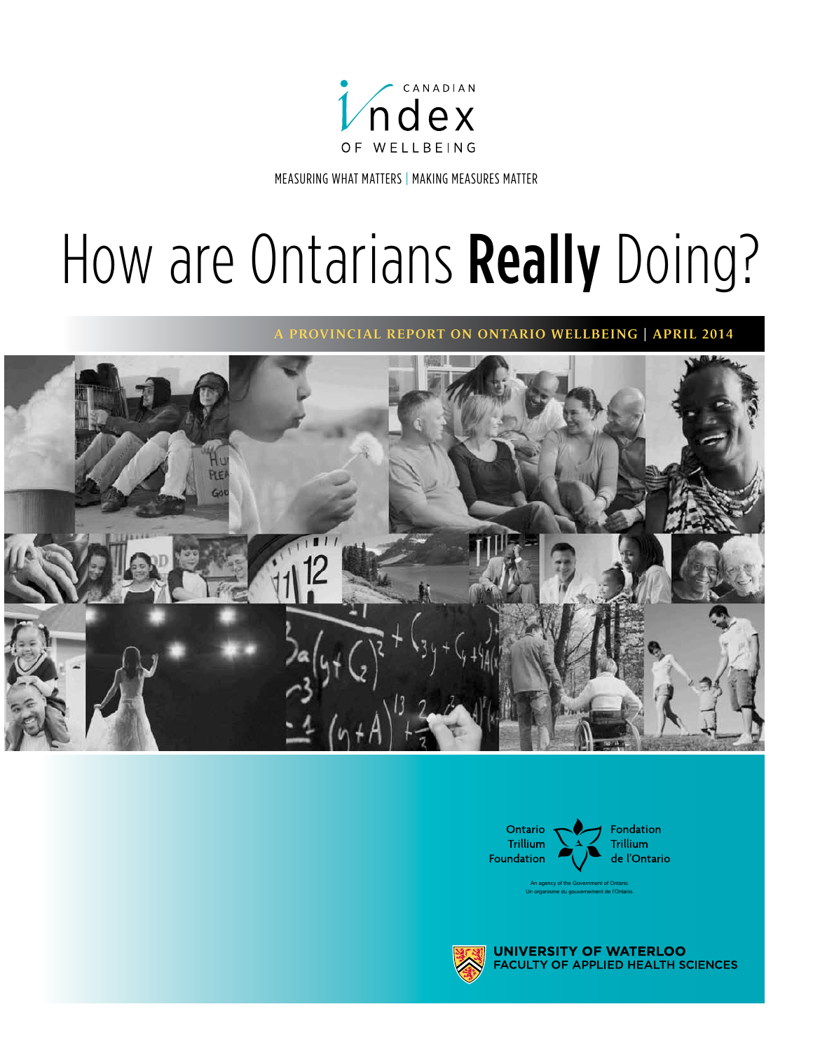

Measuring what Matters | Making Measures Matter

# How are Ontarians Really Doing?

A provinciAl report on ontArio Wellbeing | April 2014





An agency of the Government of Ontario. Un organisme du gouvernement de l'Ontario.



**UNIVERSITY OF WATERI** OO **ACULTY OF APPLIED HEALTH SCIENCES**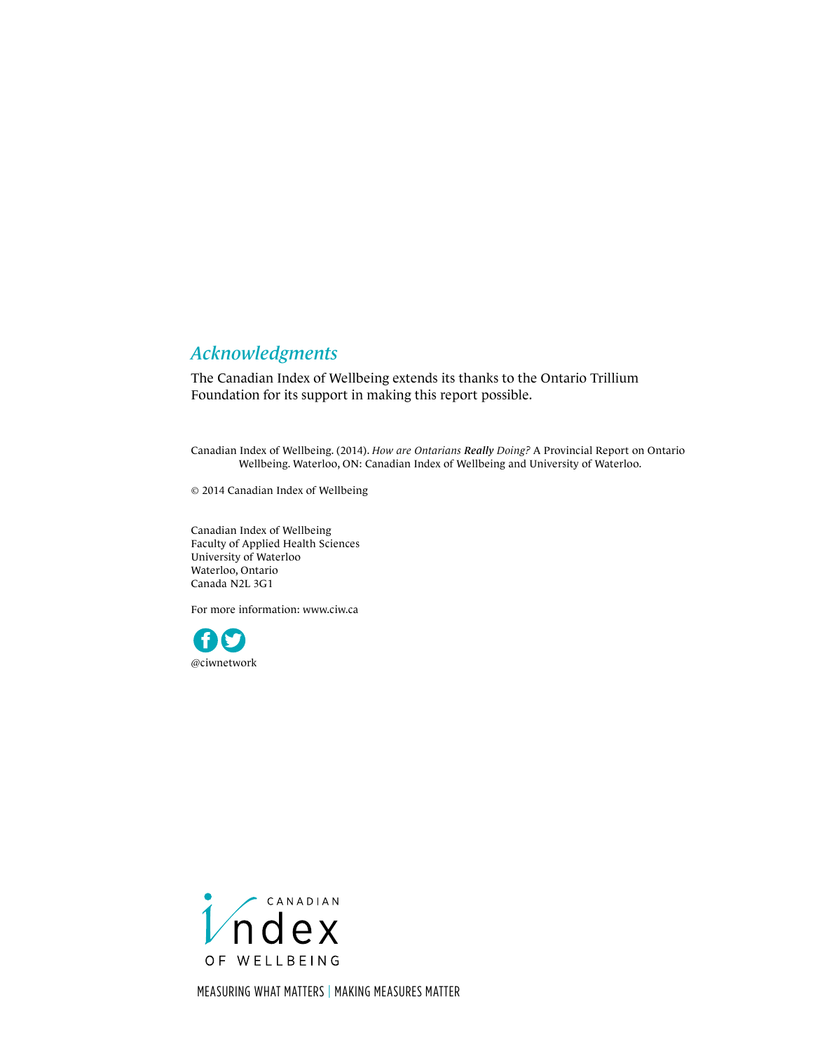### *Acknowledgments*

The Canadian Index of Wellbeing extends its thanks to the Ontario Trillium Foundation for its support in making this report possible.

Canadian Index of Wellbeing. (2014). *How are Ontarians Really Doing?* A Provincial Report on Ontario Wellbeing. Waterloo, ON: Canadian Index of Wellbeing and University of Waterloo.

© 2014 Canadian Index of Wellbeing

Canadian Index of Wellbeing Faculty of Applied Health Sciences University of Waterloo Waterloo, Ontario Canada N2L 3G1

For more information: [www.ciw.ca](http://www.ciw.ca)





Measuring what Matters | Making Measures Matter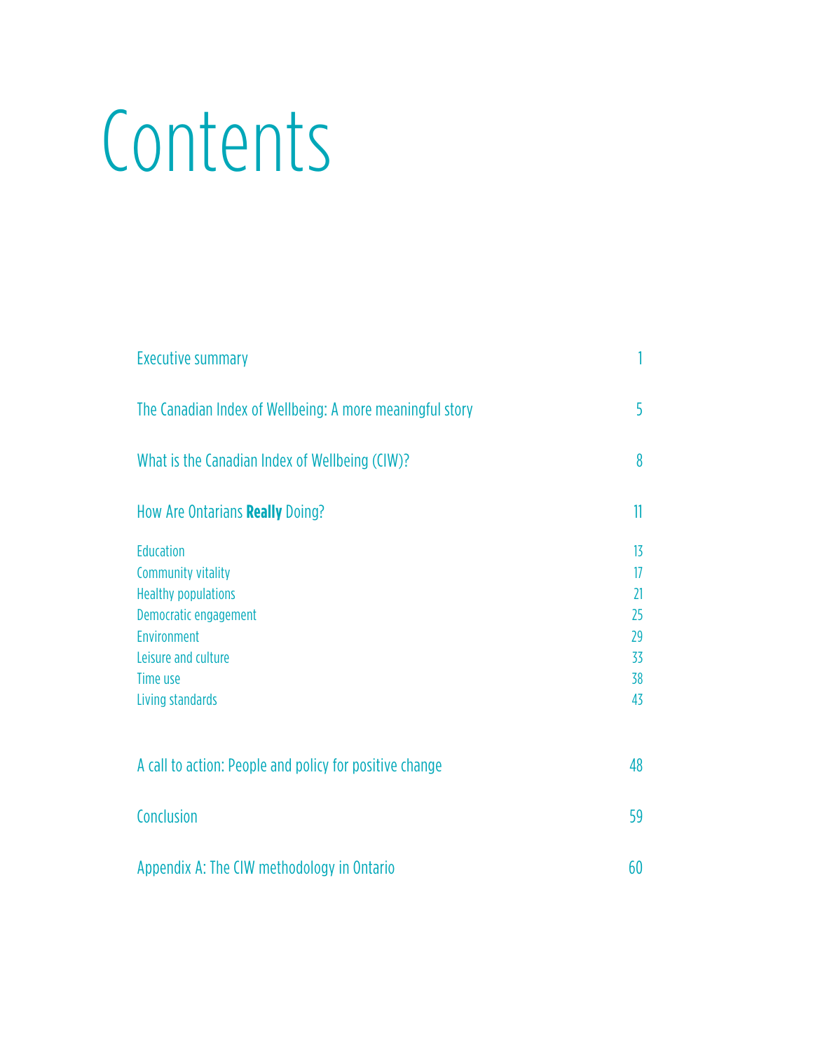# **Contents**

| <b>Executive summary</b>                                 |    |
|----------------------------------------------------------|----|
| The Canadian Index of Wellbeing: A more meaningful story | 5  |
| What is the Canadian Index of Wellbeing (CIW)?           | 8  |
| How Are Ontarians Really Doing?                          | 11 |
| <b>Education</b>                                         | 13 |
| <b>Community vitality</b>                                | 17 |
| <b>Healthy populations</b>                               | 21 |
| Democratic engagement                                    | 25 |
| Environment                                              | 29 |
| Leisure and culture                                      | 33 |
| Time use                                                 | 38 |
| Living standards                                         | 43 |
| A call to action: People and policy for positive change  | 48 |
| Conclusion                                               | 59 |
| Appendix A: The CIW methodology in Ontario               | 60 |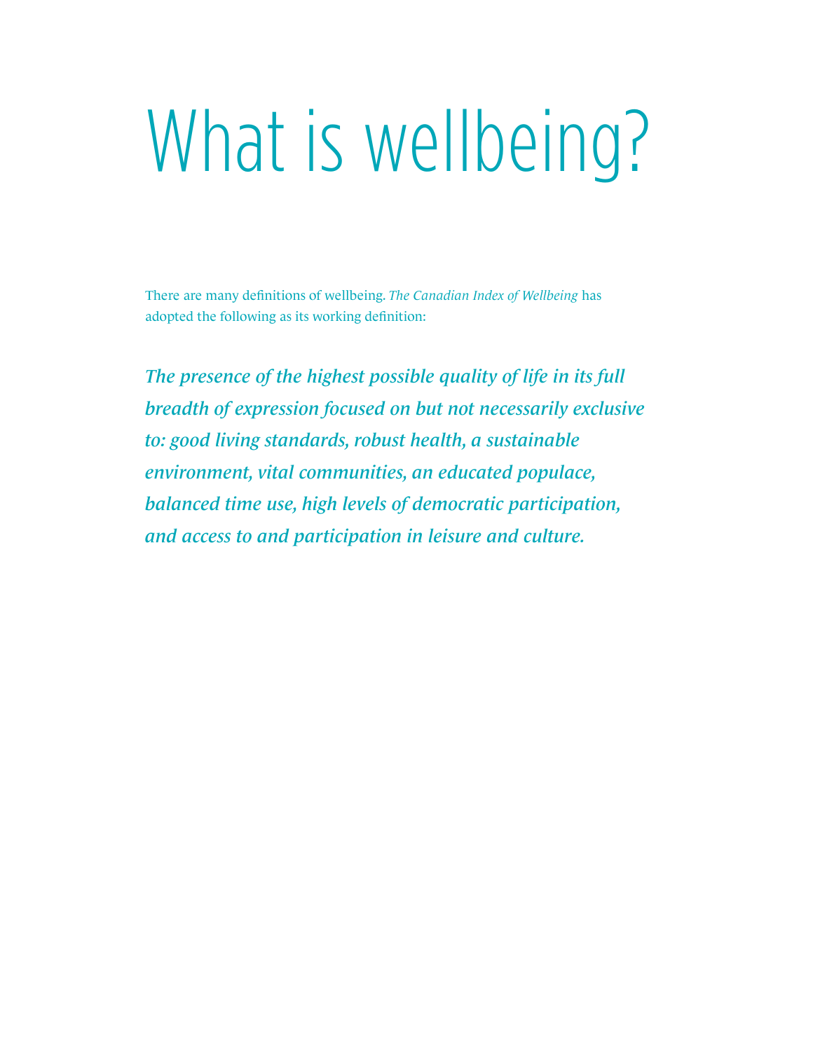# What is wellbeing?

There are many definitions of wellbeing. *The Canadian Index of Wellbeing* has adopted the following as its working definition:

*The presence of the highest possible quality of life in its full breadth of expression focused on but not necessarily exclusive to: good living standards, robust health, a sustainable environment, vital communities, an educated populace, balanced time use, high levels of democratic participation, and access to and participation in leisure and culture.*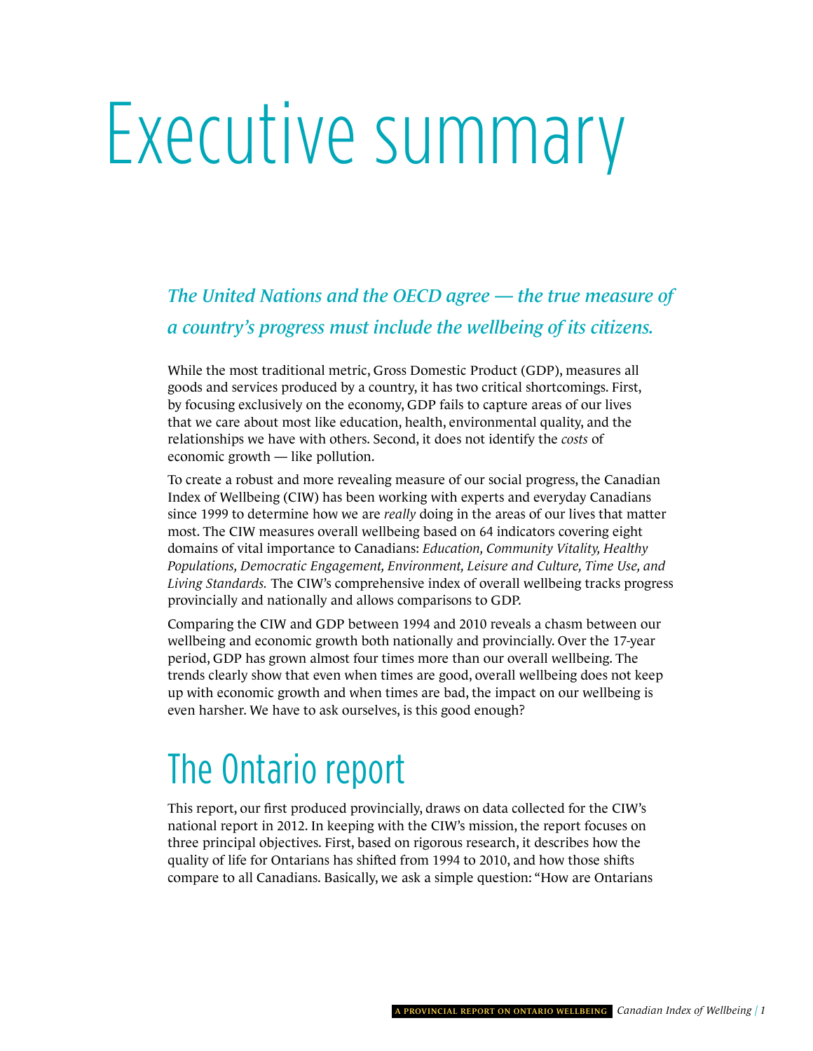# <span id="page-4-0"></span>Executive summary

*The United Nations and the OECD agree — the true measure of a country's progress must include the wellbeing of its citizens.* 

While the most traditional metric, Gross Domestic Product (GDP), measures all goods and services produced by a country, it has two critical shortcomings. First, by focusing exclusively on the economy, GDP fails to capture areas of our lives that we care about most like education, health, environmental quality, and the relationships we have with others. Second, it does not identify the *costs* of economic growth — like pollution.

To create a robust and more revealing measure of our social progress, the Canadian Index of Wellbeing (CIW) has been working with experts and everyday Canadians since 1999 to determine how we are *really* doing in the areas of our lives that matter most. The CIW measures overall wellbeing based on 64 indicators covering eight domains of vital importance to Canadians: *Education, Community Vitality, Healthy Populations, Democratic Engagement, Environment, Leisure and Culture, Time Use, and Living Standards.* The CIW's comprehensive index of overall wellbeing tracks progress provincially and nationally and allows comparisons to GDP.

Comparing the CIW and GDP between 1994 and 2010 reveals a chasm between our wellbeing and economic growth both nationally and provincially. Over the 17-year period, GDP has grown almost four times more than our overall wellbeing. The trends clearly show that even when times are good, overall wellbeing does not keep up with economic growth and when times are bad, the impact on our wellbeing is even harsher. We have to ask ourselves, is this good enough?

### The Ontario report

This report, our first produced provincially, draws on data collected for the CIW's national report in 2012. In keeping with the CIW's mission, the report focuses on three principal objectives. First, based on rigorous research, it describes how the quality of life for Ontarians has shifted from 1994 to 2010, and how those shifts compare to all Canadians. Basically, we ask a simple question: "How are Ontarians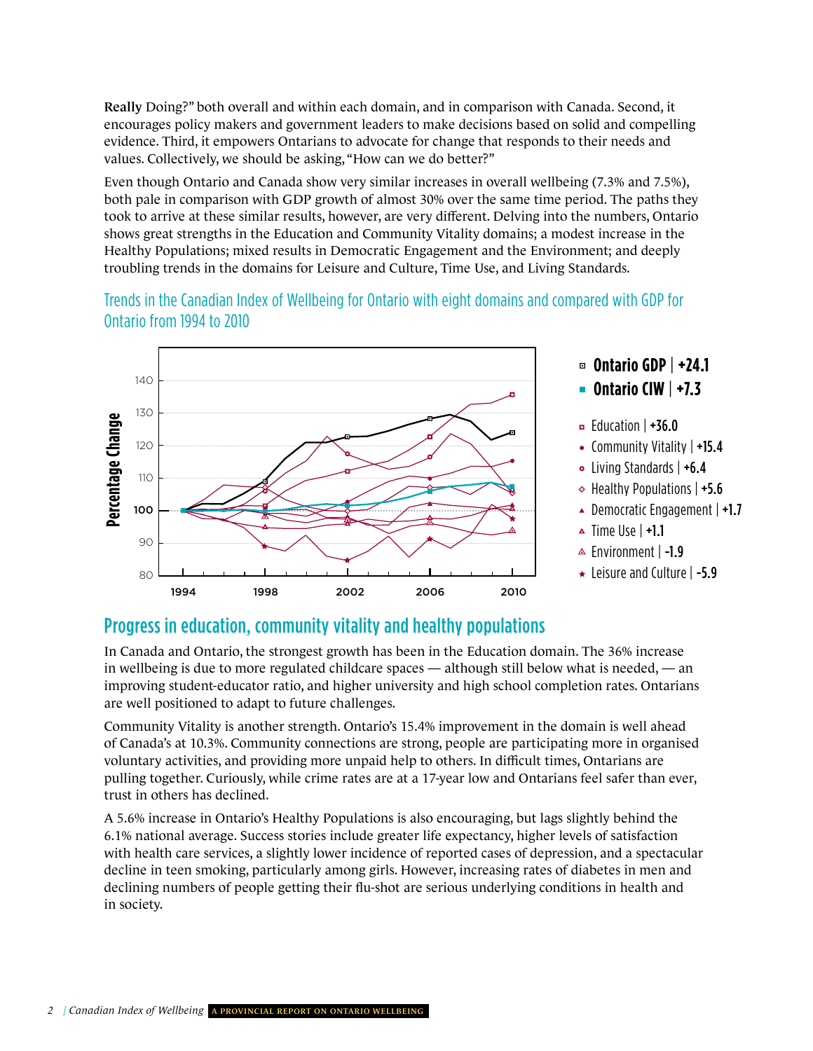Really Doing?" both overall and within each domain, and in comparison with Canada. Second, it encourages policy makers and government leaders to make decisions based on solid and compelling evidence. Third, it empowers Ontarians to advocate for change that responds to their needs and values. Collectively, we should be asking, "How can we do better?"

Even though Ontario and Canada show very similar increases in overall wellbeing (7.3% and 7.5%), both pale in comparison with GDP growth of almost 30% over the same time period. The paths they took to arrive at these similar results, however, are very different. Delving into the numbers, Ontario shows great strengths in the Education and Community Vitality domains; a modest increase in the Healthy Populations; mixed results in Democratic Engagement and the Environment; and deeply troubling trends in the domains for Leisure and Culture, Time Use, and Living Standards.

trends in the Canadian index of wellbeing for Ontario with eight domains and compared with gDP for Ontario from 1994 to 2010



### Progress in education, community vitality and healthy populations

In Canada and Ontario, the strongest growth has been in the Education domain. The 36% increase in wellbeing is due to more regulated childcare spaces — although still below what is needed, — an improving student-educator ratio, and higher university and high school completion rates. Ontarians are well positioned to adapt to future challenges.

Community Vitality is another strength. Ontario's 15.4% improvement in the domain is well ahead of Canada's at 10.3%. Community connections are strong, people are participating more in organised voluntary activities, and providing more unpaid help to others. In difficult times, Ontarians are pulling together. Curiously, while crime rates are at a 17-year low and Ontarians feel safer than ever, trust in others has declined.

A 5.6% increase in Ontario's Healthy Populations is also encouraging, but lags slightly behind the 6.1% national average. Success stories include greater life expectancy, higher levels of satisfaction with health care services, a slightly lower incidence of reported cases of depression, and a spectacular decline in teen smoking, particularly among girls. However, increasing rates of diabetes in men and declining numbers of people getting their flu-shot are serious underlying conditions in health and in society.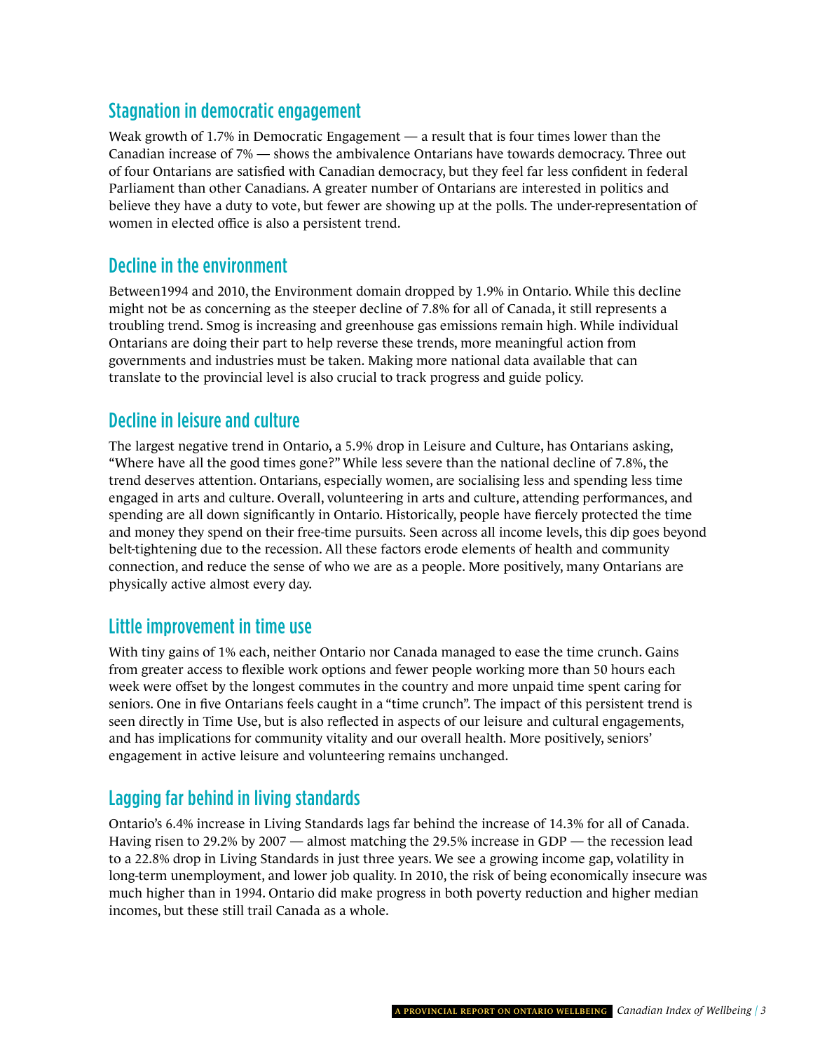### Stagnation in democratic engagement

Weak growth of 1.7% in Democratic Engagement — a result that is four times lower than the Canadian increase of 7% — shows the ambivalence Ontarians have towards democracy. Three out of four Ontarians are satisfied with Canadian democracy, but they feel far less confident in federal Parliament than other Canadians. A greater number of Ontarians are interested in politics and believe they have a duty to vote, but fewer are showing up at the polls. The under-representation of women in elected office is also a persistent trend.

#### Decline in the environment

Between1994 and 2010, the Environment domain dropped by 1.9% in Ontario. While this decline might not be as concerning as the steeper decline of 7.8% for all of Canada, it still represents a troubling trend. Smog is increasing and greenhouse gas emissions remain high. While individual Ontarians are doing their part to help reverse these trends, more meaningful action from governments and industries must be taken. Making more national data available that can translate to the provincial level is also crucial to track progress and guide policy.

#### Decline in leisure and culture

The largest negative trend in Ontario, a 5.9% drop in Leisure and Culture, has Ontarians asking, "Where have all the good times gone?" While less severe than the national decline of 7.8%, the trend deserves attention. Ontarians, especially women, are socialising less and spending less time engaged in arts and culture. Overall, volunteering in arts and culture, attending performances, and spending are all down significantly in Ontario. Historically, people have fiercely protected the time and money they spend on their free-time pursuits. Seen across all income levels, this dip goes beyond belt-tightening due to the recession. All these factors erode elements of health and community connection, and reduce the sense of who we are as a people. More positively, many Ontarians are physically active almost every day.

#### Little improvement in time use

With tiny gains of 1% each, neither Ontario nor Canada managed to ease the time crunch. Gains from greater access to flexible work options and fewer people working more than 50 hours each week were offset by the longest commutes in the country and more unpaid time spent caring for seniors. One in five Ontarians feels caught in a "time crunch". The impact of this persistent trend is seen directly in Time Use, but is also reflected in aspects of our leisure and cultural engagements, and has implications for community vitality and our overall health. More positively, seniors' engagement in active leisure and volunteering remains unchanged.

### Lagging far behind in living standards

Ontario's 6.4% increase in Living Standards lags far behind the increase of 14.3% for all of Canada. Having risen to 29.2% by 2007 — almost matching the 29.5% increase in GDP — the recession lead to a 22.8% drop in Living Standards in just three years. We see a growing income gap, volatility in long-term unemployment, and lower job quality. In 2010, the risk of being economically insecure was much higher than in 1994. Ontario did make progress in both poverty reduction and higher median incomes, but these still trail Canada as a whole.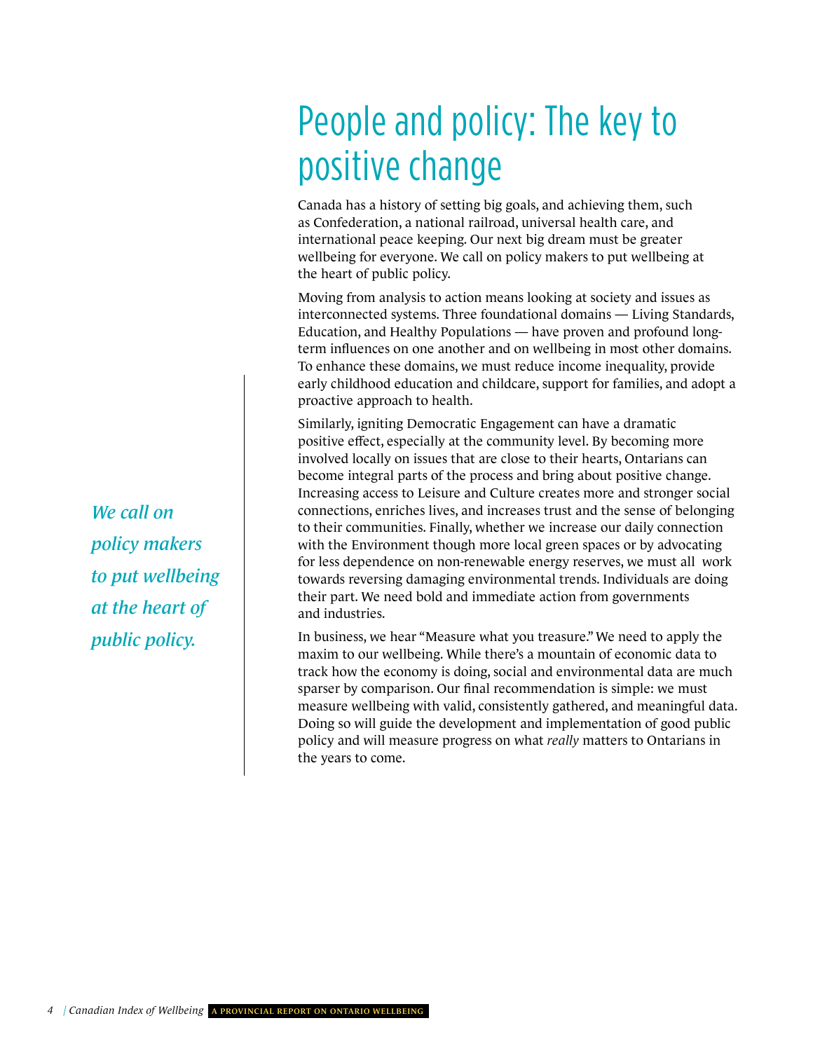## People and policy: The key to positive change

Canada has a history of setting big goals, and achieving them, such as Confederation, a national railroad, universal health care, and international peace keeping. Our next big dream must be greater wellbeing for everyone. We call on policy makers to put wellbeing at the heart of public policy.

Moving from analysis to action means looking at society and issues as interconnected systems. Three foundational domains — Living Standards, Education, and Healthy Populations — have proven and profound longterm influences on one another and on wellbeing in most other domains. To enhance these domains, we must reduce income inequality, provide early childhood education and childcare, support for families, and adopt a proactive approach to health.

Similarly, igniting Democratic Engagement can have a dramatic positive effect, especially at the community level. By becoming more involved locally on issues that are close to their hearts, Ontarians can become integral parts of the process and bring about positive change. Increasing access to Leisure and Culture creates more and stronger social connections, enriches lives, and increases trust and the sense of belonging to their communities. Finally, whether we increase our daily connection with the Environment though more local green spaces or by advocating for less dependence on non-renewable energy reserves, we must all work towards reversing damaging environmental trends. Individuals are doing their part. We need bold and immediate action from governments and industries.

In business, we hear "Measure what you treasure." We need to apply the maxim to our wellbeing. While there's a mountain of economic data to track how the economy is doing, social and environmental data are much sparser by comparison. Our final recommendation is simple: we must measure wellbeing with valid, consistently gathered, and meaningful data. Doing so will guide the development and implementation of good public policy and will measure progress on what *really* matters to Ontarians in the years to come.

*We call on policy makers to put wellbeing at the heart of public policy.*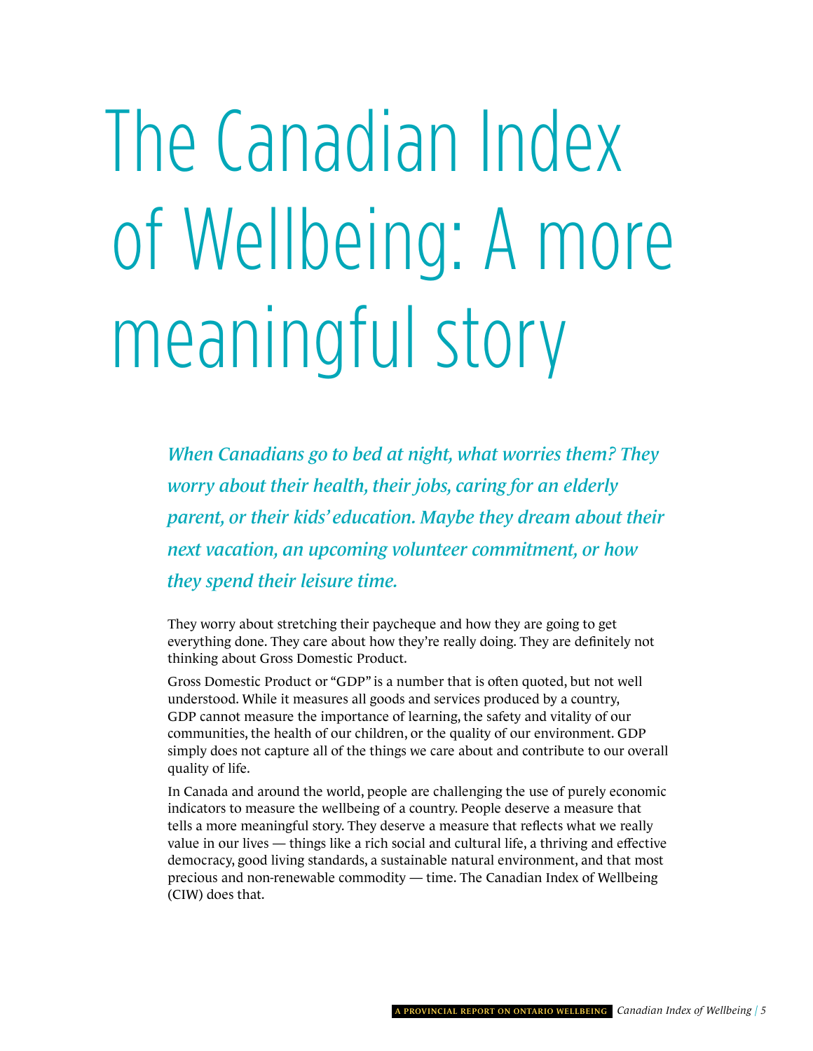# <span id="page-8-0"></span>The Canadian Index of Wellbeing: A more meaningful story

*When Canadians go to bed at night, what worries them? They worry about their health, their jobs, caring for an elderly parent, or their kids' education. Maybe they dream about their next vacation, an upcoming volunteer commitment, or how they spend their leisure time.*

They worry about stretching their paycheque and how they are going to get everything done. They care about how they're really doing. They are definitely not thinking about Gross Domestic Product.

Gross Domestic Product or "GDP" is a number that is often quoted, but not well understood. While it measures all goods and services produced by a country, GDP cannot measure the importance of learning, the safety and vitality of our communities, the health of our children, or the quality of our environment. GDP simply does not capture all of the things we care about and contribute to our overall quality of life.

In Canada and around the world, people are challenging the use of purely economic indicators to measure the wellbeing of a country. People deserve a measure that tells a more meaningful story. They deserve a measure that reflects what we really value in our lives — things like a rich social and cultural life, a thriving and effective democracy, good living standards, a sustainable natural environment, and that most precious and non-renewable commodity — time. The Canadian Index of Wellbeing (CIW) does that.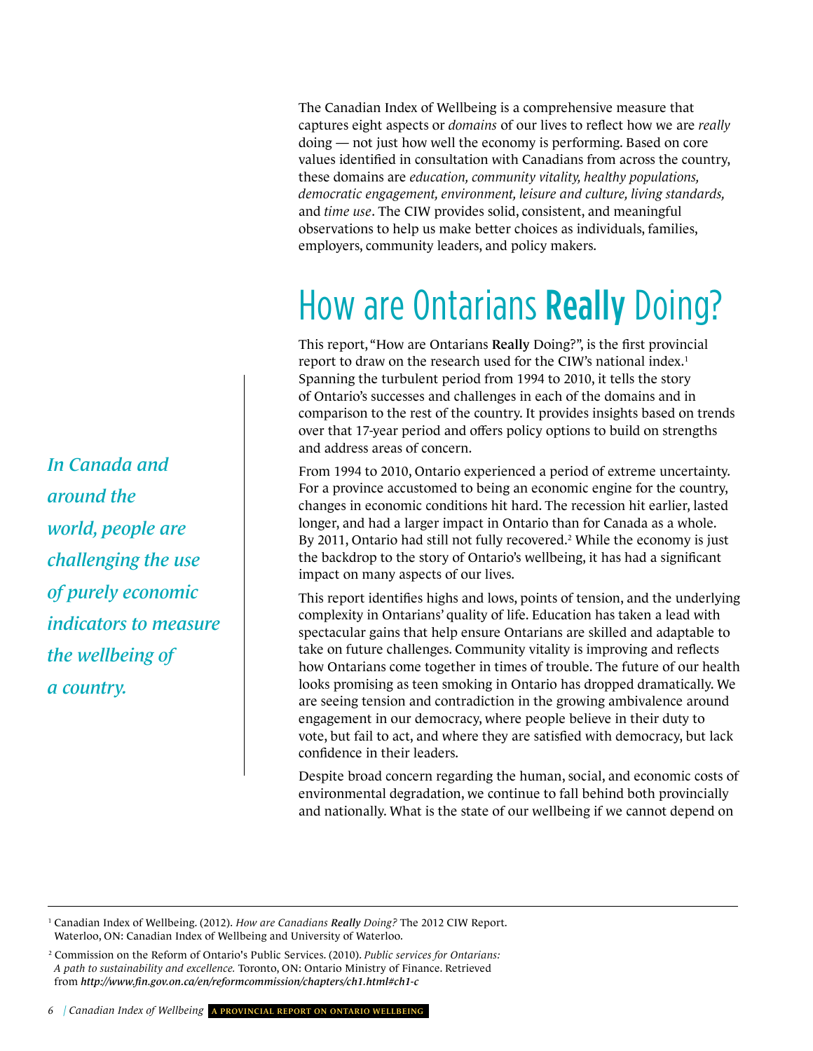The Canadian Index of Wellbeing is a comprehensive measure that captures eight aspects or *domains* of our lives to reflect how we are *really* doing — not just how well the economy is performing. Based on core values identified in consultation with Canadians from across the country, these domains are *education, community vitality, healthy populations, democratic engagement, environment, leisure and culture, living standards,*  and *time use*. The CIW provides solid, consistent, and meaningful observations to help us make better choices as individuals, families, employers, community leaders, and policy makers.

### How are Ontarians Really Doing?

This report, "How are Ontarians Really Doing?", is the first provincial report to draw on the research used for the CIW's national index.<sup>1</sup> Spanning the turbulent period from 1994 to 2010, it tells the story of Ontario's successes and challenges in each of the domains and in comparison to the rest of the country. It provides insights based on trends over that 17-year period and offers policy options to build on strengths and address areas of concern.

From 1994 to 2010, Ontario experienced a period of extreme uncertainty. For a province accustomed to being an economic engine for the country, changes in economic conditions hit hard. The recession hit earlier, lasted longer, and had a larger impact in Ontario than for Canada as a whole. By 2011, Ontario had still not fully recovered.<sup>2</sup> While the economy is just the backdrop to the story of Ontario's wellbeing, it has had a significant impact on many aspects of our lives.

This report identifies highs and lows, points of tension, and the underlying complexity in Ontarians' quality of life. Education has taken a lead with spectacular gains that help ensure Ontarians are skilled and adaptable to take on future challenges. Community vitality is improving and reflects how Ontarians come together in times of trouble. The future of our health looks promising as teen smoking in Ontario has dropped dramatically. We are seeing tension and contradiction in the growing ambivalence around engagement in our democracy, where people believe in their duty to vote, but fail to act, and where they are satisfied with democracy, but lack confidence in their leaders.

Despite broad concern regarding the human, social, and economic costs of environmental degradation, we continue to fall behind both provincially and nationally. What is the state of our wellbeing if we cannot depend on

*6 | Canadian Index of Wellbeing* A provinciAl report on ontArio Wellbeing

*In Canada and around the world, people are challenging the use of purely economic indicators to measure the wellbeing of a country.*

<sup>1</sup> Canadian Index of Wellbeing. (2012). *How are Canadians Really Doing?* The 2012 CIW Report. Waterloo, ON: Canadian Index of Wellbeing and University of Waterloo.

<sup>2</sup> Commission on the Reform of Ontario's Public Services. (2010). *Public services for Ontarians: A path to sustainability and excellence.* Toronto, ON: Ontario Ministry of Finance. Retrieved from *<http://www.fin.gov.on.ca/en/reformcommission/chapters/ch1.html#ch1-c>*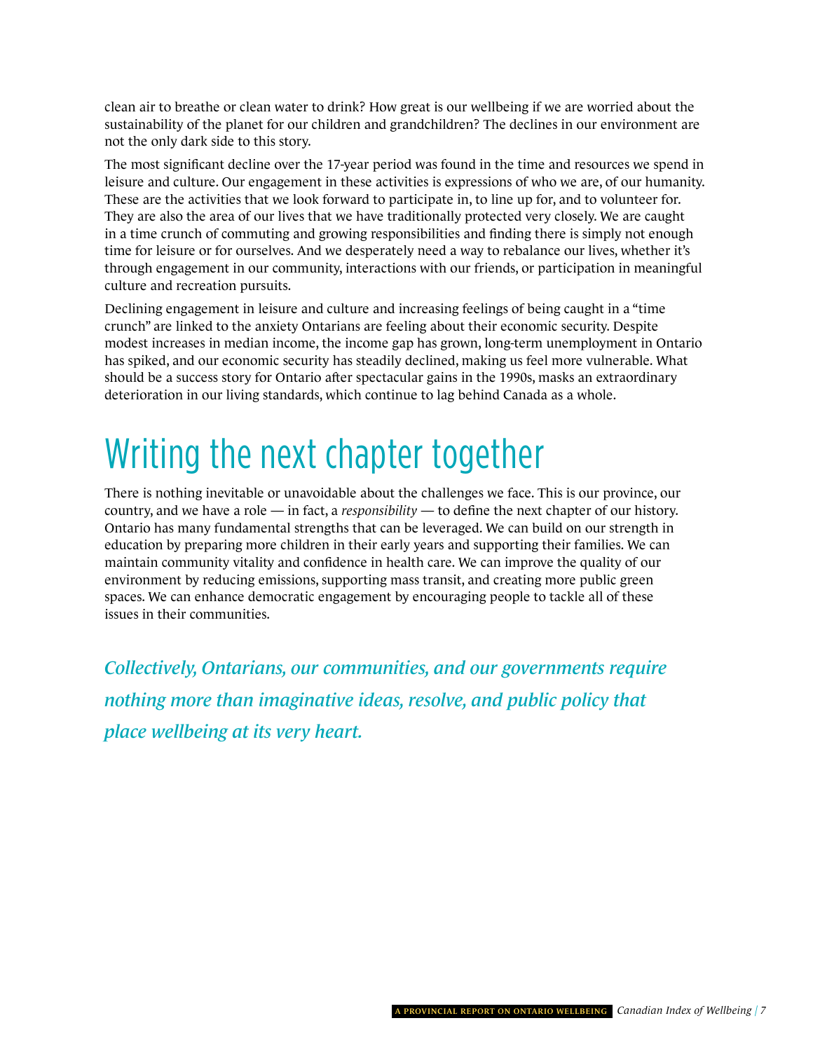clean air to breathe or clean water to drink? How great is our wellbeing if we are worried about the sustainability of the planet for our children and grandchildren? The declines in our environment are not the only dark side to this story.

The most significant decline over the 17-year period was found in the time and resources we spend in leisure and culture. Our engagement in these activities is expressions of who we are, of our humanity. These are the activities that we look forward to participate in, to line up for, and to volunteer for. They are also the area of our lives that we have traditionally protected very closely. We are caught in a time crunch of commuting and growing responsibilities and finding there is simply not enough time for leisure or for ourselves. And we desperately need a way to rebalance our lives, whether it's through engagement in our community, interactions with our friends, or participation in meaningful culture and recreation pursuits.

Declining engagement in leisure and culture and increasing feelings of being caught in a "time crunch" are linked to the anxiety Ontarians are feeling about their economic security. Despite modest increases in median income, the income gap has grown, long-term unemployment in Ontario has spiked, and our economic security has steadily declined, making us feel more vulnerable. What should be a success story for Ontario after spectacular gains in the 1990s, masks an extraordinary deterioration in our living standards, which continue to lag behind Canada as a whole.

## writing the next chapter together

There is nothing inevitable or unavoidable about the challenges we face. This is our province, our country, and we have a role — in fact, a *responsibility* — to define the next chapter of our history. Ontario has many fundamental strengths that can be leveraged. We can build on our strength in education by preparing more children in their early years and supporting their families. We can maintain community vitality and confidence in health care. We can improve the quality of our environment by reducing emissions, supporting mass transit, and creating more public green spaces. We can enhance democratic engagement by encouraging people to tackle all of these issues in their communities.

*Collectively, Ontarians, our communities, and our governments require nothing more than imaginative ideas, resolve, and public policy that place wellbeing at its very heart.*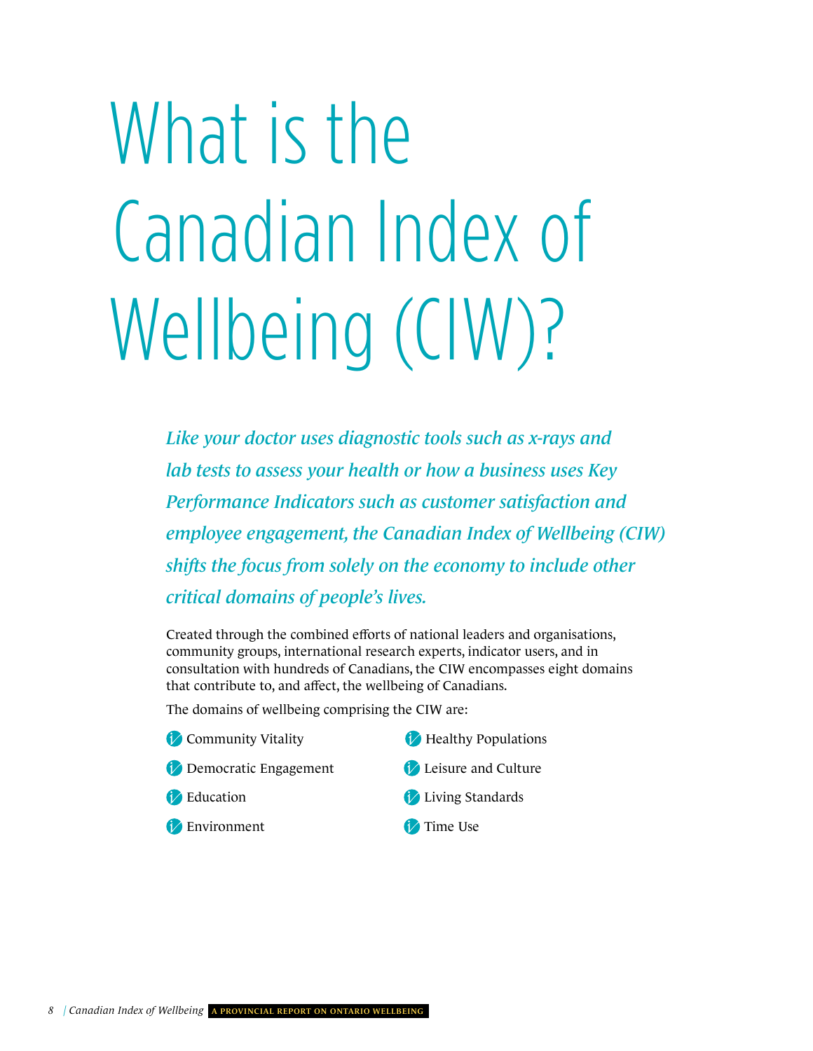# <span id="page-11-0"></span>What is the Canadian Index of Wellbeing (CIW)?

*Like your doctor uses diagnostic tools such as x-rays and lab tests to assess your health or how a business uses Key Performance Indicators such as customer satisfaction and employee engagement, the Canadian Index of Wellbeing (CIW) shifts the focus from solely on the economy to include other critical domains of people's lives.*

Created through the combined efforts of national leaders and organisations, community groups, international research experts, indicator users, and in consultation with hundreds of Canadians, the CIW encompasses eight domains that contribute to, and affect, the wellbeing of Canadians.

The domains of wellbeing comprising the CIW are:

- **Community Vitality**
- **Democratic Engagement**
- **P** Education
- **Environment**
- **Healthy Populations**
- Leisure and Culture
- **Living Standards**
- **T**ime Use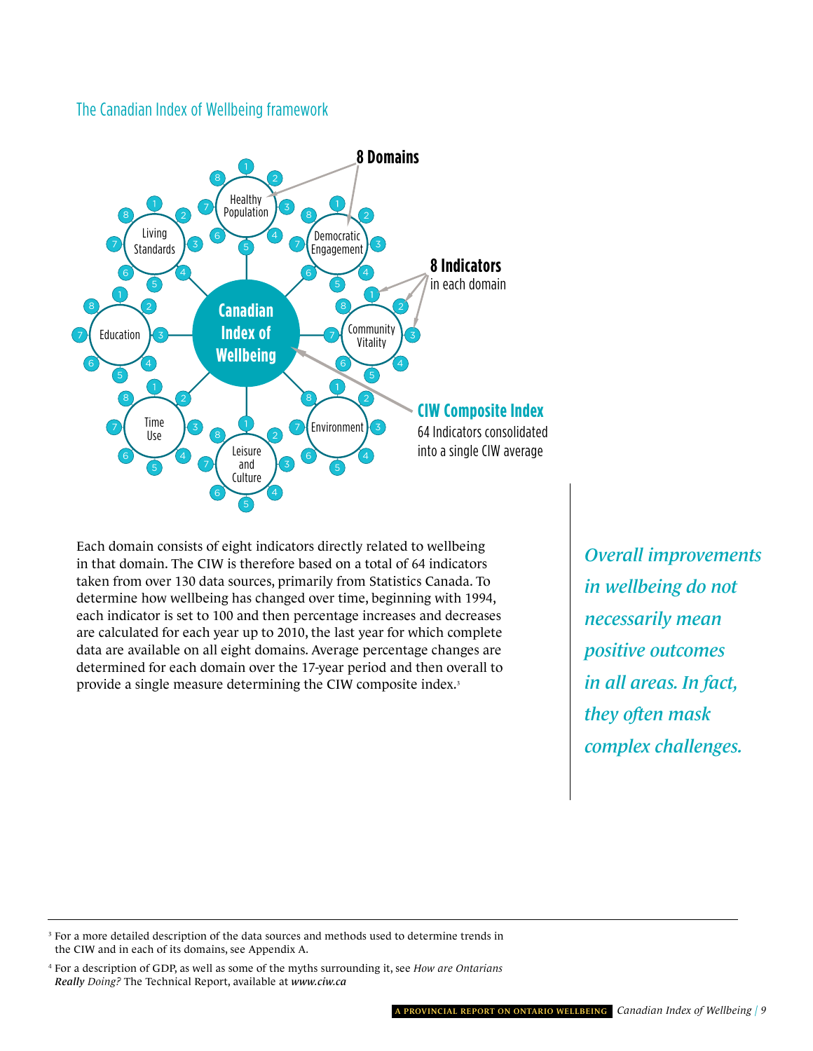#### the Canadian index of wellbeing framework



Each domain consists of eight indicators directly related to wellbeing in that domain. The CIW is therefore based on a total of 64 indicators taken from over 130 data sources, primarily from Statistics Canada. To determine how wellbeing has changed over time, beginning with 1994, each indicator is set to 100 and then percentage increases and decreases are calculated for each year up to 2010, the last year for which complete data are available on all eight domains. Average percentage changes are determined for each domain over the 17-year period and then overall to provide a single measure determining the CIW composite index.<sup>3</sup>

*Overall improvements in wellbeing do not necessarily mean positive outcomes in all areas. In fact, they often mask complex challenges.*

<sup>&</sup>lt;sup>3</sup> For a more detailed description of the data sources and methods used to determine trends in the CIW and in each of its domains, see Appendix A.

<sup>4</sup> For a description of GDP, as well as some of the myths surrounding it, see *How are Ontarians Really Doing?* The Technical Report, available at *[www.ciw.ca](http://www.ciw.ca)*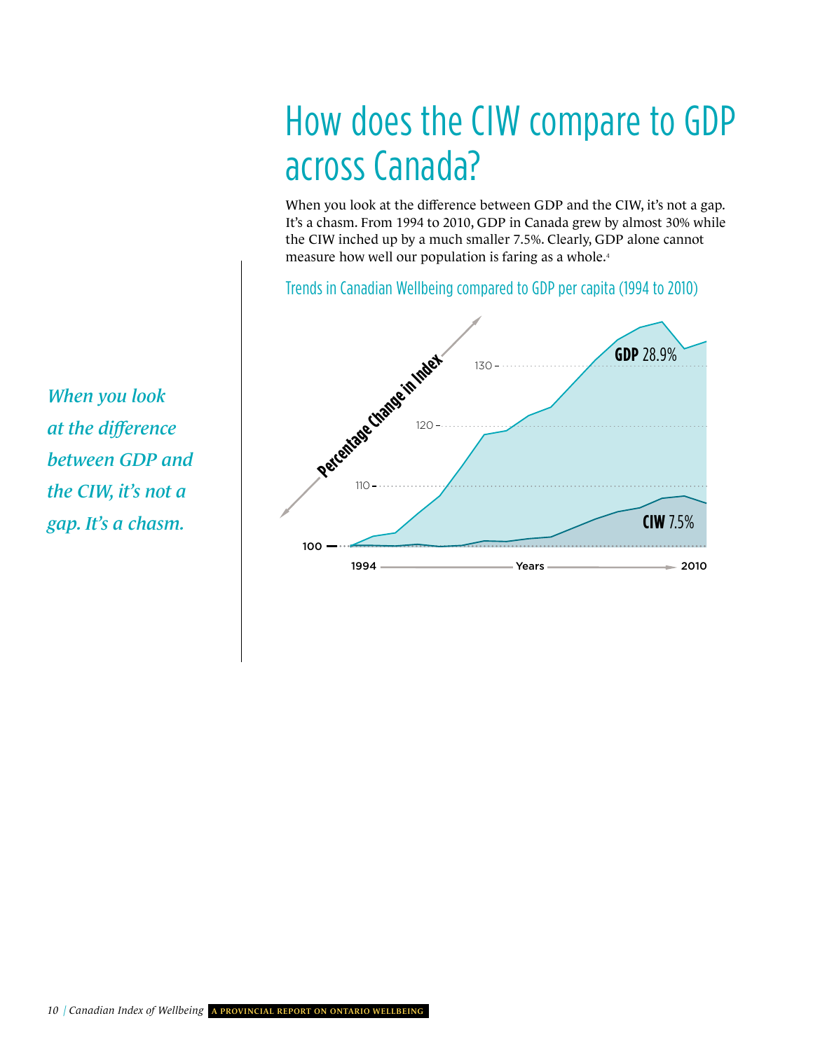## how does the Ciw compare to gDP across Canada?

When you look at the difference between GDP and the CIW, it's not a gap. It's a chasm. From 1994 to 2010, GDP in Canada grew by almost 30% while the CIW inched up by a much smaller 7.5%. Clearly, GDP alone cannot measure how well our population is faring as a whole.<sup>4</sup>

trends in Canadian wellbeing compared to gDP per capita (1994 to 2010)



*When you look at the difference between GDP and the CIW, it's not a gap. It's a chasm.*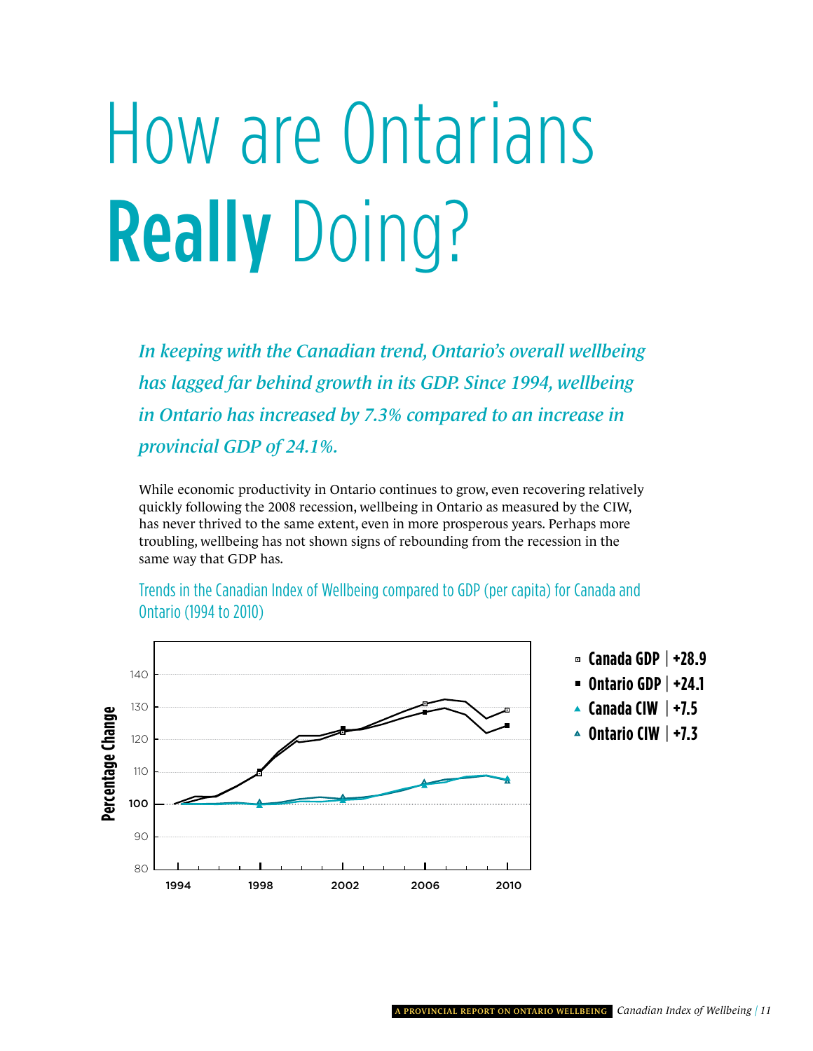# <span id="page-14-0"></span>How are Ontarians Really Doing?

*In keeping with the Canadian trend, Ontario's overall wellbeing has lagged far behind growth in its GDP. Since 1994, wellbeing in Ontario has increased by 7.3% compared to an increase in provincial GDP of 24.1%.*

While economic productivity in Ontario continues to grow, even recovering relatively quickly following the 2008 recession, wellbeing in Ontario as measured by the CIW, has never thrived to the same extent, even in more prosperous years. Perhaps more troubling, wellbeing has not shown signs of rebounding from the recession in the same way that GDP has.



trends in the Canadian index of wellbeing compared to gDP (per capita) for Canada and Ontario (1994 to 2010)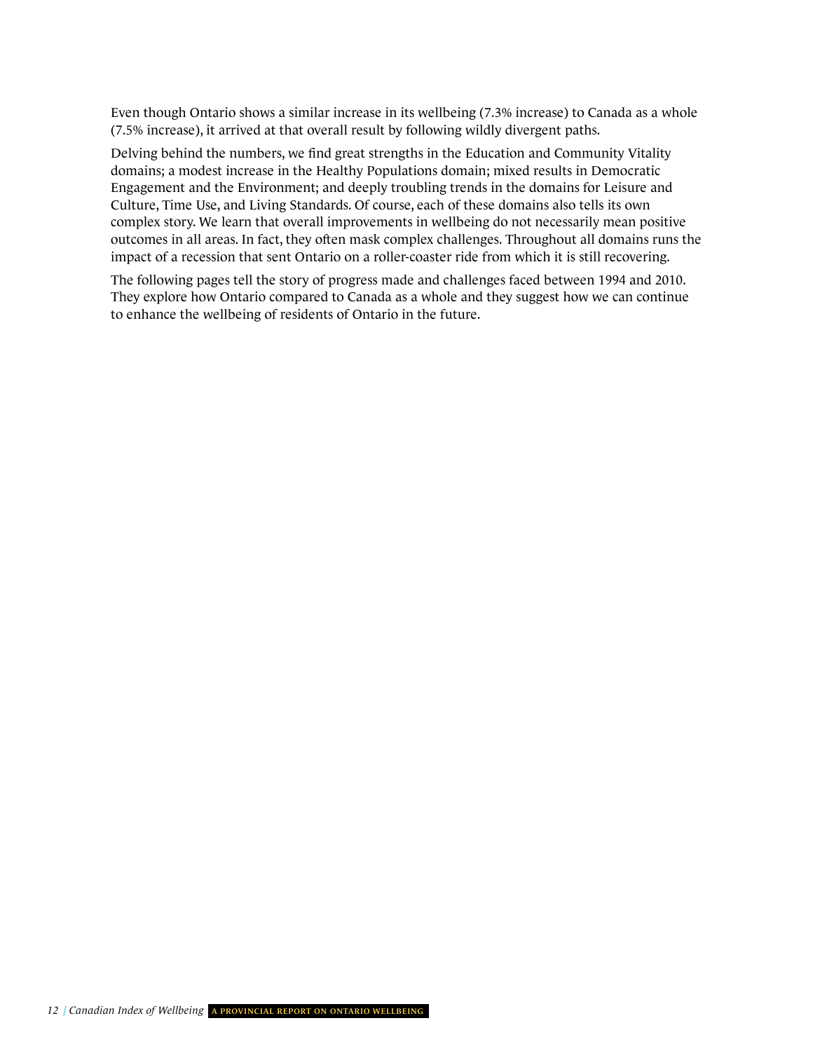Even though Ontario shows a similar increase in its wellbeing (7.3% increase) to Canada as a whole (7.5% increase), it arrived at that overall result by following wildly divergent paths.

Delving behind the numbers, we find great strengths in the Education and Community Vitality domains; a modest increase in the Healthy Populations domain; mixed results in Democratic Engagement and the Environment; and deeply troubling trends in the domains for Leisure and Culture, Time Use, and Living Standards. Of course, each of these domains also tells its own complex story. We learn that overall improvements in wellbeing do not necessarily mean positive outcomes in all areas. In fact, they often mask complex challenges. Throughout all domains runs the impact of a recession that sent Ontario on a roller-coaster ride from which it is still recovering.

The following pages tell the story of progress made and challenges faced between 1994 and 2010. They explore how Ontario compared to Canada as a whole and they suggest how we can continue to enhance the wellbeing of residents of Ontario in the future.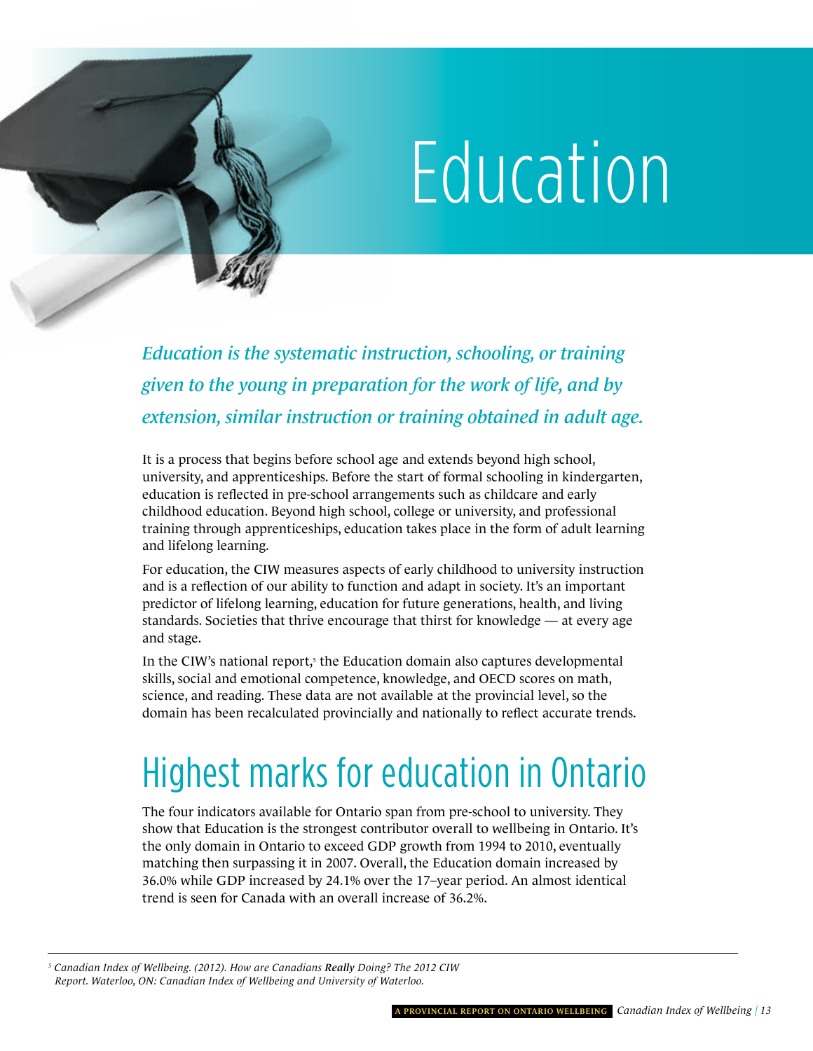

<span id="page-16-0"></span>*Education is the systematic instruction, schooling, or training given to the young in preparation for the work of life, and by extension, similar instruction or training obtained in adult age.* 

It is a process that begins before school age and extends beyond high school, university, and apprenticeships. Before the start of formal schooling in kindergarten, education is reflected in pre-school arrangements such as childcare and early childhood education. Beyond high school, college or university, and professional training through apprenticeships, education takes place in the form of adult learning and lifelong learning.

For education, the CIW measures aspects of early childhood to university instruction and is a reflection of our ability to function and adapt in society. It's an important predictor of lifelong learning, education for future generations, health, and living standards. Societies that thrive encourage that thirst for knowledge — at every age and stage.

In the CIW's national report, $5$  the Education domain also captures developmental skills, social and emotional competence, knowledge, and OECD scores on math, science, and reading. These data are not available at the provincial level, so the domain has been recalculated provincially and nationally to reflect accurate trends.

### highest marks for education in Ontario

The four indicators available for Ontario span from pre-school to university. They show that Education is the strongest contributor overall to wellbeing in Ontario. It's the only domain in Ontario to exceed GDP growth from 1994 to 2010, eventually matching then surpassing it in 2007. Overall, the Education domain increased by 36.0% while GDP increased by 24.1% over the 17–year period. An almost identical trend is seen for Canada with an overall increase of 36.2%.

*<sup>5</sup> Canadian Index of Wellbeing. (2012). How are Canadians Really Doing? The 2012 CIW Report. Waterloo, ON: Canadian Index of Wellbeing and University of Waterloo.*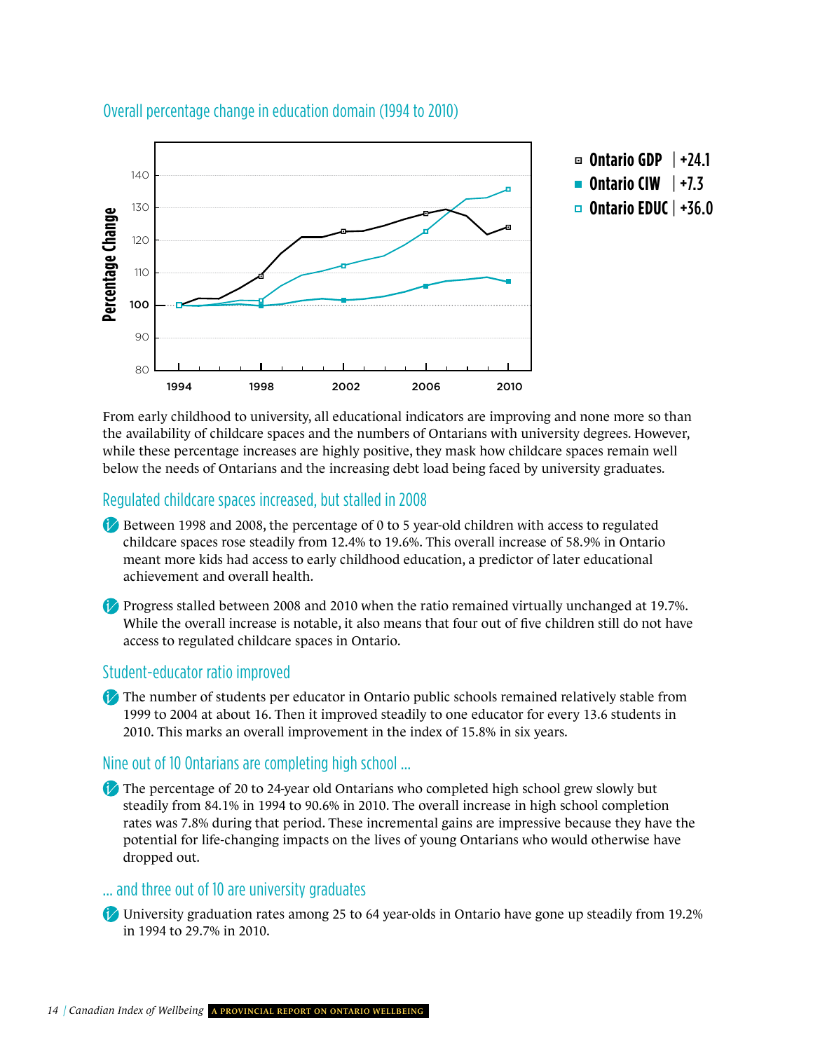

#### Overall percentage change in education domain (1994 to 2010)

From early childhood to university, all educational indicators are improving and none more so than the availability of childcare spaces and the numbers of Ontarians with university degrees. However, while these percentage increases are highly positive, they mask how childcare spaces remain well below the needs of Ontarians and the increasing debt load being faced by university graduates.

#### regulated childcare spaces increased, but stalled in 2008

- Between 1998 and 2008, the percentage of 0 to 5 year-old children with access to regulated childcare spaces rose steadily from 12.4% to 19.6%. This overall increase of 58.9% in Ontario meant more kids had access to early childhood education, a predictor of later educational achievement and overall health.
- Progress stalled between 2008 and 2010 when the ratio remained virtually unchanged at 19.7%. While the overall increase is notable, it also means that four out of five children still do not have access to regulated childcare spaces in Ontario.

#### student-educator ratio improved

The number of students per educator in Ontario public schools remained relatively stable from 1999 to 2004 at about 16. Then it improved steadily to one educator for every 13.6 students in 2010. This marks an overall improvement in the index of 15.8% in six years.

#### nine out of 10 Ontarians are completing high school …

The percentage of 20 to 24-year old Ontarians who completed high school grew slowly but steadily from 84.1% in 1994 to 90.6% in 2010. The overall increase in high school completion rates was 7.8% during that period. These incremental gains are impressive because they have the potential for life-changing impacts on the lives of young Ontarians who would otherwise have dropped out.

#### … and three out of 10 are university graduates

University graduation rates among 25 to 64 year-olds in Ontario have gone up steadily from 19.2% in 1994 to 29.7% in 2010.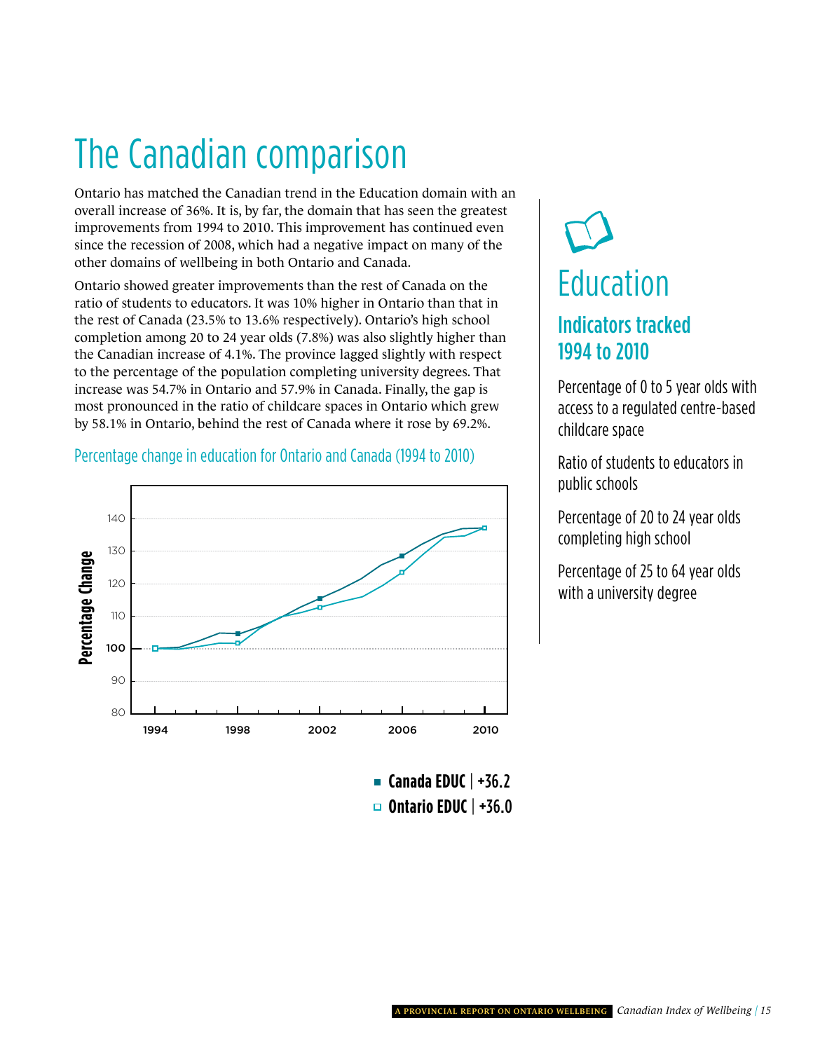## The Canadian comparison

Ontario has matched the Canadian trend in the Education domain with an overall increase of 36%. It is, by far, the domain that has seen the greatest improvements from 1994 to 2010. This improvement has continued even since the recession of 2008, which had a negative impact on many of the other domains of wellbeing in both Ontario and Canada.

io of childcare spaces in Ontario which at the rest of Canada where it rose by 69.<br>Summary 1994 to 2010, ion for Ontario and Canada (1994 to 2010) Ontario showed greater improvements than the rest of Canada on the ratio of students to educators. It was 10% higher in Ontario than that in the rest of Canada (23.5% to 13.6% respectively). Ontario's high school completion among 20 to 24 year olds (7.8%) was also slightly higher than the Canadian increase of 4.1%. The province lagged slightly with respect to the percentage of the population completing university degrees. That increase was 54.7% in Ontario and 57.9% in Canada. Finally, the gap is most pronounced in the ratio of childcare spaces in Ontario which grew by 58.1% in Ontario, behind the rest of Canada where it rose by 69.2%.

#### Percentage change in education for Ontario and Canada (1994 to 2010)



**Canada EDUC** | +36.2 **Ontario EDUC** | +36.0

# Education Indicators tracked 1994 to 2010

access to a regulated centre-based<br>childcare space Percentage of 0 to 5 year olds with childcare space

Ratio of students to educators in public schools

Percentage of 20 to 24 year olds completing high school

Percentage of 25 to 64 y<br>with a university degree Percentage of 25 to 64 year olds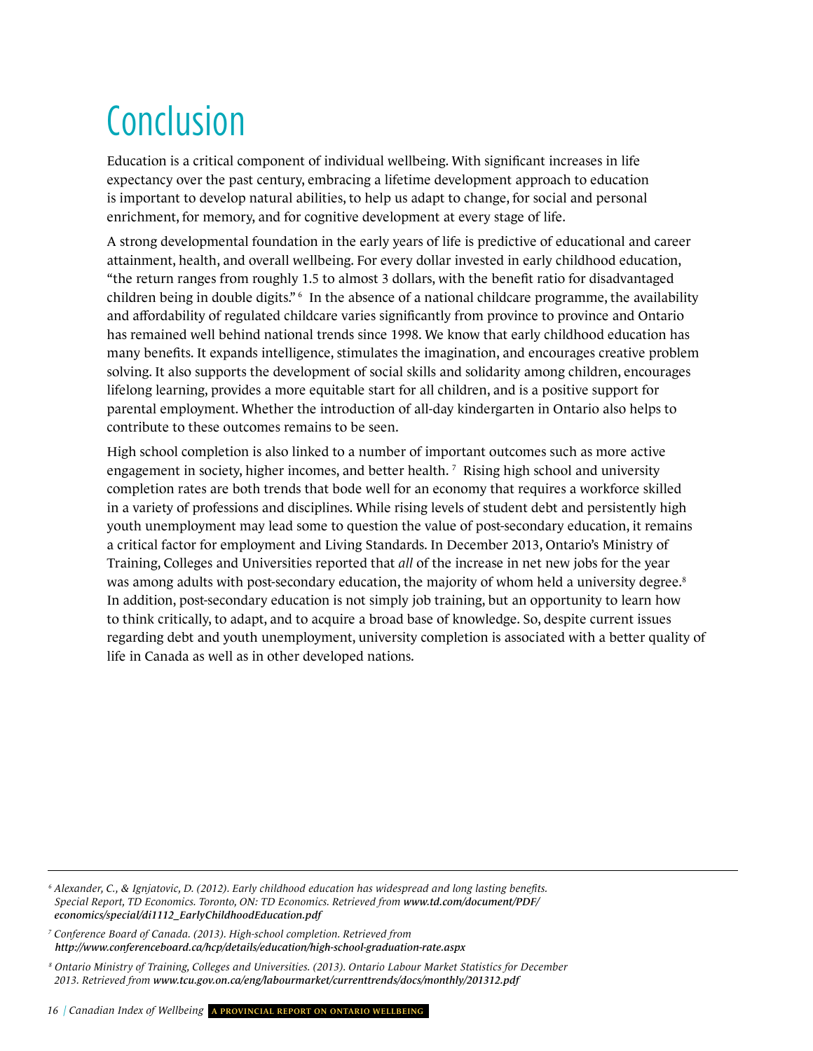# Conclusion

Education is a critical component of individual wellbeing. With significant increases in life expectancy over the past century, embracing a lifetime development approach to education is important to develop natural abilities, to help us adapt to change, for social and personal enrichment, for memory, and for cognitive development at every stage of life.

A strong developmental foundation in the early years of life is predictive of educational and career attainment, health, and overall wellbeing. For every dollar invested in early childhood education, "the return ranges from roughly 1.5 to almost 3 dollars, with the benefit ratio for disadvantaged children being in double digits." 6 In the absence of a national childcare programme, the availability and affordability of regulated childcare varies significantly from province to province and Ontario has remained well behind national trends since 1998. We know that early childhood education has many benefits. It expands intelligence, stimulates the imagination, and encourages creative problem solving. It also supports the development of social skills and solidarity among children, encourages lifelong learning, provides a more equitable start for all children, and is a positive support for parental employment. Whether the introduction of all-day kindergarten in Ontario also helps to contribute to these outcomes remains to be seen.

High school completion is also linked to a number of important outcomes such as more active engagement in society, higher incomes, and better health.<sup>7</sup> Rising high school and university completion rates are both trends that bode well for an economy that requires a workforce skilled in a variety of professions and disciplines. While rising levels of student debt and persistently high youth unemployment may lead some to question the value of post-secondary education, it remains a critical factor for employment and Living Standards. In December 2013, Ontario's Ministry of Training, Colleges and Universities reported that *all* of the increase in net new jobs for the year was among adults with post-secondary education, the majority of whom held a university degree.<sup>8</sup> In addition, post-secondary education is not simply job training, but an opportunity to learn how to think critically, to adapt, and to acquire a broad base of knowledge. So, despite current issues regarding debt and youth unemployment, university completion is associated with a better quality of life in Canada as well as in other developed nations.

<sup>7</sup> Conference Board of Canada. (2013). High-school completion. Retrieved from *<http://www.conferenceboard.ca/hcp/details/education/high-school-graduation-rate.aspx>*

*<sup>6</sup> Alexander, C., & Ignjatovic, D. (2012). Early childhood education has widespread and long lasting benefits. [Special Report, TD Economics. Toronto, ON: TD Economics. Retrieved from](http://www.td.com/document/PDF/economics/special/di1112_EarlyChildhoodEducation.pdf7) www.td.com/document/PDF/ economics/special/di1112\_EarlyChildhoodEducation.pdf*

*<sup>8</sup> Ontario Ministry of Training, Colleges and Universities. (2013). Ontario Labour Market Statistics for December 2013. Retrieved from [www.tcu.gov.on.ca/eng/labourmarket/currenttrends/docs/monthly/201312.pdf](http://www.tcu.gov.on.ca/eng/labourmarket/currenttrends/docs/monthly/201312.pdf)*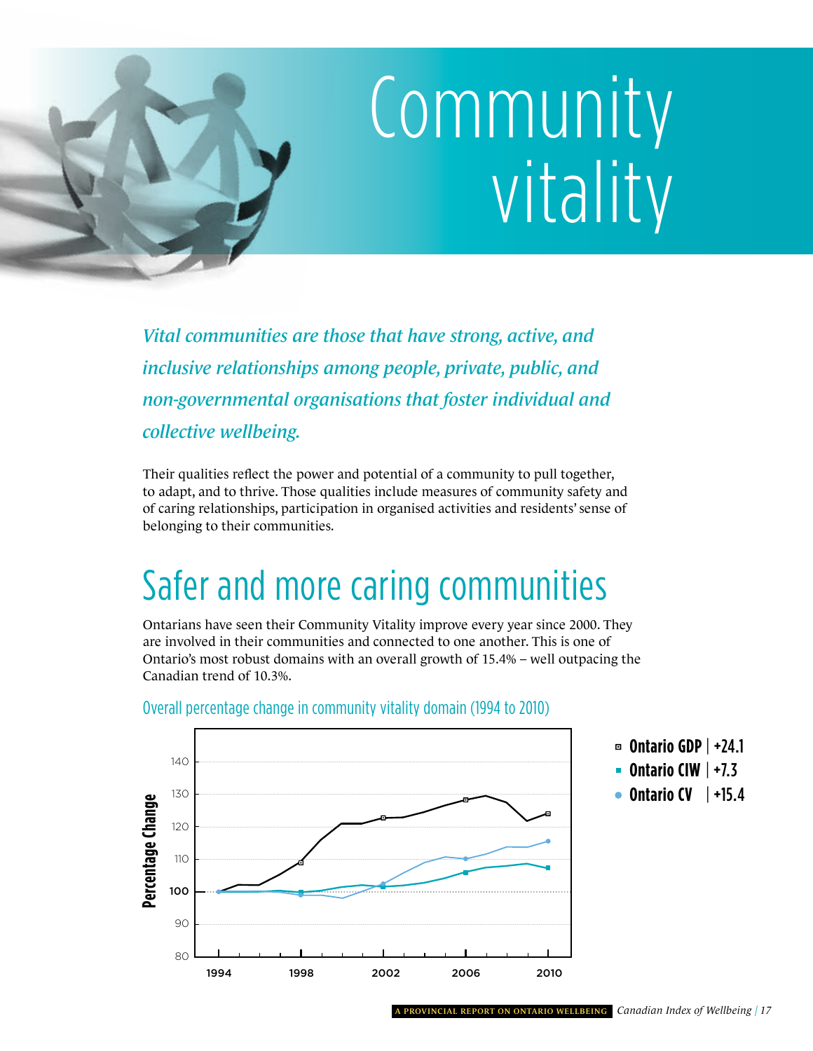<span id="page-20-0"></span>

*Vital communities are those that have strong, active, and inclusive relationships among people, private, public, and non-governmental organisations that foster individual and collective wellbeing.* 

Their qualities reflect the power and potential of a community to pull together, to adapt, and to thrive. Those qualities include measures of community safety and of caring relationships, participation in organised activities and residents' sense of belonging to their communities.

## safer and more caring communities

Ontarians have seen their Community Vitality improve every year since 2000. They are involved in their communities and connected to one another. This is one of Ontario's most robust domains with an overall growth of 15.4% – well outpacing the Canadian trend of 10.3%.



Overall percentage change in community vitality domain (1994 to 2010)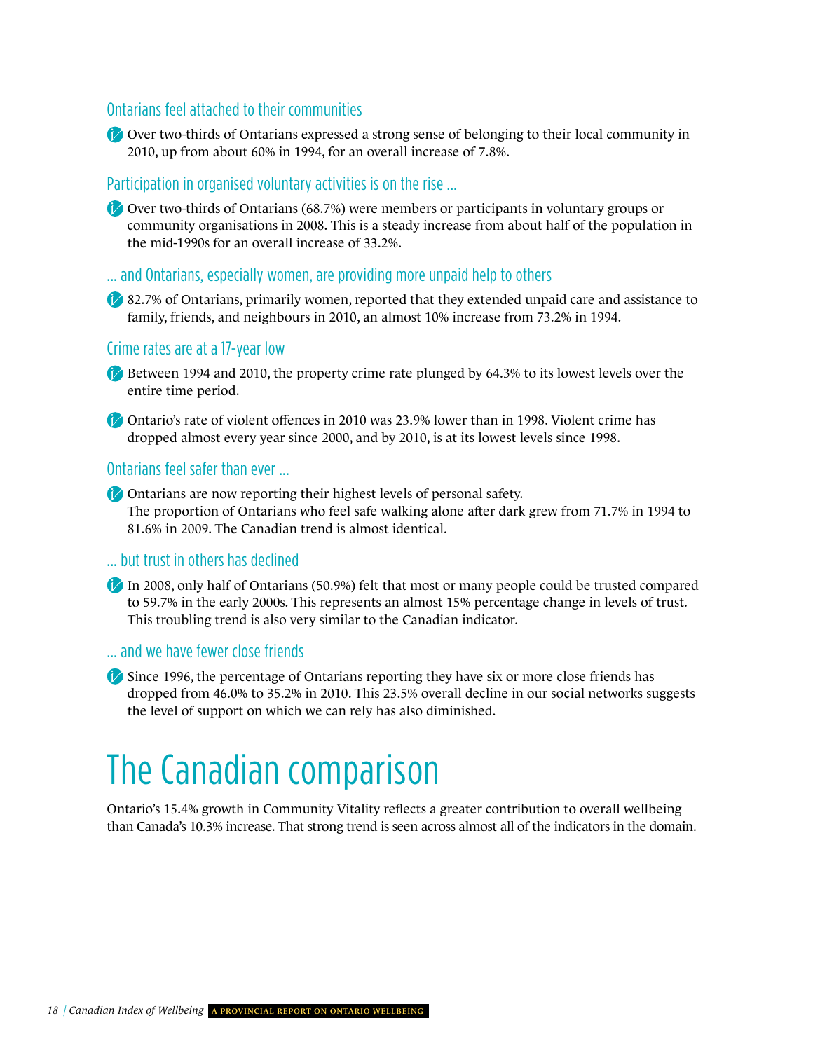#### Ontarians feel attached to their communities

Over two-thirds of Ontarians expressed a strong sense of belonging to their local community in 2010, up from about 60% in 1994, for an overall increase of 7.8%.

#### Participation in organised voluntary activities is on the rise …

Over two-thirds of Ontarians (68.7%) were members or participants in voluntary groups or community organisations in 2008. This is a steady increase from about half of the population in the mid-1990s for an overall increase of 33.2%.

… and Ontarians, especially women, are providing more unpaid help to others

82.7% of Ontarians, primarily women, reported that they extended unpaid care and assistance to family, friends, and neighbours in 2010, an almost 10% increase from 73.2% in 1994.

#### Crime rates are at a 17-year low

- Between 1994 and 2010, the property crime rate plunged by 64.3% to its lowest levels over the entire time period.
- Ontario's rate of violent offences in 2010 was 23.9% lower than in 1998. Violent crime has dropped almost every year since 2000, and by 2010, is at its lowest levels since 1998.

#### Ontarians feel safer than ever …

Ontarians are now reporting their highest levels of personal safety. The proportion of Ontarians who feel safe walking alone after dark grew from 71.7% in 1994 to 81.6% in 2009. The Canadian trend is almost identical.

#### … but trust in others has declined

In 2008, only half of Ontarians (50.9%) felt that most or many people could be trusted compared to 59.7% in the early 2000s. This represents an almost 15% percentage change in levels of trust. This troubling trend is also very similar to the Canadian indicator.

#### … and we have fewer close friends

Since 1996, the percentage of Ontarians reporting they have six or more close friends has dropped from 46.0% to 35.2% in 2010. This 23.5% overall decline in our social networks suggests the level of support on which we can rely has also diminished.

### The Canadian comparison

Ontario's 15.4% growth in Community Vitality reflects a greater contribution to overall wellbeing than Canada's 10.3% increase. That strong trend is seen across almost all of the indicators in the domain.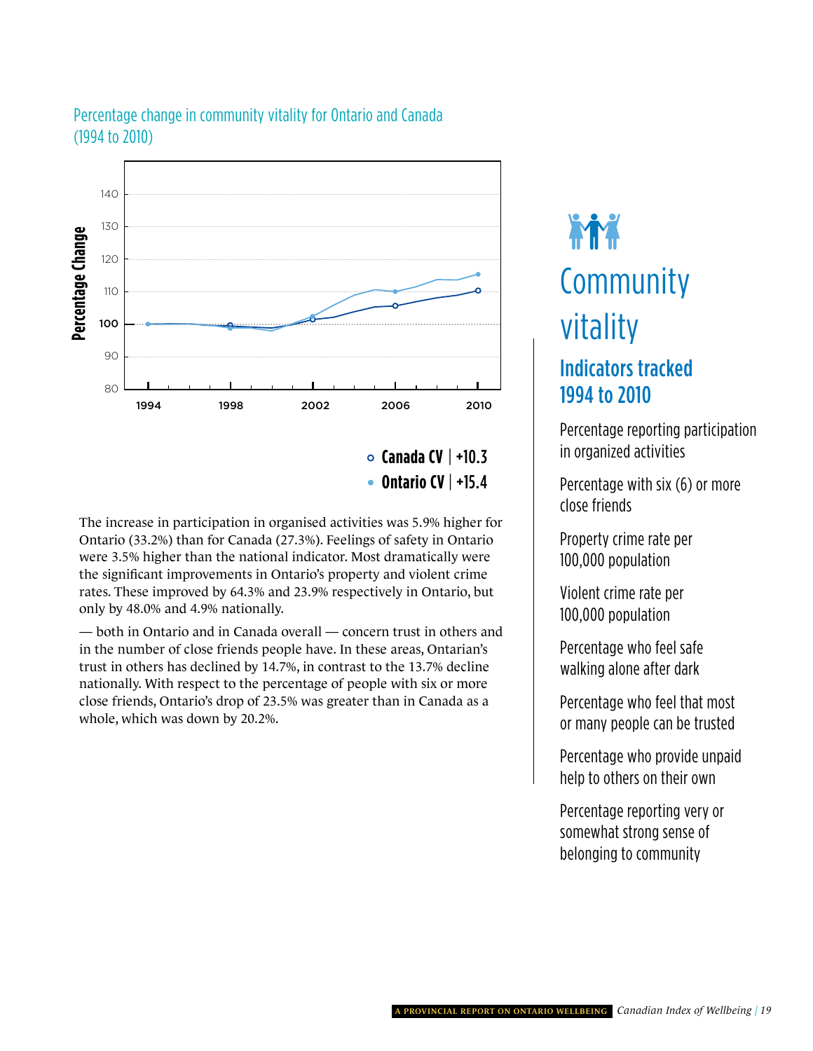

### summary Percentage change in community vitality for Ontario and Canada (1994 to 2010)

**Canada CV** | +10.3 **Ontario CV** | +15.4

The increase in participation in organised activities was 5.9% higher for Ontario (33.2%) than for Canada (27.3%). Feelings of safety in Ontario were 3.5% higher than the national indicator. Most dramatically were the significant improvements in Ontario's property and violent crime rates. These improved by 64.3% and 23.9% respectively in Ontario, but only by 48.0% and 4.9% nationally.

— both in Ontario and in Canada overall — concern trust in others and in the number of close friends people have. In these areas, Ontarian's trust in others has declined by 14.7%, in contrast to the 13.7% decline nationally. With respect to the percentage of people with six or more close friends, Ontario's drop of 23.5% was greater than in Canada as a whole, which was down by 20.2%.

## **THE** Community Community vitality

### Indicators tracked 1994 to 2010

n organized activities Percentage reporting participation

Percentage with six (6) or more<br>close friends close friends

Property crime rate per 100,000 population

100,000 population Violent crime rate per

Percentage who feel safe<br>walking alone after dark Percentage who feel safe

Percentage who feel that most or many people can be trusted

Percentage who provide unpaid help to others on their own

recommage reporting very or<br>somewhat strong sense of<br>helonging to community Percentage reporting very or somewhat strong sense of belonging to community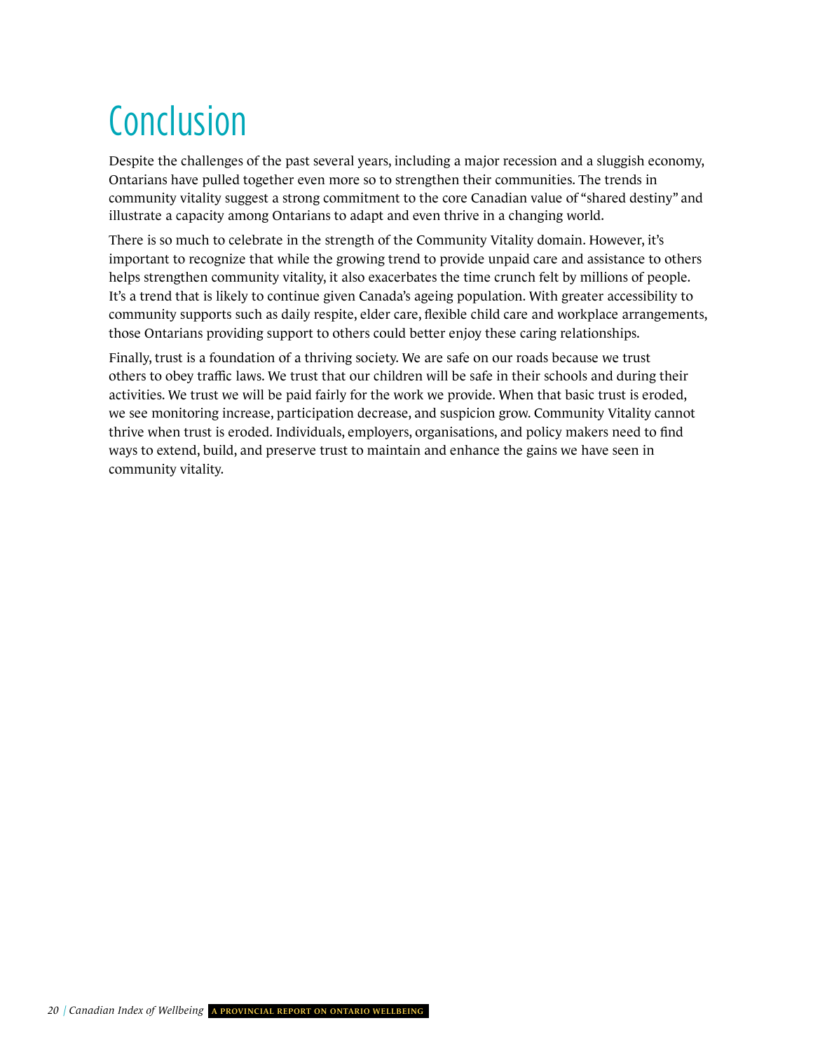## Conclusion

Despite the challenges of the past several years, including a major recession and a sluggish economy, Ontarians have pulled together even more so to strengthen their communities. The trends in community vitality suggest a strong commitment to the core Canadian value of "shared destiny" and illustrate a capacity among Ontarians to adapt and even thrive in a changing world.

There is so much to celebrate in the strength of the Community Vitality domain. However, it's important to recognize that while the growing trend to provide unpaid care and assistance to others helps strengthen community vitality, it also exacerbates the time crunch felt by millions of people. It's a trend that is likely to continue given Canada's ageing population. With greater accessibility to community supports such as daily respite, elder care, flexible child care and workplace arrangements, those Ontarians providing support to others could better enjoy these caring relationships.

Finally, trust is a foundation of a thriving society. We are safe on our roads because we trust others to obey traffic laws. We trust that our children will be safe in their schools and during their activities. We trust we will be paid fairly for the work we provide. When that basic trust is eroded, we see monitoring increase, participation decrease, and suspicion grow. Community Vitality cannot thrive when trust is eroded. Individuals, employers, organisations, and policy makers need to find ways to extend, build, and preserve trust to maintain and enhance the gains we have seen in community vitality.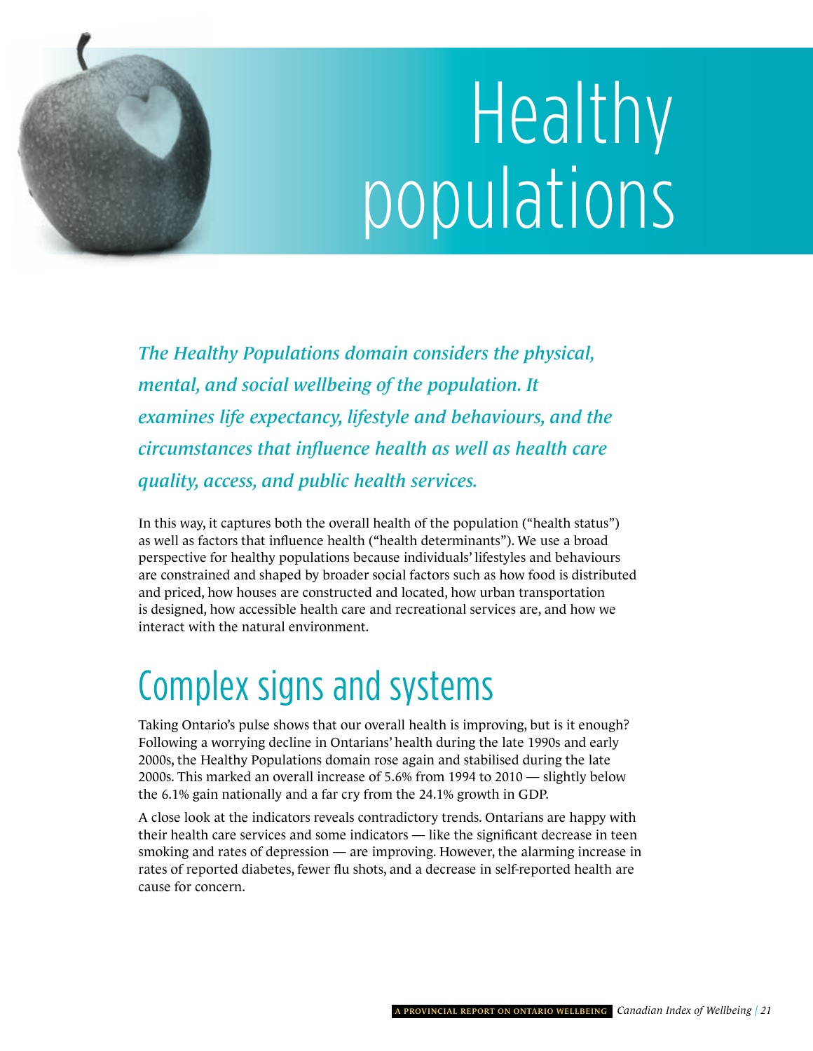<span id="page-24-0"></span>

# Healthy populations

*The Healthy Populations domain considers the physical, mental, and social wellbeing of the population. It examines life expectancy, lifestyle and behaviours, and the circumstances that influence health as well as health care quality, access, and public health services.*

In this way, it captures both the overall health of the population ("health status") as well as factors that influence health ("health determinants"). We use a broad perspective for healthy populations because individuals' lifestyles and behaviours are constrained and shaped by broader social factors such as how food is distributed and priced, how houses are constructed and located, how urban transportation is designed, how accessible health care and recreational services are, and how we interact with the natural environment.

## Complex signs and systems

Taking Ontario's pulse shows that our overall health is improving, but is it enough? Following a worrying decline in Ontarians' health during the late 1990s and early 2000s, the Healthy Populations domain rose again and stabilised during the late 2000s. This marked an overall increase of 5.6% from 1994 to 2010 — slightly below the 6.1% gain nationally and a far cry from the 24.1% growth in GDP.

A close look at the indicators reveals contradictory trends. Ontarians are happy with their health care services and some indicators — like the significant decrease in teen smoking and rates of depression — are improving. However, the alarming increase in rates of reported diabetes, fewer flu shots, and a decrease in self-reported health are cause for concern.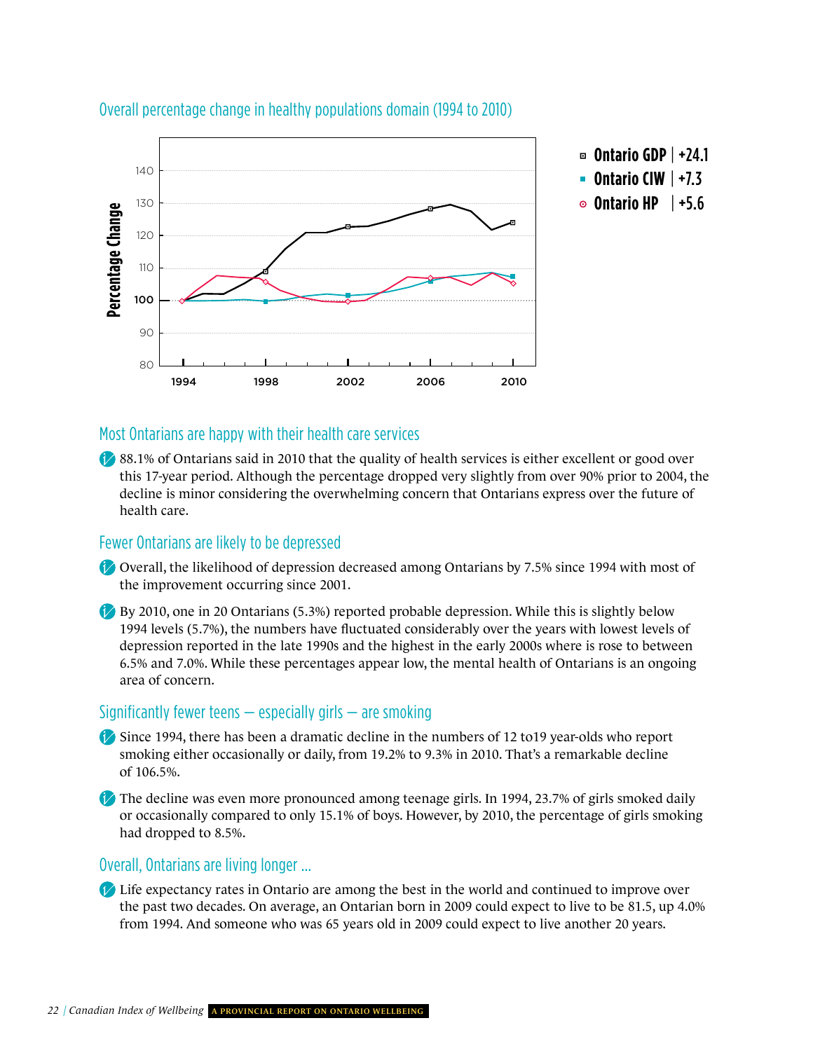

#### Overall percentage change in healthy populations domain (1994 to 2010)

#### Most Ontarians are happy with their health care services

88.1% of Ontarians said in 2010 that the quality of health services is either excellent or good over this 17-year period. Although the percentage dropped very slightly from over 90% prior to 2004, the decline is minor considering the overwhelming concern that Ontarians express over the future of health care.

#### Fewer Ontarians are likely to be depressed

- Overall, the likelihood of depression decreased among Ontarians by 7.5% since 1994 with most of the improvement occurring since 2001.
- By 2010, one in 20 Ontarians (5.3%) reported probable depression. While this is slightly below 1994 levels (5.7%), the numbers have fluctuated considerably over the years with lowest levels of depression reported in the late 1990s and the highest in the early 2000s where is rose to between 6.5% and 7.0%. While these percentages appear low, the mental health of Ontarians is an ongoing area of concern.

#### Significantly fewer teens  $-$  especially girls  $-$  are smoking

Since 1994, there has been a dramatic decline in the numbers of 12 to19 year-olds who report smoking either occasionally or daily, from 19.2% to 9.3% in 2010. That's a remarkable decline of 106.5%.

The decline was even more pronounced among teenage girls. In 1994, 23.7% of girls smoked daily or occasionally compared to only 15.1% of boys. However, by 2010, the percentage of girls smoking had dropped to 8.5%.

#### Overall, Ontarians are living longer …

Life expectancy rates in Ontario are among the best in the world and continued to improve over the past two decades. On average, an Ontarian born in 2009 could expect to live to be 81.5, up 4.0% from 1994. And someone who was 65 years old in 2009 could expect to live another 20 years.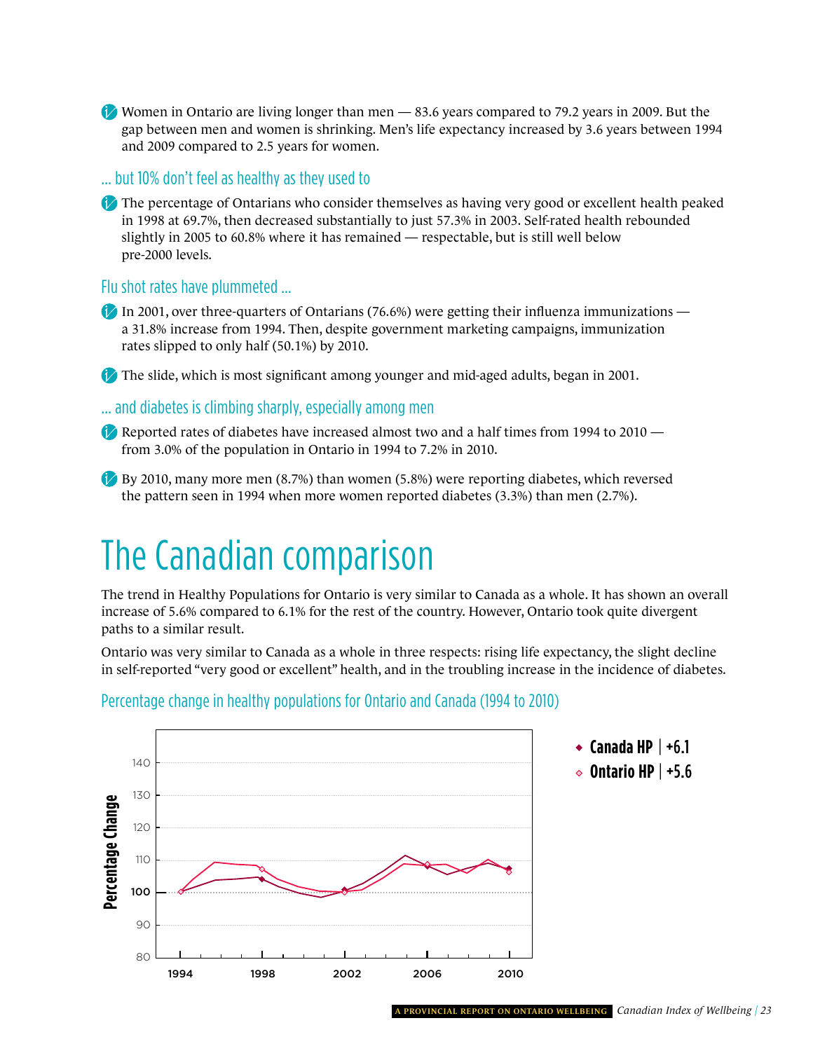Women in Ontario are living longer than men — 83.6 years compared to 79.2 years in 2009. But the gap between men and women is shrinking. Men's life expectancy increased by 3.6 years between 1994 and 2009 compared to 2.5 years for women.

… but 10% don't feel as healthy as they used to

The percentage of Ontarians who consider themselves as having very good or excellent health peaked in 1998 at 69.7%, then decreased substantially to just 57.3% in 2003. Self-rated health rebounded slightly in 2005 to 60.8% where it has remained — respectable, but is still well below pre-2000 levels.

Flu shot rates have plummeted …

In 2001, over three-quarters of Ontarians (76.6%) were getting their influenza immunizations a 31.8% increase from 1994. Then, despite government marketing campaigns, immunization rates slipped to only half (50.1%) by 2010.

The slide, which is most significant among younger and mid-aged adults, began in 2001.

… and diabetes is climbing sharply, especially among men

Reported rates of diabetes have increased almost two and a half times from 1994 to 2010 from 3.0% of the population in Ontario in 1994 to 7.2% in 2010.

By 2010, many more men (8.7%) than women (5.8%) were reporting diabetes, which reversed the pattern seen in 1994 when more women reported diabetes (3.3%) than men (2.7%).

### The Canadian comparison

The trend in Healthy Populations for Ontario is very similar to Canada as a whole. It has shown an overall increase of 5.6% compared to 6.1% for the rest of the country. However, Ontario took quite divergent paths to a similar result.

Ontario was very similar to Canada as a whole in three respects: rising life expectancy, the slight decline in self-reported "very good or excellent" health, and in the troubling increase in the incidence of diabetes.



#### Percentage change in healthy populations for Ontario and Canada (1994 to 2010)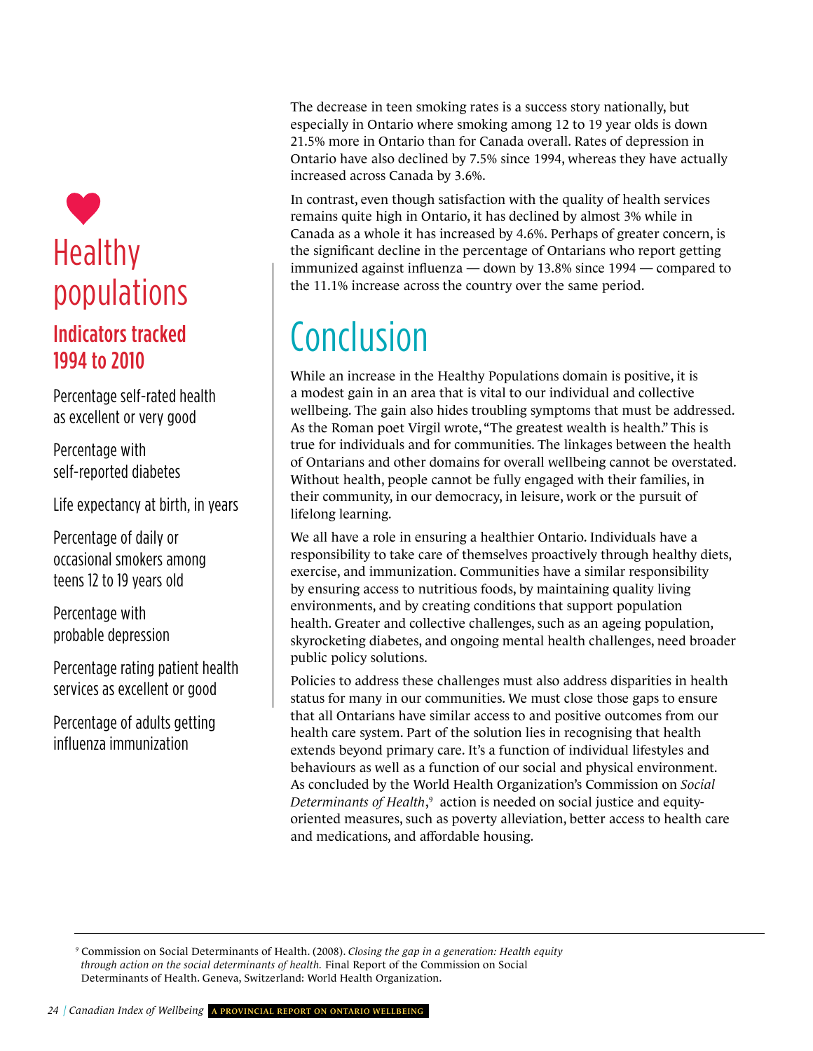## Healthy healthy populations **CANADA** the 11.1% inc Indicators tracked 1994 to 2010

Percentage self-rated health as excellent or very good

Percentage with true for indiv<br>
self-reported diabetes vithout heal Percentage with

Life expectancy at birth, in years

teens 12 to 19 years old Percentage of daily or occasional smokers among

Percentage with<br>probable depression Percentage with

Percentage rating patient health services as excellent or good

Percentage of adults getting influenza immunization

The decrease<br>especially in<br>21.5% more in +7.0 +15.4 The decrease in teen smoking rates is a success story nationally, but especially in Ontario where smoking among 12 to 19 year olds is down<br>21.5% more in Ontario than for Canada overall. Rates of depression in especially in Ontario where smoking among 12 to 19 year olds is down Ontario have also declined by 7.5% since 1994, whereas they have actually increased across Canada by 3.6%.

> immunized against influenza — down by 13.8% since  $1994$  — compared to In contrast, even though satisfaction with the quality of health services remains quite high in Ontario, it has declined by almost 3% while in Canada as a whole it has increased by 4.6%. Perhaps of greater concern, is the significant decline in the percentage of Ontarians who report getting the 11.1% increase across the country over the same period.

## Conclusion

As the Roman poet virgin wrote, "The greatest wealth is health." This is<br>true for individuals and for communities. The linkages between the health or Ontarians and other domains for overan wenbeing cannot be overst<br>Without health, people cannot be fully engaged with their families, in While an increase in the Healthy Populations domain is positive, it is a modest gain in an area that is vital to our individual and collective wellbeing. The gain also hides troubling symptoms that must be addressed. As the Roman poet Virgil wrote, "The greatest wealth is health." This is of Ontarians and other domains for overall wellbeing cannot be overstated. their community, in our democracy, in leisure, work or the pursuit of lifelong learning.

**CANADA IN THE CANADA CANADA CANADA INTERFERITOR CONSUMING THE CANADA CANADA INTERFERITOR** by ensuring access to nutritious foods, by maintaining quality living We all have a role in ensuring a healthier Ontario. Individuals have a exercise, and immunization. Communities have a similar responsibility environments, and by creating conditions that support population health. Greater and collective challenges, such as an ageing population, skyrocketing diabetes, and ongoing mental health challenges, need broader public policy solutions.

that all Ontarians have similar access to and positive outcomes from our health<br>health care system. Part of the solution lies in recognising that health extends beyond primary care. it's a function of individual lifestyles and<br>behaviours as well as a function of our social and physical environment. Policies to address these challenges must also address disparities in health status for many in our communities. We must close those gaps to ensure health care system. Part of the solution lies in recognising that health extends beyond primary care. It's a function of individual lifestyles and As concluded by the World Health Organization's Commission on *Social*  Determinants of Health,<sup>9</sup> action is needed on social justice and equityoriented measures, such as poverty alleviation, better access to health care and medications, and affordable housing.

*<sup>9</sup>* Commission on Social Determinants of Health. (2008). *Closing the gap in a generation: Health equity through action on the social determinants of health.* Final Report of the Commission on Social Determinants of Health. Geneva, Switzerland: World Health Organization.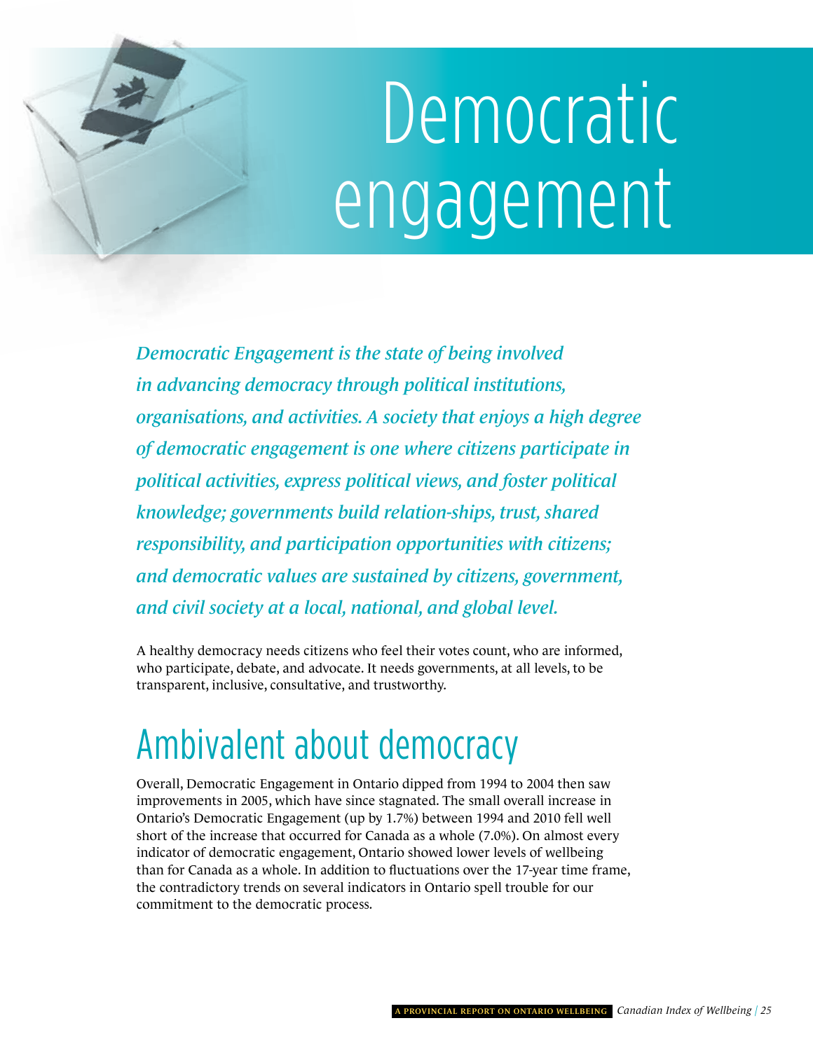# <span id="page-28-0"></span>Democratic engagement

*Democratic Engagement is the state of being involved in advancing democracy through political institutions, organisations, and activities. A society that enjoys a high degree of democratic engagement is one where citizens participate in political activities, express political views, and foster political knowledge; governments build relation-ships, trust, shared responsibility, and participation opportunities with citizens; and democratic values are sustained by citizens, government, and civil society at a local, national, and global level.*

A healthy democracy needs citizens who feel their votes count, who are informed, who participate, debate, and advocate. It needs governments, at all levels, to be transparent, inclusive, consultative, and trustworthy.

### ambivalent about democracy

Overall, Democratic Engagement in Ontario dipped from 1994 to 2004 then saw improvements in 2005, which have since stagnated. The small overall increase in Ontario's Democratic Engagement (up by 1.7%) between 1994 and 2010 fell well short of the increase that occurred for Canada as a whole (7.0%). On almost every indicator of democratic engagement, Ontario showed lower levels of wellbeing than for Canada as a whole. In addition to fluctuations over the 17-year time frame, the contradictory trends on several indicators in Ontario spell trouble for our commitment to the democratic process.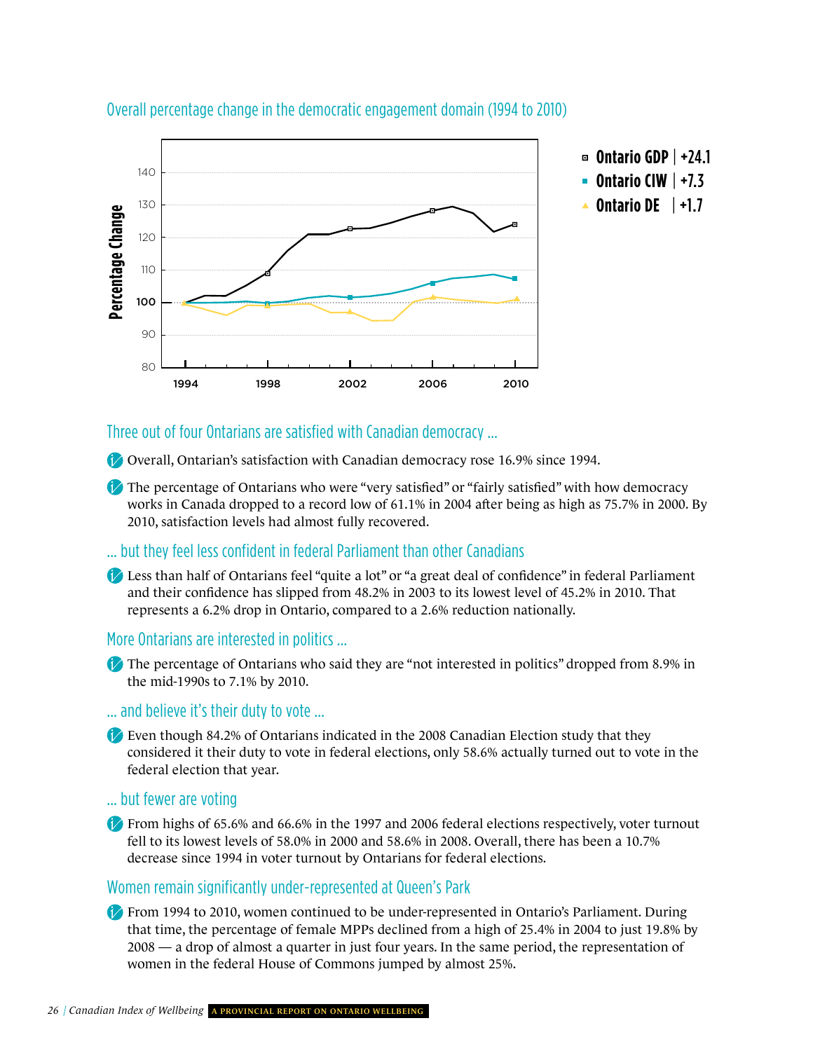

#### Overall percentage change in the democratic engagement domain (1994 to 2010)

#### three out of four Ontarians are satisfied with Canadian democracy …

Overall, Ontarian's satisfaction with Canadian democracy rose 16.9% since 1994.

The percentage of Ontarians who were "very satisfied" or "fairly satisfied" with how democracy works in Canada dropped to a record low of 61.1% in 2004 after being as high as 75.7% in 2000. By 2010, satisfaction levels had almost fully recovered.

#### … but they feel less confident in federal Parliament than other Canadians

Less than half of Ontarians feel "quite a lot" or "a great deal of confidence" in federal Parliament and their confidence has slipped from 48.2% in 2003 to its lowest level of 45.2% in 2010. That represents a 6.2% drop in Ontario, compared to a 2.6% reduction nationally.

#### More Ontarians are interested in politics …

The percentage of Ontarians who said they are "not interested in politics" dropped from 8.9% in the mid-1990s to 7.1% by 2010.

… and believe it's their duty to vote …

Even though 84.2% of Ontarians indicated in the 2008 Canadian Election study that they considered it their duty to vote in federal elections, only 58.6% actually turned out to vote in the federal election that year.

… but fewer are voting

From highs of 65.6% and 66.6% in the 1997 and 2006 federal elections respectively, voter turnout fell to its lowest levels of 58.0% in 2000 and 58.6% in 2008. Overall, there has been a 10.7% decrease since 1994 in voter turnout by Ontarians for federal elections.

#### women remain significantly under-represented at Queen's Park

From 1994 to 2010, women continued to be under-represented in Ontario's Parliament. During that time, the percentage of female MPPs declined from a high of 25.4% in 2004 to just 19.8% by 2008 — a drop of almost a quarter in just four years. In the same period, the representation of women in the federal House of Commons jumped by almost 25%.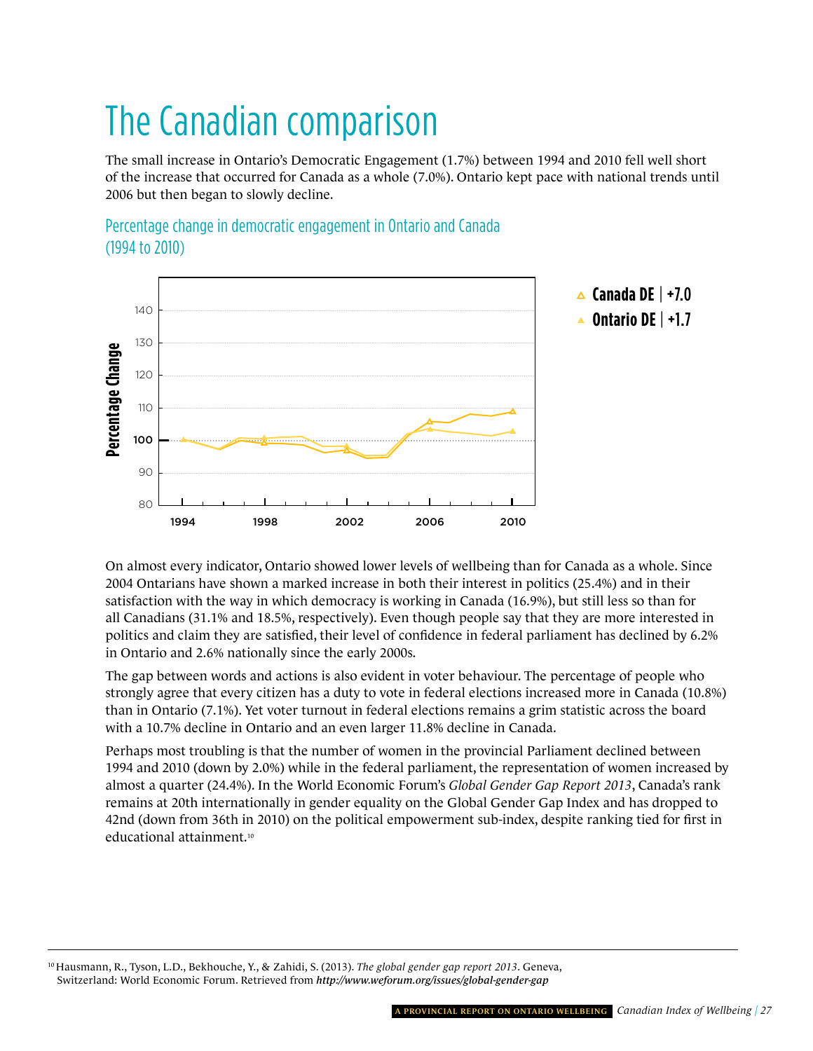## The Canadian comparison

The small increase in Ontario's Democratic Engagement (1.7%) between 1994 and 2010 fell well short of the increase that occurred for Canada as a whole (7.0%). Ontario kept pace with national trends until 2006 but then began to slowly decline.



Percentage change in democratic engagement in Ontario and Canada (1994 to 2010)

On almost every indicator, Ontario showed lower levels of wellbeing than for Canada as a whole. Since 2004 Ontarians have shown a marked increase in both their interest in politics (25.4%) and in their satisfaction with the way in which democracy is working in Canada (16.9%), but still less so than for all Canadians (31.1% and 18.5%, respectively). Even though people say that they are more interested in politics and claim they are satisfied, their level of confidence in federal parliament has declined by 6.2% in Ontario and 2.6% nationally since the early 2000s.

The gap between words and actions is also evident in voter behaviour. The percentage of people who strongly agree that every citizen has a duty to vote in federal elections increased more in Canada (10.8%) than in Ontario (7.1%). Yet voter turnout in federal elections remains a grim statistic across the board with a 10.7% decline in Ontario and an even larger 11.8% decline in Canada.

Perhaps most troubling is that the number of women in the provincial Parliament declined between 1994 and 2010 (down by 2.0%) while in the federal parliament, the representation of women increased by almost a quarter (24.4%). In the World Economic Forum's *Global Gender Gap Report 2013*, Canada's rank remains at 20th internationally in gender equality on the Global Gender Gap Index and has dropped to 42nd (down from 36th in 2010) on the political empowerment sub-index, despite ranking tied for first in educational attainment.10

<sup>10</sup> Hausmann, R., Tyson, L.D., Bekhouche, Y., & Zahidi, S. (2013). *The global gender gap report 2013*. Geneva, Switzerland: World Economic Forum. Retrieved from *<http://www.weforum.org/issues/global-gender-gap>*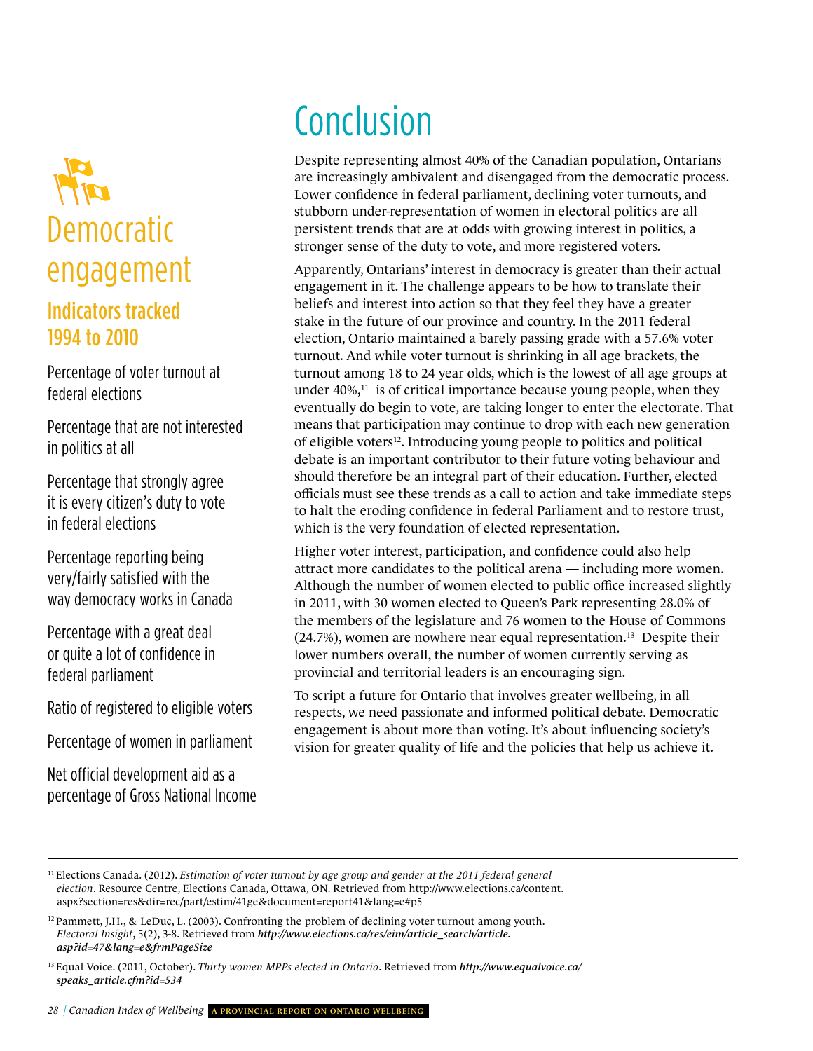

federal elections Percentage of voter turnout at

Percentage that are not interested<br>
in politics at all<br>
in politics at all<br>
all<br>
abate is an in politics at all

Percentage that strongly agree it is every citizen's duty to vote in federal elections

way democracy works in Canada in 2011, with<br>Percentage with a great deal Percentage reporting being very/fairly satisfied with the

Percentage with a great deal or quite a lot of confidence in federal parliament

Ratio of registered to eligible voters

Percentage of women in parliament

Net official development aid as a<br>percentage of Gross National Inco percentage of gross national income

# **Conclusion**

stronger sense of the duty to vote, and more registered voters. Despite representing almost 40% of the Canadian population, Ontarians are increasingly ambivalent and disengaged from the democratic process. Lower confidence in federal parliament, declining voter turnouts, and stubborn under-representation of women in electoral politics are all persistent trends that are at odds with growing interest in politics, a

**ONTARIO** engagement in it. The challenge appears to be how to translate their eventually do begin to vote, are taking longer to enter the electorate. That<br>means that participation may continue to drop with each new generation or engible voters<sup>..</sup>. Introducing young people to politics and political<br>debate is an important contributor to their future voting behaviour and Apparently, Ontarians' interest in democracy is greater than their actual beliefs and interest into action so that they feel they have a greater stake in the future of our province and country. In the 2011 federal election, Ontario maintained a barely passing grade with a 57.6% voter turnout. And while voter turnout is shrinking in all age brackets, the turnout among 18 to 24 year olds, which is the lowest of all age groups at under  $40\%,<sup>11</sup>$  is of critical importance because young people, when they eventually do begin to vote, are taking longer to enter the electorate. That of eligible voters<sup>12</sup>. Introducing young people to politics and political should therefore be an integral part of their education. Further, elected officials must see these trends as a call to action and take immediate steps to halt the eroding confidence in federal Parliament and to restore trust, which is the very foundation of elected representation.

Although the number of women elected to public office increased slightly the members of the legislature and 76 women to the House of Commons Higher voter interest, participation, and confidence could also help attract more candidates to the political arena — including more women. in 2011, with 30 women elected to Queen's Park representing 28.0% of  $(24.7\%)$ , women are nowhere near equal representation.<sup>13</sup> Despite their lower numbers overall, the number of women currently serving as provincial and territorial leaders is an encouraging sign.

To script a future for Ontario that involves greater wellbeing, in all<br>respects we need passionate and informed political debate. Democ engagement is about more than voting. It's about influencing society's<br>vision for greater quality of life and the policies that help us achieve it. respects, we need passionate and informed political debate. Democratic engagement is about more than voting. It's about influencing society's

<sup>&</sup>lt;sup>11</sup> Elections Canada. (2012). *Estimation of voter turnout by age group and gender at the 2011 federal general* -7.8 aspx?section=res&dir=rec/part/estim/41ge&document=report41&lang=e#p5 aspx?section=res&dir=rec/part/estim/41ge&document=report41&lang=e#p5<br><sup>12</sup> Pammett, J.H., & LeDuc, L. (2003). Confronting the problem of declining voter turnout among youth. *election*[. Resource Centre, Elections Canada, Ottawa, ON. Retrieved from http://www.elections.ca/content.](http://www.elections.ca/content.aspx?section=res&dir=rec/part/estim/41ge&document=report41&lang=e#p5)

Electoral Insight, 5(2), 3-8. Retrieved from *http://www.elections.ca/res/eim/article\_search/article.*<br>asp?id=47&lang=e&frmPageSize<br><sup>13 Equal Voice (2011, October), Thirty women MPPs elected in Ontario, Petrieved from http</sup> *asp?id=47&lang=e&frmPageSize* 

<sup>13</sup> Equal Voice. (2011, October). *[Thirty women MPPs elected in Ontario](http://www.equalvoice.ca/speaks_article.cfm?id=534)*. Retrieved from *http://www.equalvoice.ca/ speaks\_article.cfm?id=534*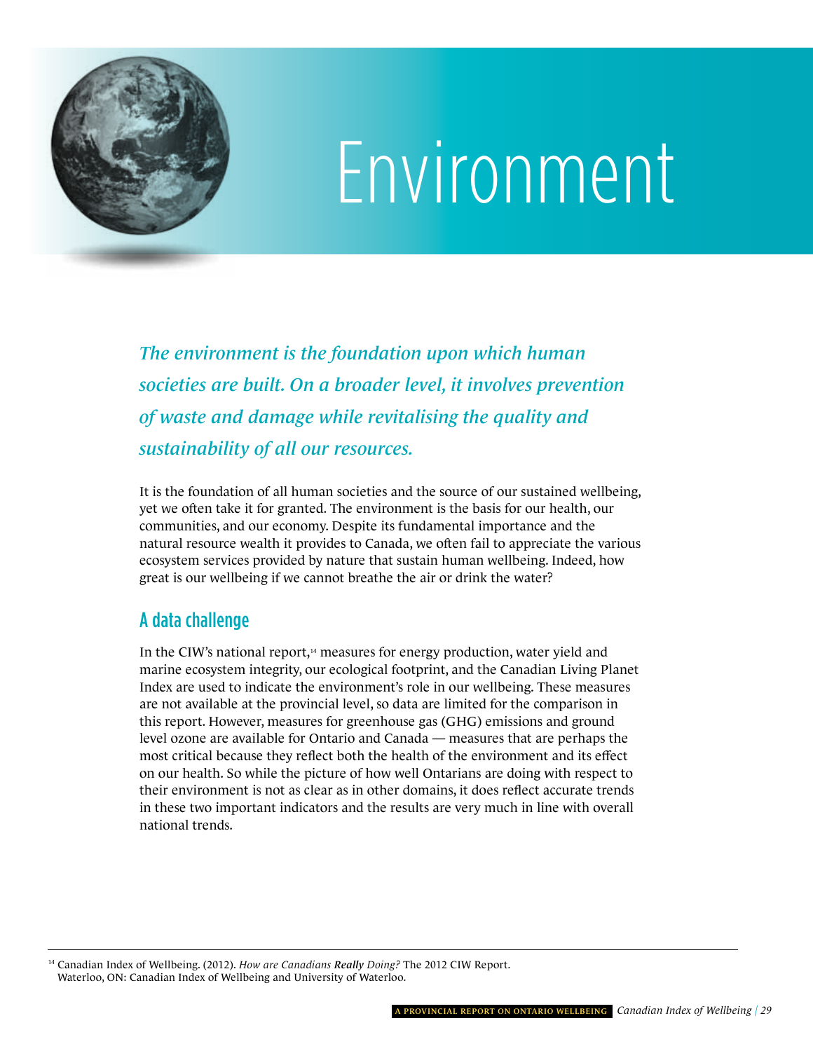<span id="page-32-0"></span>

# Environment

*The environment is the foundation upon which human societies are built. On a broader level, it involves prevention of waste and damage while revitalising the quality and sustainability of all our resources.*

It is the foundation of all human societies and the source of our sustained wellbeing, yet we often take it for granted. The environment is the basis for our health, our communities, and our economy. Despite its fundamental importance and the natural resource wealth it provides to Canada, we often fail to appreciate the various ecosystem services provided by nature that sustain human wellbeing. Indeed, how great is our wellbeing if we cannot breathe the air or drink the water?

### A data challenge

In the CIW's national report,<sup>14</sup> measures for energy production, water yield and marine ecosystem integrity, our ecological footprint, and the Canadian Living Planet Index are used to indicate the environment's role in our wellbeing. These measures are not available at the provincial level, so data are limited for the comparison in this report. However, measures for greenhouse gas (GHG) emissions and ground level ozone are available for Ontario and Canada — measures that are perhaps the most critical because they reflect both the health of the environment and its effect on our health. So while the picture of how well Ontarians are doing with respect to their environment is not as clear as in other domains, it does reflect accurate trends in these two important indicators and the results are very much in line with overall national trends.

<sup>14</sup> Canadian Index of Wellbeing. (2012). *How are Canadians Really Doing?* The 2012 CIW Report. Waterloo, ON: Canadian Index of Wellbeing and University of Waterloo.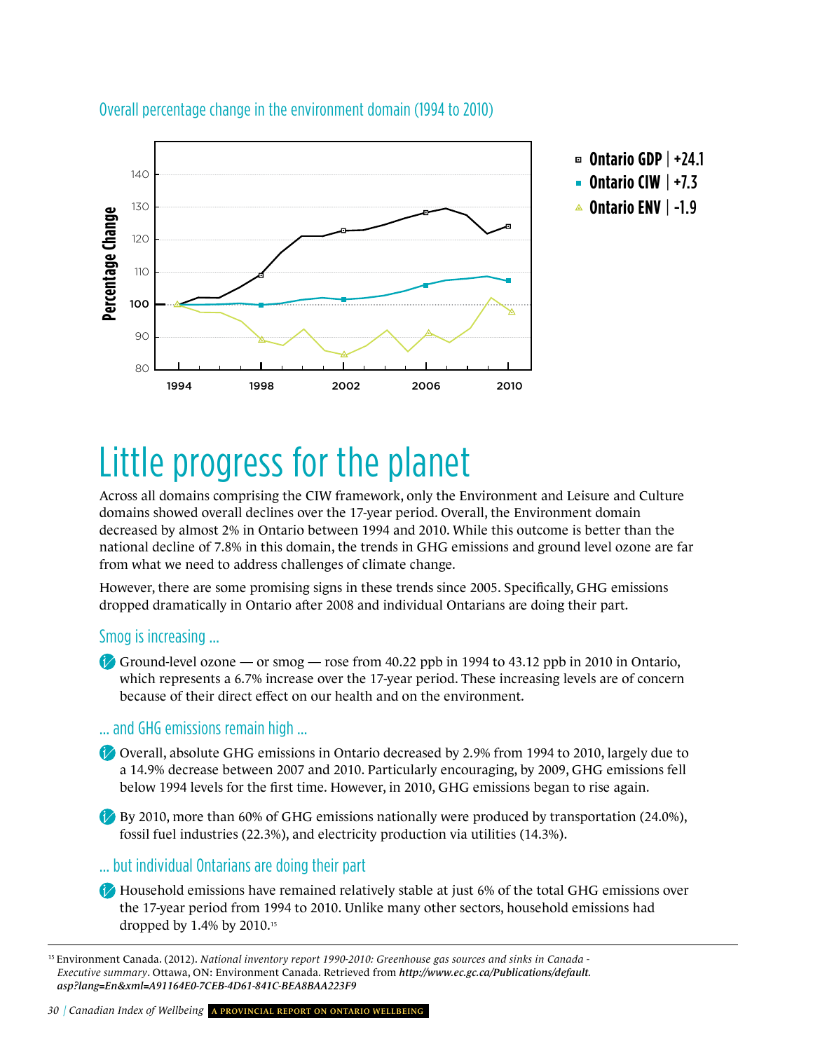

#### Overall percentage change in the environment domain (1994 to 2010)

### Little progress for the planet

Across all domains comprising the CIW framework, only the Environment and Leisure and Culture domains showed overall declines over the 17-year period. Overall, the Environment domain decreased by almost 2% in Ontario between 1994 and 2010. While this outcome is better than the national decline of 7.8% in this domain, the trends in GHG emissions and ground level ozone are far from what we need to address challenges of climate change.

However, there are some promising signs in these trends since 2005. Specifically, GHG emissions dropped dramatically in Ontario after 2008 and individual Ontarians are doing their part.

#### smog is increasing …

Ground-level ozone — or smog — rose from 40.22 ppb in 1994 to 43.12 ppb in 2010 in Ontario, which represents a 6.7% increase over the 17-year period. These increasing levels are of concern because of their direct effect on our health and on the environment.

#### … and ghg emissions remain high …

- Overall, absolute GHG emissions in Ontario decreased by 2.9% from 1994 to 2010, largely due to a 14.9% decrease between 2007 and 2010. Particularly encouraging, by 2009, GHG emissions fell below 1994 levels for the first time. However, in 2010, GHG emissions began to rise again.
- By 2010, more than 60% of GHG emissions nationally were produced by transportation  $(24.0\%)$ , fossil fuel industries (22.3%), and electricity production via utilities (14.3%).

#### … but individual Ontarians are doing their part

Household emissions have remained relatively stable at just 6% of the total GHG emissions over the 17-year period from 1994 to 2010. Unlike many other sectors, household emissions had dropped by 1.4% by 2010.15

<sup>15</sup> Environment Canada. (2012). *National inventory report 1990-2010: Greenhouse gas sources and sinks in Canada - Executive summary*. Ottawa, ON: Environment Canada. Retrieved from *http://www.ec.gc.ca/Publications/default. [asp?lang=En&xml=A91164E0-7CEB-4D61-841C-BEA8BAA223F9](http://www.ec.gc.ca/Publications/default.asp?lang=En&xml=A91164E0-7CEB-4D61-841C-BEA8BAA223F9)*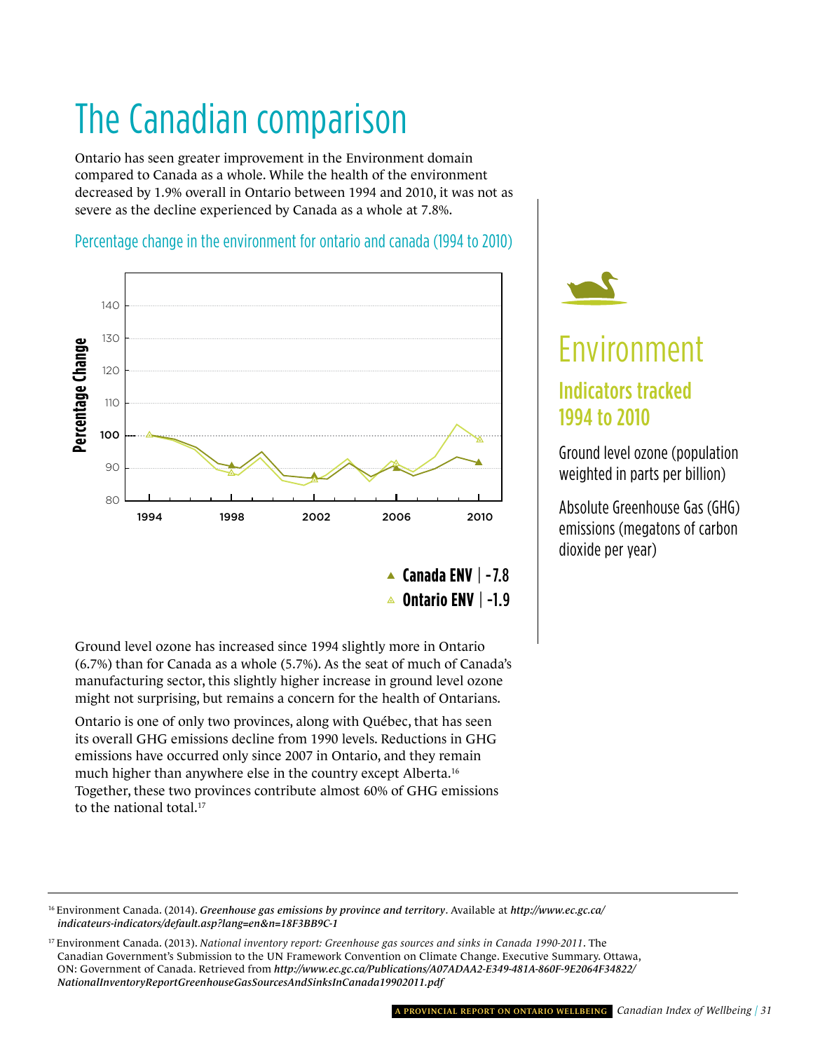# The Canadian comparison

Ontario has seen greater improvement in the Environment domain compared to Canada as a whole. While the health of the environment decreased by 1.9% overall in Ontario between 1994 and 2010, it was not as severe as the decline experienced by Canada as a whole at 7.8%.

#### Percentage change in the environment for ontario and canada (1994 to 2010)



Ground level ozone has increased since 1994 slightly more in Ontario (6.7%) than for Canada as a whole (5.7%). As the seat of much of Canada's manufacturing sector, this slightly higher increase in ground level ozone might not surprising, but remains a concern for the health of Ontarians.

Ontario is one of only two provinces, along with Québec, that has seen its overall GHG emissions decline from 1990 levels. Reductions in GHG emissions have occurred only since 2007 in Ontario, and they remain much higher than anywhere else in the country except Alberta.16 Together, these two provinces contribute almost 60% of GHG emissions to the national total.17



### Environment environment Indicators tracked 1994 to 2010

ground level ozone (population weighted in parts per billion)

absolute greenhouse gas (ghg) emissions (megatons of carbon dioxide per year)

16 Environment Canada. (2014). *Greenhouse gas emissions by province and territory*. Available at *http://www.ec.gc.ca/ [indicateurs-indicators/default.asp?lang=en&n=18F3BB9C-1](http://www.ec.gc.ca/indicateurs-indicators/default.asp?lang=en&n=18F3BB9C-1)* 

<sup>17</sup> Environment Canada. (2013). *National inventory report: Greenhouse gas sources and sinks in Canada 1990-2011*. The Canadian Government's Submission to the UN Framework Convention on Climate Change. Executive Summary. Ottawa, ON: Government of Canada. Retrieved from *http://www.ec.gc.ca/Publications/A07ADAA2-E349-481A-860F-9E2064F34822/ [NationalInventoryReportGreenhouseGasSourcesAndSinksInCanada19902011.pdf](http://www.ec.gc.ca/Publications/A07ADAA2-E349-481A-860F-9E2064F34822/NationalInventoryReportGreenhouseGasSourcesAndSinksInCanada19902011.pdf)*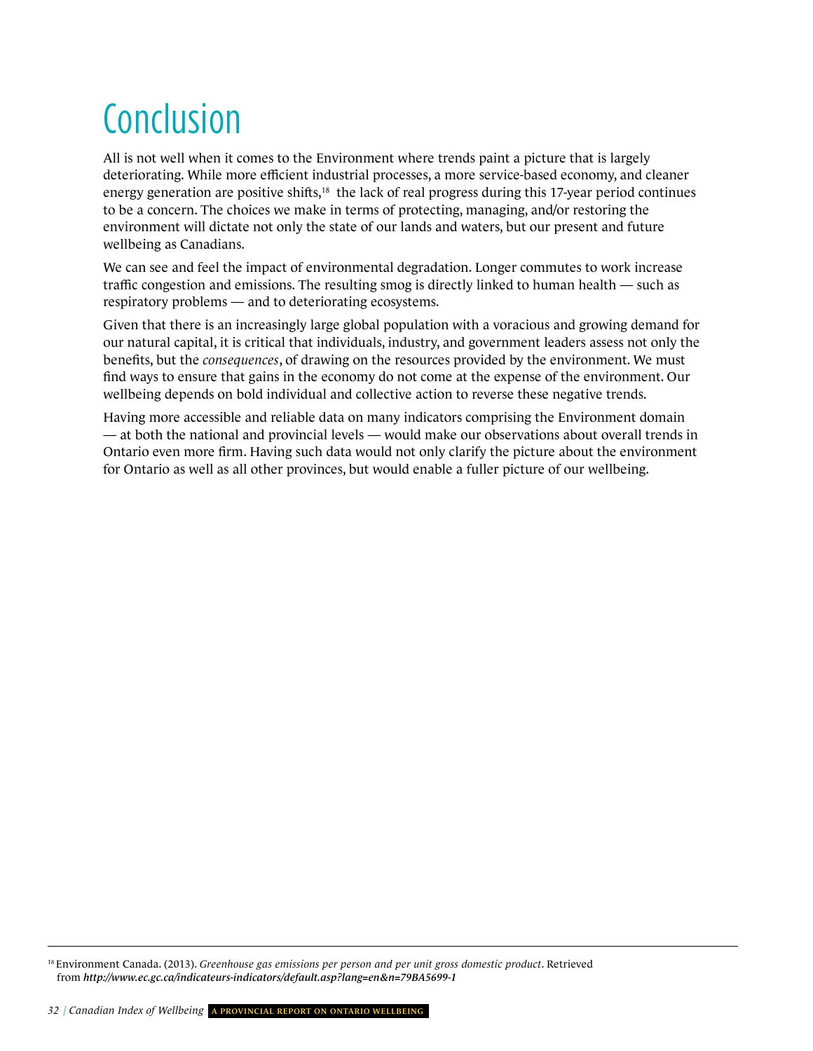# **Conclusion**

All is not well when it comes to the Environment where trends paint a picture that is largely deteriorating. While more efficient industrial processes, a more service-based economy, and cleaner energy generation are positive shifts,18 the lack of real progress during this 17-year period continues to be a concern. The choices we make in terms of protecting, managing, and/or restoring the environment will dictate not only the state of our lands and waters, but our present and future wellbeing as Canadians.

We can see and feel the impact of environmental degradation. Longer commutes to work increase traffic congestion and emissions. The resulting smog is directly linked to human health — such as respiratory problems — and to deteriorating ecosystems.

Given that there is an increasingly large global population with a voracious and growing demand for our natural capital, it is critical that individuals, industry, and government leaders assess not only the benefits, but the *consequences*, of drawing on the resources provided by the environment. We must find ways to ensure that gains in the economy do not come at the expense of the environment. Our wellbeing depends on bold individual and collective action to reverse these negative trends.

Having more accessible and reliable data on many indicators comprising the Environment domain — at both the national and provincial levels — would make our observations about overall trends in Ontario even more firm. Having such data would not only clarify the picture about the environment for Ontario as well as all other provinces, but would enable a fuller picture of our wellbeing.

18 Environment Canada. (2013). *Greenhouse gas emissions per person and per unit gross domestic product*. Retrieved from *<http://www.ec.gc.ca/indicateurs-indicators/default.asp?lang=en&n=79BA5699-1>*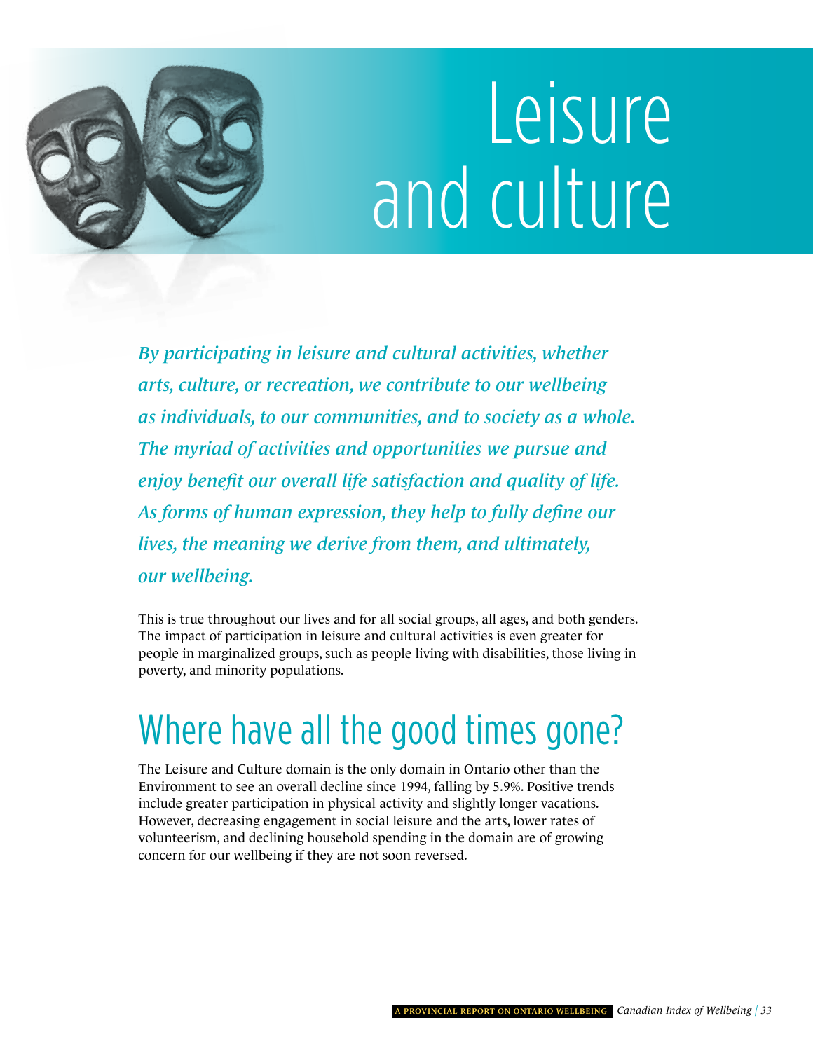# Leisure and culture

<span id="page-36-0"></span>*By participating in leisure and cultural activities, whether arts, culture, or recreation, we contribute to our wellbeing as individuals, to our communities, and to society as a whole. The myriad of activities and opportunities we pursue and enjoy benefit our overall life satisfaction and quality of life. As forms of human expression, they help to fully define our lives, the meaning we derive from them, and ultimately, our wellbeing.* 

This is true throughout our lives and for all social groups, all ages, and both genders. The impact of participation in leisure and cultural activities is even greater for people in marginalized groups, such as people living with disabilities, those living in poverty, and minority populations.

### where have all the good times gone?

The Leisure and Culture domain is the only domain in Ontario other than the Environment to see an overall decline since 1994, falling by 5.9%. Positive trends include greater participation in physical activity and slightly longer vacations. However, decreasing engagement in social leisure and the arts, lower rates of volunteerism, and declining household spending in the domain are of growing concern for our wellbeing if they are not soon reversed.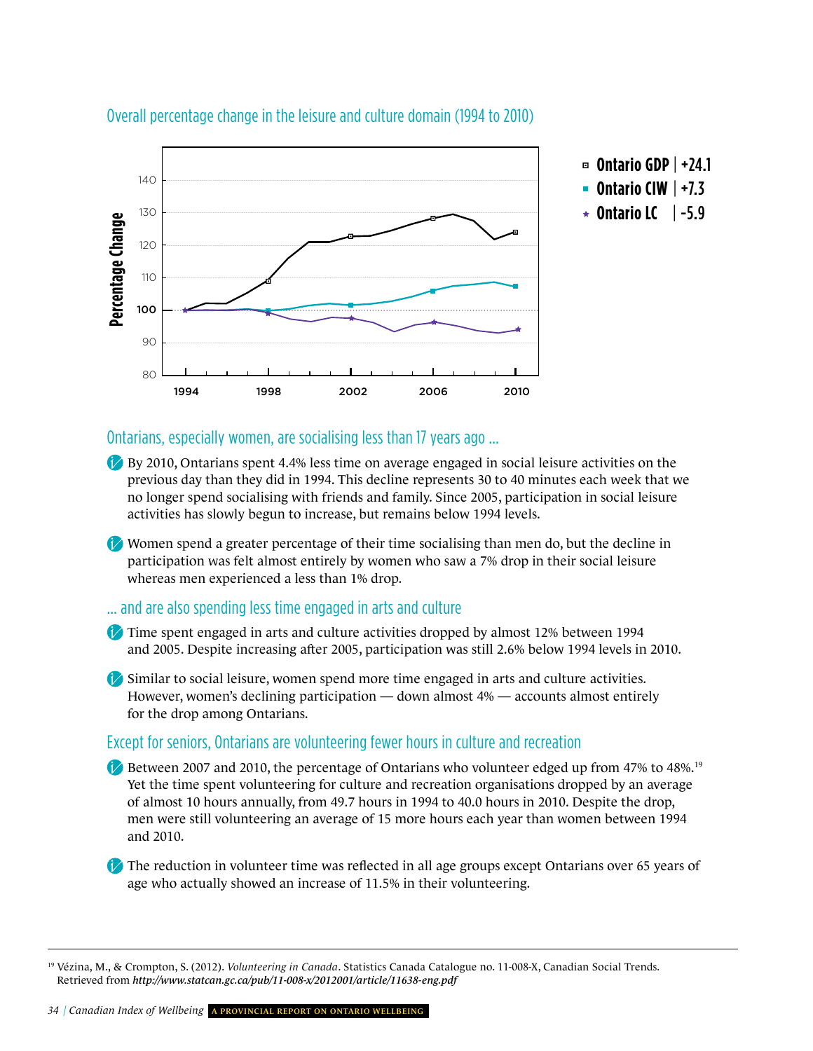

#### Overall percentage change in the leisure and culture domain (1994 to 2010)

#### Ontarians, especially women, are socialising less than 17 years ago …

- By 2010, Ontarians spent 4.4% less time on average engaged in social leisure activities on the previous day than they did in 1994. This decline represents 30 to 40 minutes each week that we no longer spend socialising with friends and family. Since 2005, participation in social leisure activities has slowly begun to increase, but remains below 1994 levels.
- Women spend a greater percentage of their time socialising than men do, but the decline in participation was felt almost entirely by women who saw a 7% drop in their social leisure whereas men experienced a less than 1% drop.

#### … and are also spending less time engaged in arts and culture

- Time spent engaged in arts and culture activities dropped by almost 12% between 1994 and 2005. Despite increasing after 2005, participation was still 2.6% below 1994 levels in 2010.
- Similar to social leisure, women spend more time engaged in arts and culture activities. However, women's declining participation — down almost 4% — accounts almost entirely for the drop among Ontarians.

#### Except for seniors, Ontarians are volunteering fewer hours in culture and recreation

- Between 2007 and 2010, the percentage of Ontarians who volunteer edged up from 47% to 48%.<sup>19</sup> Yet the time spent volunteering for culture and recreation organisations dropped by an average of almost 10 hours annually, from 49.7 hours in 1994 to 40.0 hours in 2010. Despite the drop, men were still volunteering an average of 15 more hours each year than women between 1994 and 2010.
- The reduction in volunteer time was reflected in all age groups except Ontarians over 65 years of age who actually showed an increase of 11.5% in their volunteering.

<sup>19</sup> Vézina, M., & Crompton, S. (2012). *Volunteering in Canada*. Statistics Canada Catalogue no. 11-008-X, Canadian Social Trends. Retrieved from *<http://www.statcan.gc.ca/pub/11-008-x/2012001/article/11638-eng.pdf>*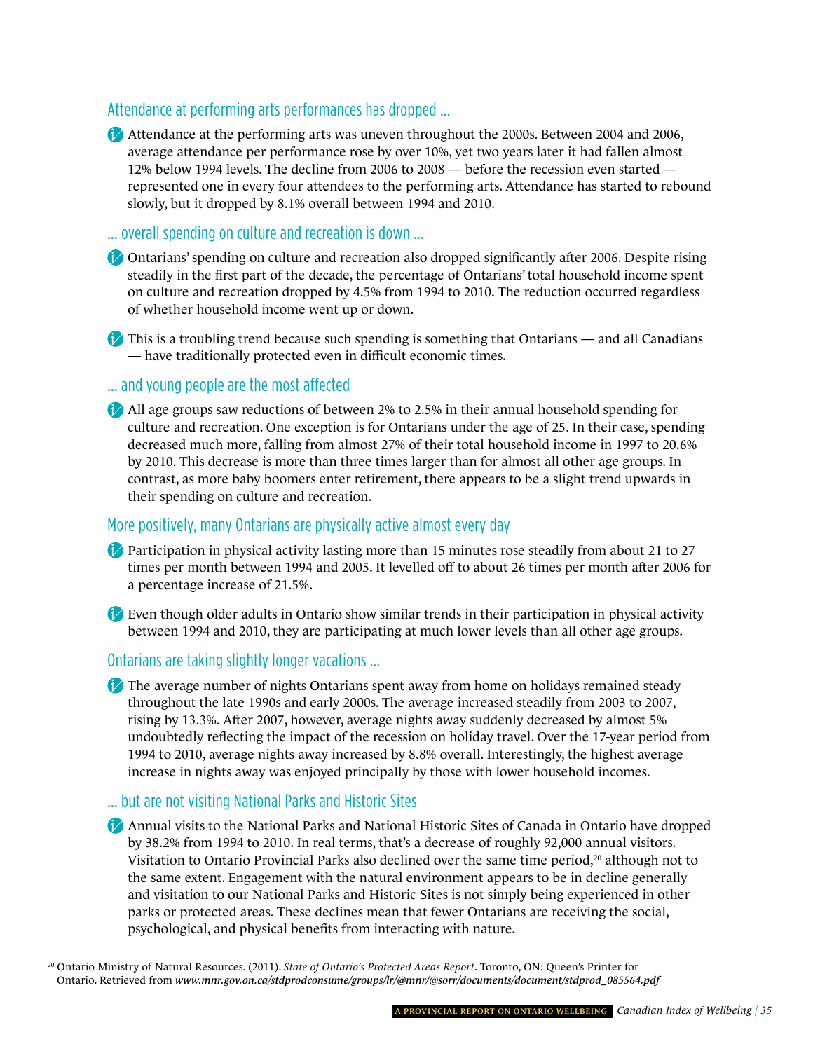#### attendance at performing arts performances has dropped …

Attendance at the performing arts was uneven throughout the 2000s. Between 2004 and 2006, average attendance per performance rose by over 10%, yet two years later it had fallen almost 12% below 1994 levels. The decline from 2006 to 2008 — before the recession even started represented one in every four attendees to the performing arts. Attendance has started to rebound slowly, but it dropped by 8.1% overall between 1994 and 2010.

… overall spending on culture and recreation is down …

- Ontarians' spending on culture and recreation also dropped significantly after 2006. Despite rising steadily in the first part of the decade, the percentage of Ontarians' total household income spent on culture and recreation dropped by 4.5% from 1994 to 2010. The reduction occurred regardless of whether household income went up or down.
- $\bullet$  This is a troubling trend because such spending is something that Ontarians and all Canadians — have traditionally protected even in difficult economic times.

#### … and young people are the most affected

All age groups saw reductions of between 2% to 2.5% in their annual household spending for culture and recreation. One exception is for Ontarians under the age of 25. In their case, spending decreased much more, falling from almost 27% of their total household income in 1997 to 20.6% by 2010. This decrease is more than three times larger than for almost all other age groups. In contrast, as more baby boomers enter retirement, there appears to be a slight trend upwards in their spending on culture and recreation.

#### More positively, many Ontarians are physically active almost every day

- Participation in physical activity lasting more than 15 minutes rose steadily from about 21 to 27 times per month between 1994 and 2005. It levelled off to about 26 times per month after 2006 for a percentage increase of 21.5%.
- Even though older adults in Ontario show similar trends in their participation in physical activity between 1994 and 2010, they are participating at much lower levels than all other age groups.

#### Ontarians are taking slightly longer vacations …

The average number of nights Ontarians spent away from home on holidays remained steady throughout the late 1990s and early 2000s. The average increased steadily from 2003 to 2007, rising by 13.3%. After 2007, however, average nights away suddenly decreased by almost 5% undoubtedly reflecting the impact of the recession on holiday travel. Over the 17-year period from 1994 to 2010, average nights away increased by 8.8% overall. Interestingly, the highest average increase in nights away was enjoyed principally by those with lower household incomes.

#### ... but are not visiting National Parks and Historic Sites

- Annual visits to the National Parks and National Historic Sites of Canada in Ontario have dropped by 38.2% from 1994 to 2010. In real terms, that's a decrease of roughly 92,000 annual visitors. Visitation to Ontario Provincial Parks also declined over the same time period, $20$  although not to the same extent. Engagement with the natural environment appears to be in decline generally and visitation to our National Parks and Historic Sites is not simply being experienced in other parks or protected areas. These declines mean that fewer Ontarians are receiving the social, psychological, and physical benefits from interacting with nature.
- 20 Ontario Ministry of Natural Resources. (2011). *State of Ontario's Protected Areas Report*. Toronto, ON: Queen's Printer for Ontario. Retrieved from *[www.mnr.gov.on.ca/stdprodconsume/groups/lr/@mnr/@sorr/documents/document/stdprod\\_085564.pdf](http://www.mnr.gov.on.ca/stdprodconsume/groups/lr/@mnr/@sorr/documents/document/stdprod_085564.pdf)*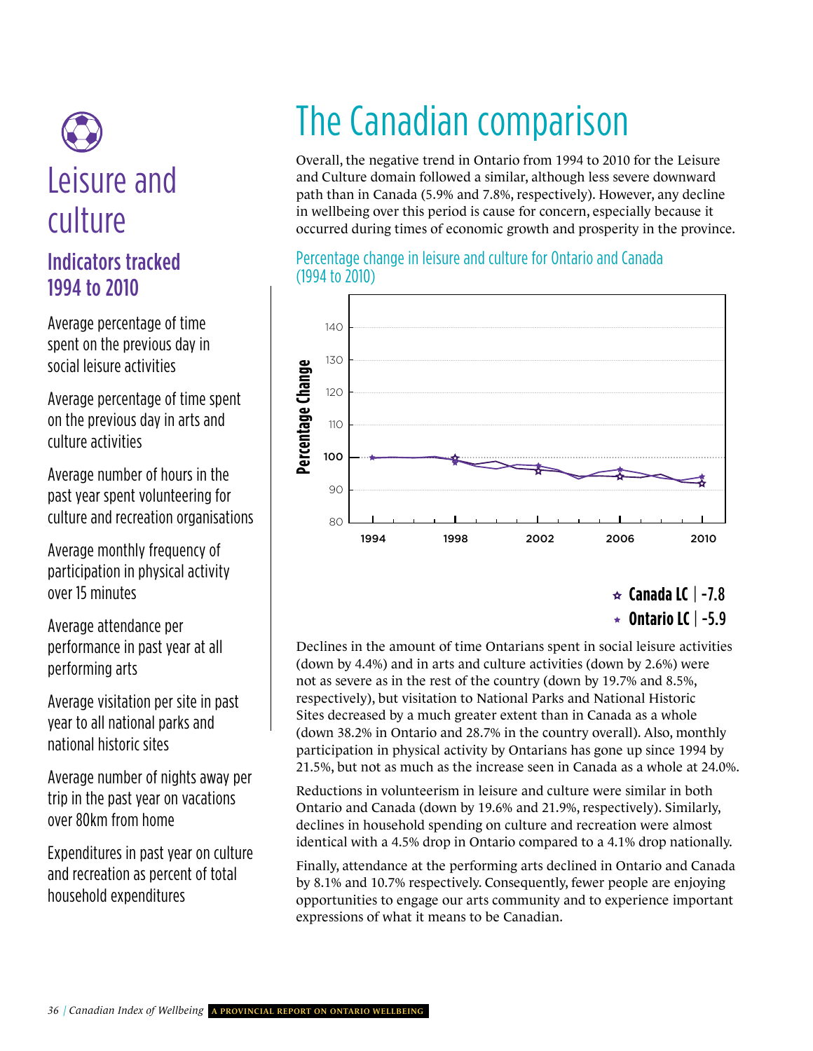# Leisure Leisure and culture

### Indicators tracked 1994 to 2010

average percentage of time spent on the previous day in social leisure activities

Environment average percentage of time spent on the previous day in arts and culture activities

average number of hours in the past year spent volunteering for culture and recreation organisations

average monthly frequency of participation in physical activity over 15 minutes

average attendance per performance in past year at all performing arts

average visitation per site in past year to all national parks and national historic sites

average number of nights away per trip in the past year on vacations over 80km from home

Expenditures in past year on culture and recreation as percent of total household expenditures

### **CANADA CANADA CANADA CANADA CANADA CANADA CANADA CANADA CANADA CANADA CANADA CANADA CANADA CANADA CANADA CANADA** The Canadian comparison

and Culture domain followed a similar, although less severe downward Overall, the negative trend in Ontario from 1994 to 2010 for the Leisure path than in Canada (5.9% and 7.8%, respectively). However, any decline in wellbeing over this period is cause for concern, especially because it occurred during times of economic growth and prosperity in the province.

#### Percentage change in leisure and culture for Ontario and Canada (1994 to 2010)



**Canada LC** | -7.8 **Ontario LC** | -5.9

Declines in the amount of time Ontarians spent in social leisure activities (down by 4.4%) and in arts and culture activities (down by 2.6%) were not as severe as in the rest of the country (down by 19.7% and 8.5%, respectively), but visitation to National Parks and National Historic Sites decreased by a much greater extent than in Canada as a whole (down 38.2% in Ontario and 28.7% in the country overall). Also, monthly participation in physical activity by Ontarians has gone up since 1994 by 21.5%, but not as much as the increase seen in Canada as a whole at 24.0%.

Reductions in volunteerism in leisure and culture were similar in both Ontario and Canada (down by 19.6% and 21.9%, respectively). Similarly, declines in household spending on culture and recreation were almost identical with a 4.5% drop in Ontario compared to a 4.1% drop nationally.

Finally, attendance at the performing arts declined in Ontario and Canada by 8.1% and 10.7% respectively. Consequently, fewer people are enjoying opportunities to engage our arts community and to experience important expressions of what it means to be Canadian.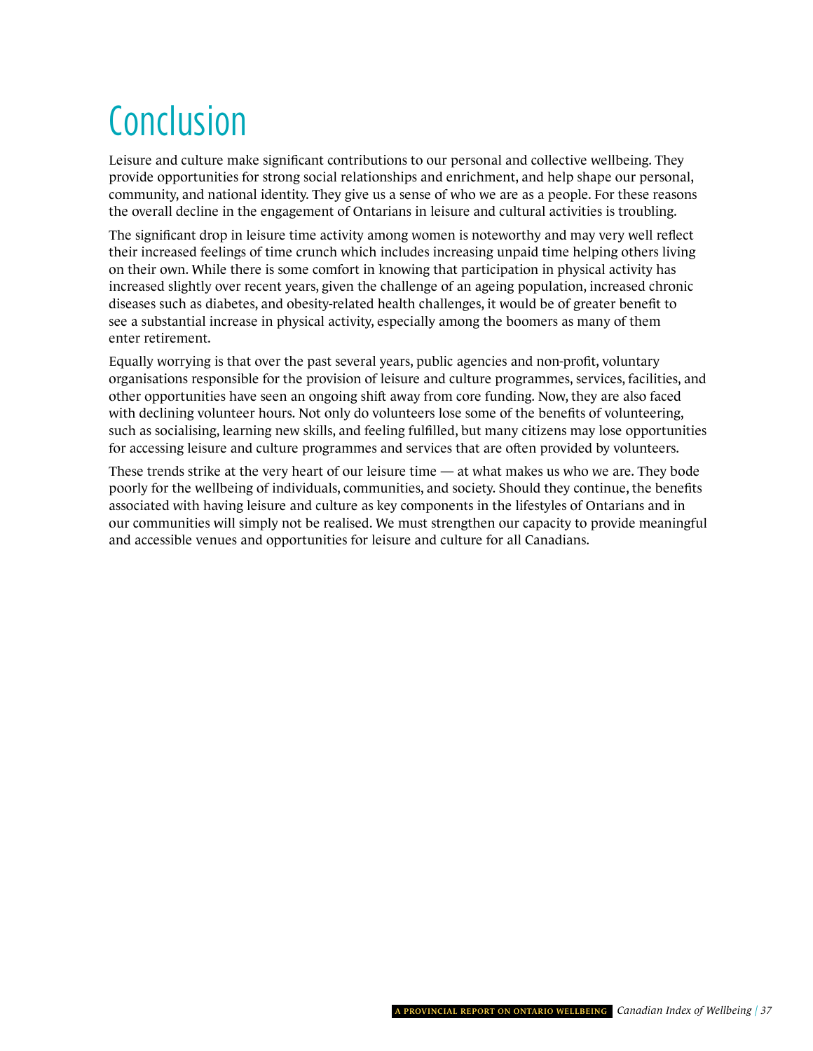## Conclusion

Leisure and culture make significant contributions to our personal and collective wellbeing. They provide opportunities for strong social relationships and enrichment, and help shape our personal, community, and national identity. They give us a sense of who we are as a people. For these reasons the overall decline in the engagement of Ontarians in leisure and cultural activities is troubling.

The significant drop in leisure time activity among women is noteworthy and may very well reflect their increased feelings of time crunch which includes increasing unpaid time helping others living on their own. While there is some comfort in knowing that participation in physical activity has increased slightly over recent years, given the challenge of an ageing population, increased chronic diseases such as diabetes, and obesity-related health challenges, it would be of greater benefit to see a substantial increase in physical activity, especially among the boomers as many of them enter retirement.

Equally worrying is that over the past several years, public agencies and non-profit, voluntary organisations responsible for the provision of leisure and culture programmes, services, facilities, and other opportunities have seen an ongoing shift away from core funding. Now, they are also faced with declining volunteer hours. Not only do volunteers lose some of the benefits of volunteering, such as socialising, learning new skills, and feeling fulfilled, but many citizens may lose opportunities for accessing leisure and culture programmes and services that are often provided by volunteers.

These trends strike at the very heart of our leisure time — at what makes us who we are. They bode poorly for the wellbeing of individuals, communities, and society. Should they continue, the benefits associated with having leisure and culture as key components in the lifestyles of Ontarians and in our communities will simply not be realised. We must strengthen our capacity to provide meaningful and accessible venues and opportunities for leisure and culture for all Canadians.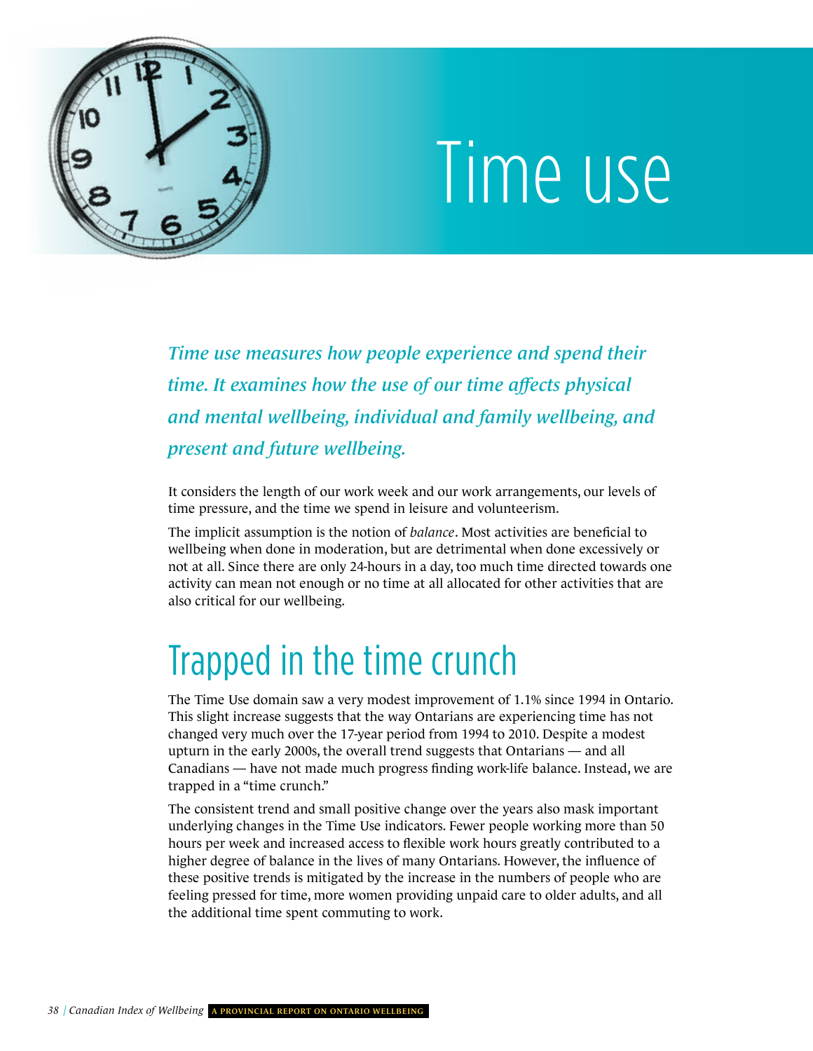<span id="page-41-0"></span>

# Time use

*Time use measures how people experience and spend their time. It examines how the use of our time affects physical and mental wellbeing, individual and family wellbeing, and present and future wellbeing.* 

It considers the length of our work week and our work arrangements, our levels of time pressure, and the time we spend in leisure and volunteerism.

The implicit assumption is the notion of *balance*. Most activities are beneficial to wellbeing when done in moderation, but are detrimental when done excessively or not at all. Since there are only 24-hours in a day, too much time directed towards one activity can mean not enough or no time at all allocated for other activities that are also critical for our wellbeing.

### Trapped in the time crunch

The Time Use domain saw a very modest improvement of 1.1% since 1994 in Ontario. This slight increase suggests that the way Ontarians are experiencing time has not changed very much over the 17-year period from 1994 to 2010. Despite a modest upturn in the early 2000s, the overall trend suggests that Ontarians — and all Canadians — have not made much progress finding work-life balance. Instead, we are trapped in a "time crunch."

The consistent trend and small positive change over the years also mask important underlying changes in the Time Use indicators. Fewer people working more than 50 hours per week and increased access to flexible work hours greatly contributed to a higher degree of balance in the lives of many Ontarians. However, the influence of these positive trends is mitigated by the increase in the numbers of people who are feeling pressed for time, more women providing unpaid care to older adults, and all the additional time spent commuting to work.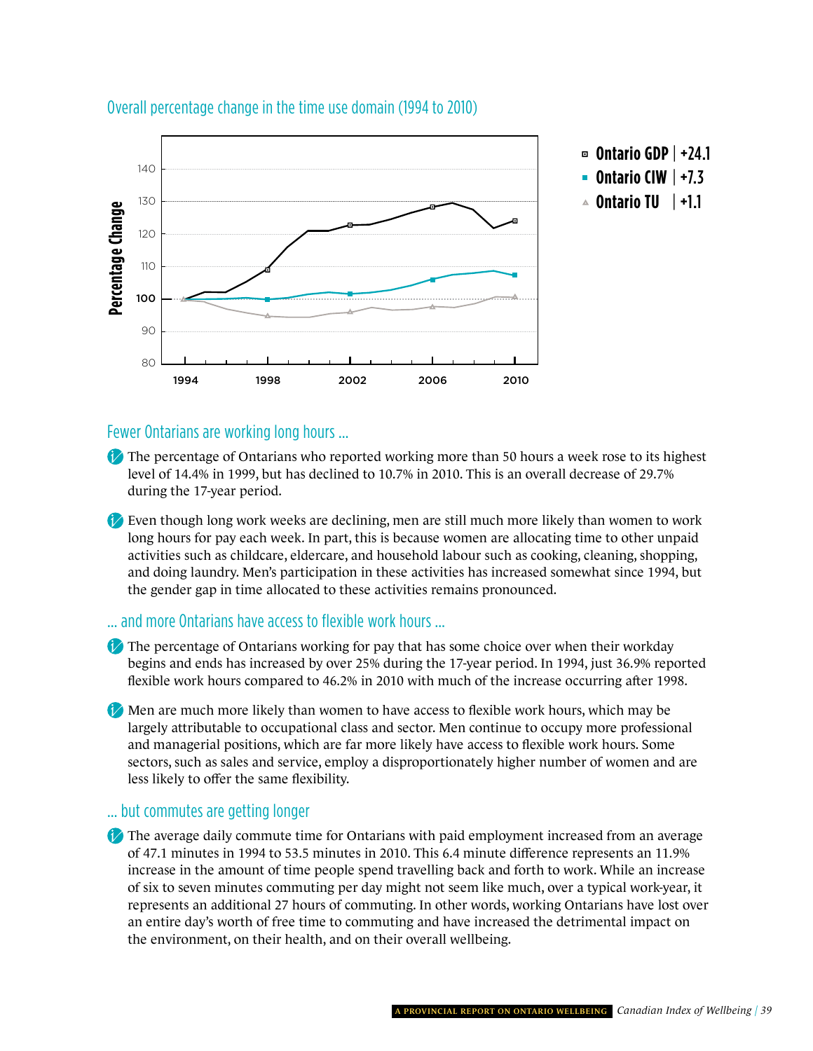

#### Overall percentage change in the time use domain (1994 to 2010)

#### Fewer Ontarians are working long hours …

- The percentage of Ontarians who reported working more than 50 hours a week rose to its highest level of 14.4% in 1999, but has declined to 10.7% in 2010. This is an overall decrease of 29.7% during the 17-year period.
- Even though long work weeks are declining, men are still much more likely than women to work long hours for pay each week. In part, this is because women are allocating time to other unpaid activities such as childcare, eldercare, and household labour such as cooking, cleaning, shopping, and doing laundry. Men's participation in these activities has increased somewhat since 1994, but the gender gap in time allocated to these activities remains pronounced.

#### … and more Ontarians have access to flexible work hours …

- The percentage of Ontarians working for pay that has some choice over when their workday begins and ends has increased by over 25% during the 17-year period. In 1994, just 36.9% reported flexible work hours compared to 46.2% in 2010 with much of the increase occurring after 1998.
- Men are much more likely than women to have access to flexible work hours, which may be largely attributable to occupational class and sector. Men continue to occupy more professional and managerial positions, which are far more likely have access to flexible work hours. Some sectors, such as sales and service, employ a disproportionately higher number of women and are less likely to offer the same flexibility.

#### … but commutes are getting longer

The average daily commute time for Ontarians with paid employment increased from an average of 47.1 minutes in 1994 to 53.5 minutes in 2010. This 6.4 minute difference represents an 11.9% increase in the amount of time people spend travelling back and forth to work. While an increase of six to seven minutes commuting per day might not seem like much, over a typical work-year, it represents an additional 27 hours of commuting. In other words, working Ontarians have lost over an entire day's worth of free time to commuting and have increased the detrimental impact on the environment, on their health, and on their overall wellbeing.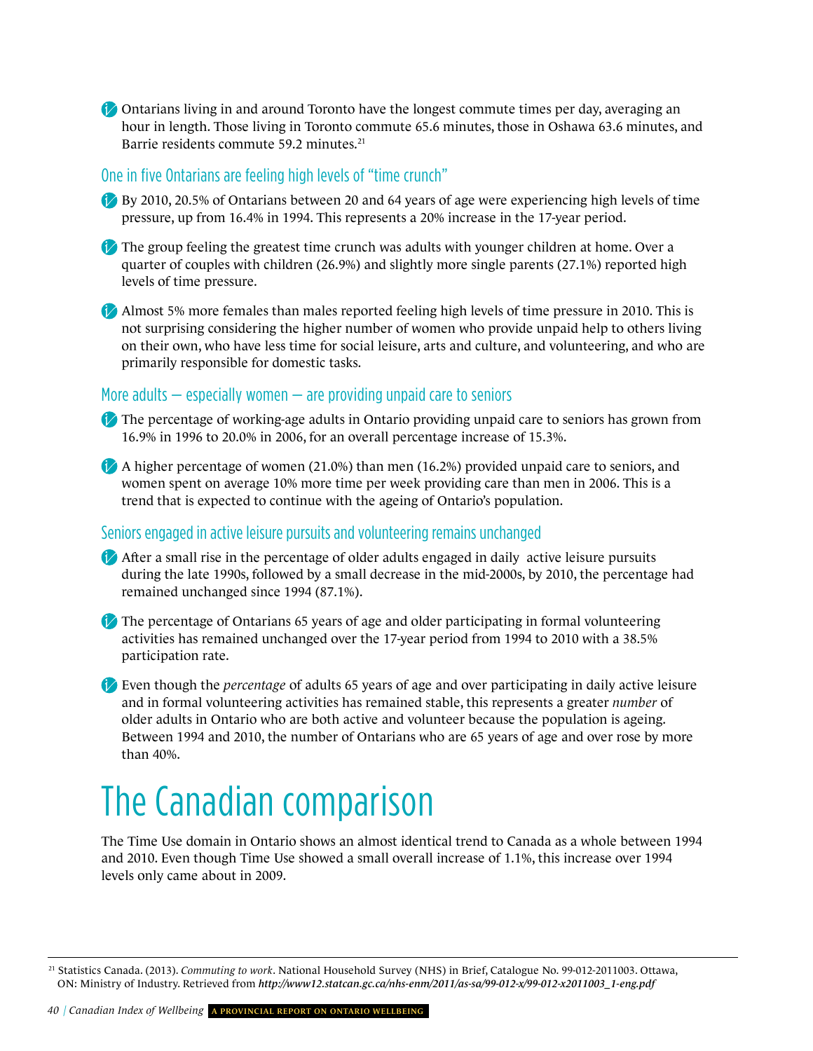Ontarians living in and around Toronto have the longest commute times per day, averaging an hour in length. Those living in Toronto commute 65.6 minutes, those in Oshawa 63.6 minutes, and Barrie residents commute 59.2 minutes.<sup>21</sup>

#### One in five Ontarians are feeling high levels of "time crunch"

By 2010, 20.5% of Ontarians between 20 and 64 years of age were experiencing high levels of time pressure, up from 16.4% in 1994. This represents a 20% increase in the 17-year period.

The group feeling the greatest time crunch was adults with younger children at home. Over a quarter of couples with children (26.9%) and slightly more single parents (27.1%) reported high levels of time pressure.

Almost 5% more females than males reported feeling high levels of time pressure in 2010. This is not surprising considering the higher number of women who provide unpaid help to others living on their own, who have less time for social leisure, arts and culture, and volunteering, and who are primarily responsible for domestic tasks.

#### More adults  $-$  especially women  $-$  are providing unpaid care to seniors

The percentage of working-age adults in Ontario providing unpaid care to seniors has grown from 16.9% in 1996 to 20.0% in 2006, for an overall percentage increase of 15.3%.

A higher percentage of women (21.0%) than men (16.2%) provided unpaid care to seniors, and women spent on average 10% more time per week providing care than men in 2006. This is a trend that is expected to continue with the ageing of Ontario's population.

#### seniors engaged in active leisure pursuits and volunteering remains unchanged

After a small rise in the percentage of older adults engaged in daily active leisure pursuits during the late 1990s, followed by a small decrease in the mid-2000s, by 2010, the percentage had remained unchanged since 1994 (87.1%).

The percentage of Ontarians 65 years of age and older participating in formal volunteering activities has remained unchanged over the 17-year period from 1994 to 2010 with a 38.5% participation rate.

Even though the *percentage* of adults 65 years of age and over participating in daily active leisure and in formal volunteering activities has remained stable, this represents a greater *number* of older adults in Ontario who are both active and volunteer because the population is ageing. Between 1994 and 2010, the number of Ontarians who are 65 years of age and over rose by more than 40%.

### The Canadian comparison

The Time Use domain in Ontario shows an almost identical trend to Canada as a whole between 1994 and 2010. Even though Time Use showed a small overall increase of 1.1%, this increase over 1994 levels only came about in 2009.

<sup>21</sup> Statistics Canada. (2013). *Commuting to work*. National Household Survey (NHS) in Brief, Catalogue No. 99-012-2011003. Ottawa, ON: Ministry of Industry. Retrieved from *[http://www12.statcan.gc.ca/nhs-enm/2011/as-sa/99-012-x/99-012-x2011003\\_1-eng.pdf](http://www12.statcan.gc.ca/nhs-enm/2011/as-sa/99-012-x/99-012-x2011003_1-eng.pdf)*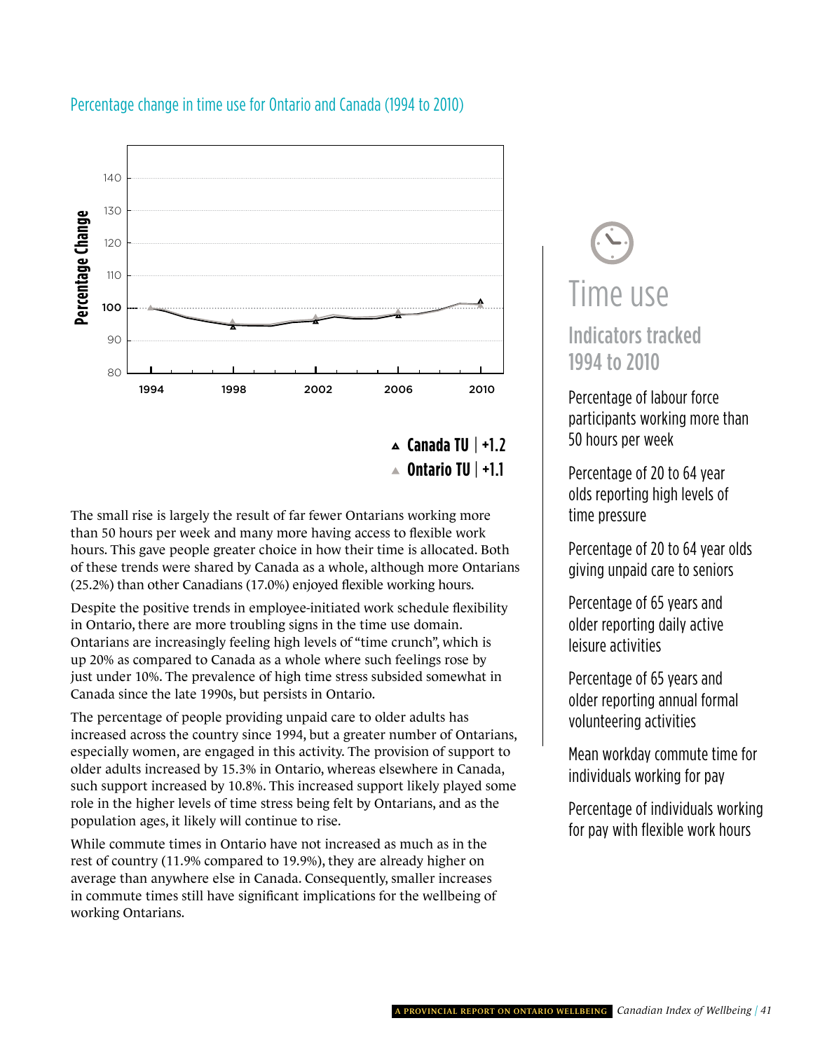

#### Percentage change in time use for Ontario and Canada (1994 to 2010)

**Canada TU** | +1.2 **Ontario TU** | +1.1

The small rise is largely the result of far fewer Ontarians working more than 50 hours per week and many more having access to flexible work hours. This gave people greater choice in how their time is allocated. Both of these trends were shared by Canada as a whole, although more Ontarians (25.2%) than other Canadians (17.0%) enjoyed flexible working hours.

Despite the positive trends in employee-initiated work schedule flexibility in Ontario, there are more troubling signs in the time use domain. Ontarians are increasingly feeling high levels of "time crunch", which is up 20% as compared to Canada as a whole where such feelings rose by just under 10%. The prevalence of high time stress subsided somewhat in Canada since the late 1990s, but persists in Ontario.

The percentage of people providing unpaid care to older adults has increased across the country since 1994, but a greater number of Ontarians, especially women, are engaged in this activity. The provision of support to older adults increased by 15.3% in Ontario, whereas elsewhere in Canada, such support increased by 10.8%. This increased support likely played some role in the higher levels of time stress being felt by Ontarians, and as the population ages, it likely will continue to rise.

While commute times in Ontario have not increased as much as in the rest of country (11.9% compared to 19.9%), they are already higher on average than anywhere else in Canada. Consequently, smaller increases in commute times still have significant implications for the wellbeing of working Ontarians.

# Time use

Indicators tracked 1994 to 2010

participants working more than<br>50 hours ner week Percentage of labour force 50 hours per week

as nears per week<br>Percentage of 20 to 64 year olds reporting high levels of time pressure

Percentage of 20 to 64 year olds giving unpaid care to seniors

older reporting daily active<br>Ieisure activities Percentage of 65 years and leisure activities

Percentage of 65 years and older reporting annual formal volunteering activities

Mean workday commute time for individuals working for pay

Percentage of individuals working for pay with flexible work hours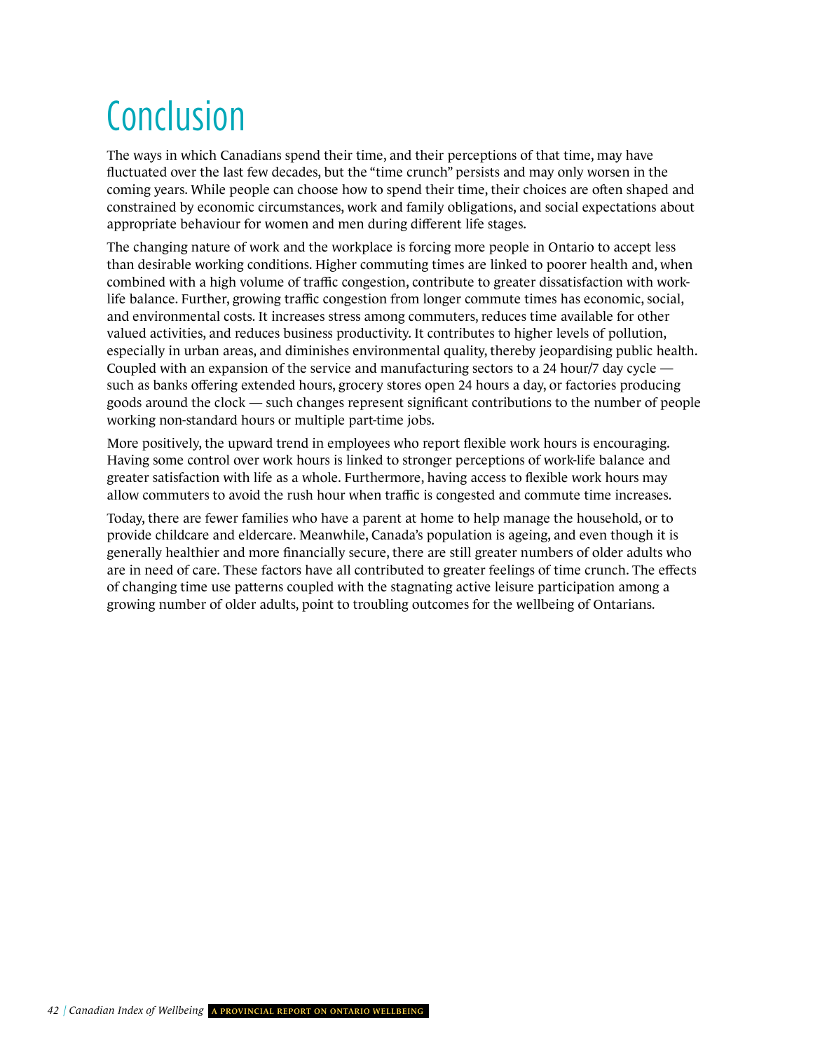## **Conclusion**

The ways in which Canadians spend their time, and their perceptions of that time, may have fluctuated over the last few decades, but the "time crunch" persists and may only worsen in the coming years. While people can choose how to spend their time, their choices are often shaped and constrained by economic circumstances, work and family obligations, and social expectations about appropriate behaviour for women and men during different life stages.

The changing nature of work and the workplace is forcing more people in Ontario to accept less than desirable working conditions. Higher commuting times are linked to poorer health and, when combined with a high volume of traffic congestion, contribute to greater dissatisfaction with worklife balance. Further, growing traffic congestion from longer commute times has economic, social, and environmental costs. It increases stress among commuters, reduces time available for other valued activities, and reduces business productivity. It contributes to higher levels of pollution, especially in urban areas, and diminishes environmental quality, thereby jeopardising public health. Coupled with an expansion of the service and manufacturing sectors to a 24 hour/7 day cycle such as banks offering extended hours, grocery stores open 24 hours a day, or factories producing goods around the clock — such changes represent significant contributions to the number of people working non-standard hours or multiple part-time jobs.

More positively, the upward trend in employees who report flexible work hours is encouraging. Having some control over work hours is linked to stronger perceptions of work-life balance and greater satisfaction with life as a whole. Furthermore, having access to flexible work hours may allow commuters to avoid the rush hour when traffic is congested and commute time increases.

Today, there are fewer families who have a parent at home to help manage the household, or to provide childcare and eldercare. Meanwhile, Canada's population is ageing, and even though it is generally healthier and more financially secure, there are still greater numbers of older adults who are in need of care. These factors have all contributed to greater feelings of time crunch. The effects of changing time use patterns coupled with the stagnating active leisure participation among a growing number of older adults, point to troubling outcomes for the wellbeing of Ontarians.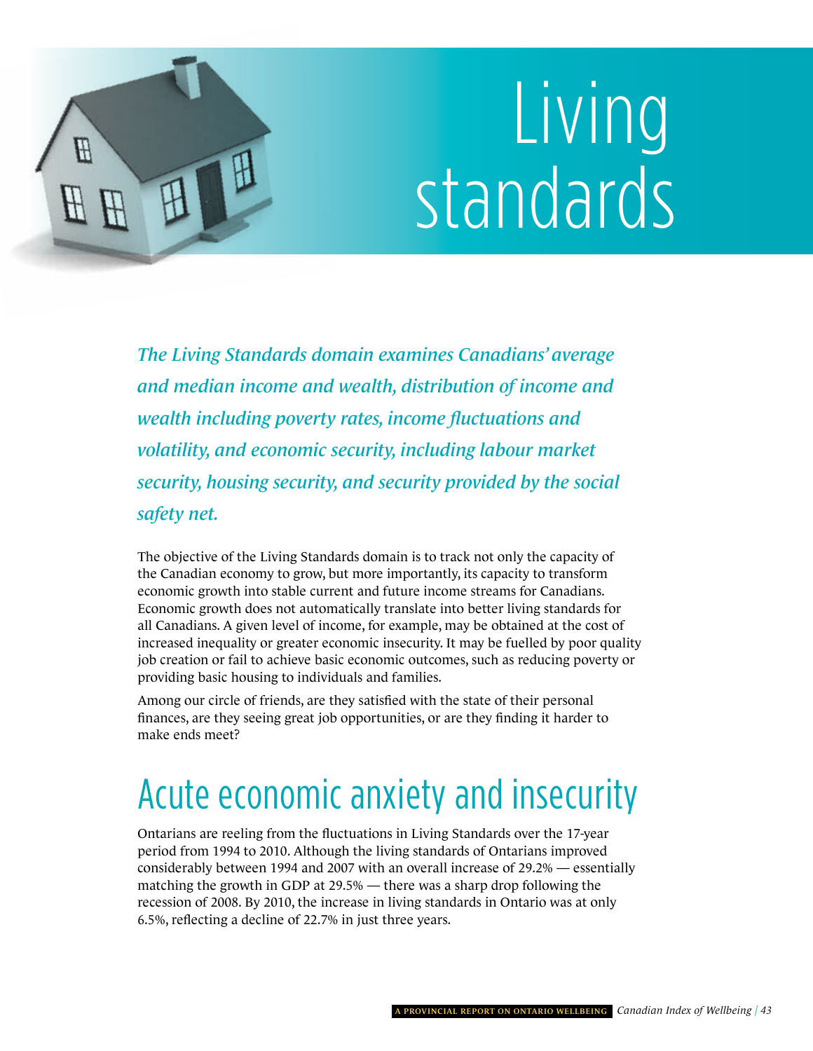# Living standards

*The Living Standards domain examines Canadians' average and median income and wealth, distribution of income and wealth including poverty rates, income fluctuations and volatility, and economic security, including labour market security, housing security, and security provided by the social safety net.* 

<span id="page-46-0"></span>H

The objective of the Living Standards domain is to track not only the capacity of the Canadian economy to grow, but more importantly, its capacity to transform economic growth into stable current and future income streams for Canadians. Economic growth does not automatically translate into better living standards for all Canadians. A given level of income, for example, may be obtained at the cost of increased inequality or greater economic insecurity. It may be fuelled by poor quality job creation or fail to achieve basic economic outcomes, such as reducing poverty or providing basic housing to individuals and families.

Among our circle of friends, are they satisfied with the state of their personal finances, are they seeing great job opportunities, or are they finding it harder to make ends meet?

## acute economic anxiety and insecurity

Ontarians are reeling from the fluctuations in Living Standards over the 17-year period from 1994 to 2010. Although the living standards of Ontarians improved considerably between 1994 and 2007 with an overall increase of 29.2% — essentially matching the growth in GDP at 29.5% — there was a sharp drop following the recession of 2008. By 2010, the increase in living standards in Ontario was at only 6.5%, reflecting a decline of 22.7% in just three years.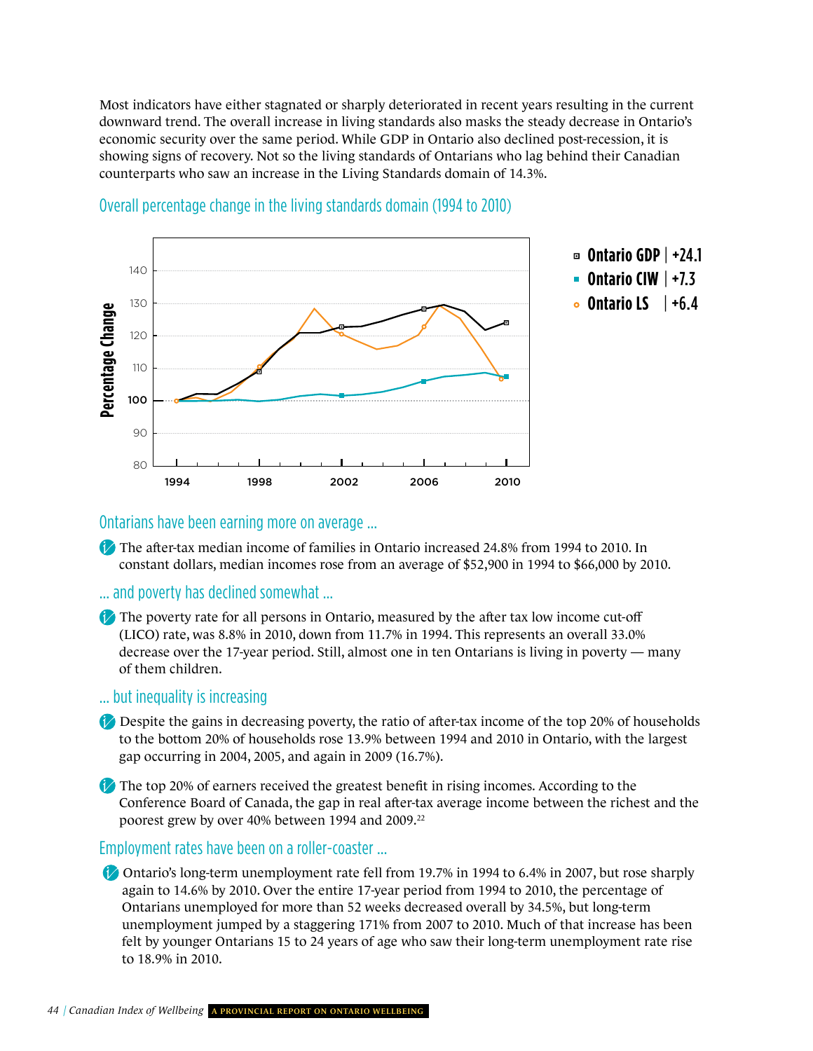Most indicators have either stagnated or sharply deteriorated in recent years resulting in the current downward trend. The overall increase in living standards also masks the steady decrease in Ontario's economic security over the same period. While GDP in Ontario also declined post-recession, it is showing signs of recovery. Not so the living standards of Ontarians who lag behind their Canadian counterparts who saw an increase in the Living Standards domain of 14.3%.



#### Overall percentage change in the living standards domain (1994 to 2010)

#### Ontarians have been earning more on average …

The after-tax median income of families in Ontario increased 24.8% from 1994 to 2010. In constant dollars, median incomes rose from an average of \$52,900 in 1994 to \$66,000 by 2010.

#### … and poverty has declined somewhat …

The poverty rate for all persons in Ontario, measured by the after tax low income cut-off (LICO) rate, was 8.8% in 2010, down from 11.7% in 1994. This represents an overall 33.0% decrease over the 17-year period. Still, almost one in ten Ontarians is living in poverty — many of them children.

#### … but inequality is increasing

- Despite the gains in decreasing poverty, the ratio of after-tax income of the top 20% of households to the bottom 20% of households rose 13.9% between 1994 and 2010 in Ontario, with the largest gap occurring in 2004, 2005, and again in 2009 (16.7%).
- The top 20% of earners received the greatest benefit in rising incomes. According to the Conference Board of Canada, the gap in real after-tax average income between the richest and the poorest grew by over 40% between 1994 and 2009.<sup>22</sup>

#### Employment rates have been on a roller-coaster ...

Ontario's long-term unemployment rate fell from 19.7% in 1994 to 6.4% in 2007, but rose sharply again to 14.6% by 2010. Over the entire 17-year period from 1994 to 2010, the percentage of Ontarians unemployed for more than 52 weeks decreased overall by 34.5%, but long-term unemployment jumped by a staggering 171% from 2007 to 2010. Much of that increase has been felt by younger Ontarians 15 to 24 years of age who saw their long-term unemployment rate rise to 18.9% in 2010.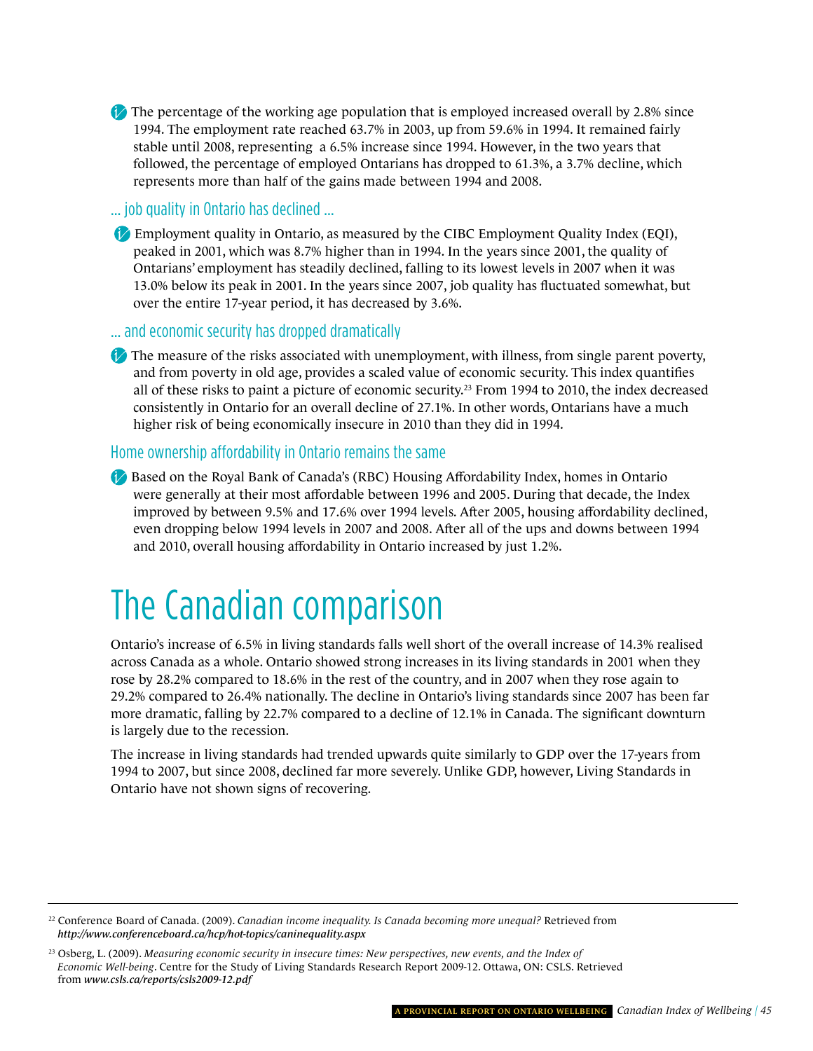The percentage of the working age population that is employed increased overall by 2.8% since 1994. The employment rate reached 63.7% in 2003, up from 59.6% in 1994. It remained fairly stable until 2008, representing a 6.5% increase since 1994. However, in the two years that followed, the percentage of employed Ontarians has dropped to 61.3%, a 3.7% decline, which represents more than half of the gains made between 1994 and 2008.

… job quality in Ontario has declined …

Employment quality in Ontario, as measured by the CIBC Employment Quality Index (EQI), peaked in 2001, which was 8.7% higher than in 1994. In the years since 2001, the quality of Ontarians' employment has steadily declined, falling to its lowest levels in 2007 when it was 13.0% below its peak in 2001. In the years since 2007, job quality has fluctuated somewhat, but over the entire 17-year period, it has decreased by 3.6%.

… and economic security has dropped dramatically

 $\bullet$  The measure of the risks associated with unemployment, with illness, from single parent poverty, and from poverty in old age, provides a scaled value of economic security. This index quantifies all of these risks to paint a picture of economic security.23 From 1994 to 2010, the index decreased consistently in Ontario for an overall decline of 27.1%. In other words, Ontarians have a much higher risk of being economically insecure in 2010 than they did in 1994.

#### home ownership affordability in Ontario remains the same

Based on the Royal Bank of Canada's (RBC) Housing Affordability Index, homes in Ontario were generally at their most affordable between 1996 and 2005. During that decade, the Index improved by between 9.5% and 17.6% over 1994 levels. After 2005, housing affordability declined, even dropping below 1994 levels in 2007 and 2008. After all of the ups and downs between 1994 and 2010, overall housing affordability in Ontario increased by just 1.2%.

### The Canadian comparison

Ontario's increase of 6.5% in living standards falls well short of the overall increase of 14.3% realised across Canada as a whole. Ontario showed strong increases in its living standards in 2001 when they rose by 28.2% compared to 18.6% in the rest of the country, and in 2007 when they rose again to 29.2% compared to 26.4% nationally. The decline in Ontario's living standards since 2007 has been far more dramatic, falling by 22.7% compared to a decline of 12.1% in Canada. The significant downturn is largely due to the recession.

The increase in living standards had trended upwards quite similarly to GDP over the 17-years from 1994 to 2007, but since 2008, declined far more severely. Unlike GDP, however, Living Standards in Ontario have not shown signs of recovering.

<sup>22</sup> Conference Board of Canada. (2009). *Canadian income inequality. Is Canada becoming more unequal?* Retrieved from *<http://www.conferenceboard.ca/hcp/hot-topics/caninequality.aspx>*

<sup>23</sup> Osberg, L. (2009). *Measuring economic security in insecure times: New perspectives, new events, and the Index of Economic Well-being*. Centre for the Study of Living Standards Research Report 2009-12. Ottawa, ON: CSLS. Retrieved from *[www.csls.ca/reports/csls2009-12.pdf](http://www.csls.ca/reports/csls2009-12.pdf)*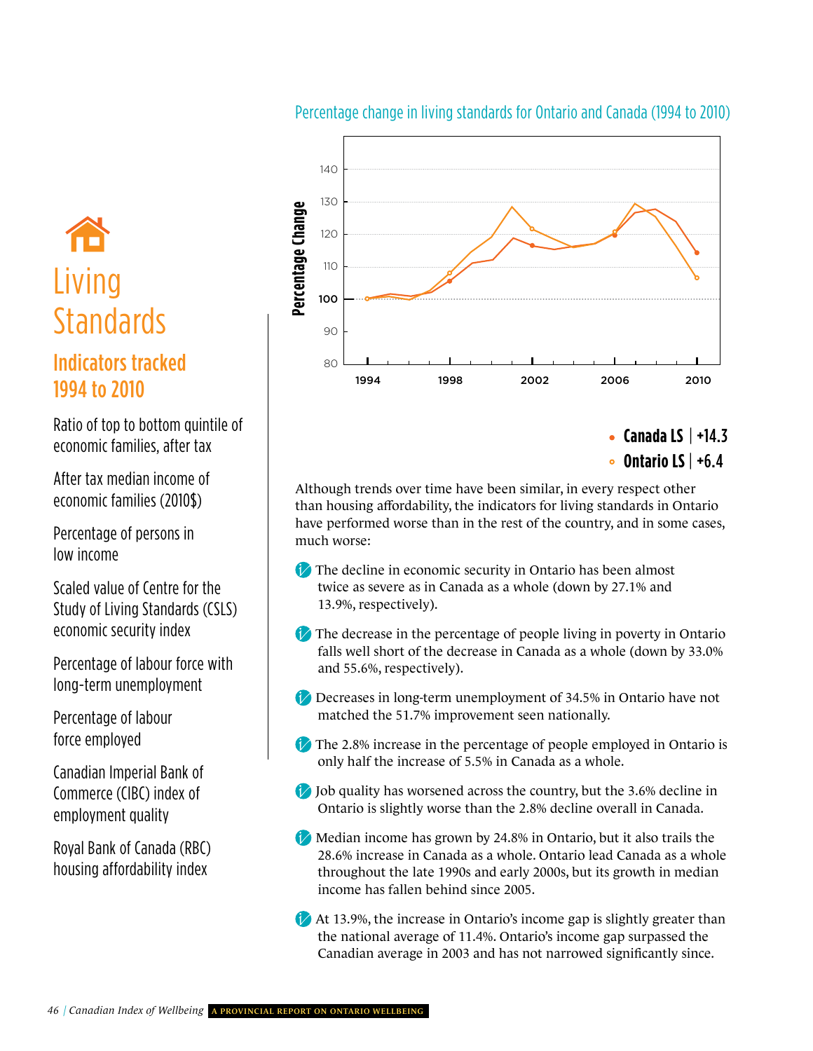#### Percentage change in living standards for Ontario and Canada (1994 to 2010)

# **Living** Standards | a

### Indicators tracked 1994 to 2010

economic families, after tax Ratio of top to bottom quintile of

After tax median income of<br>
economic families (2010\$) lathough treating<br>
than housing after tax median income of

Percentage of persons in low income

Study of Living Standard<br>economic security index scaled value of Centre for the Study of Living Standards (CSLS)

Percentage of labour force with **CANACA Example 1** falls well<br>long-term unemployment Percentage of labour force with long-term unemployment

Percentage of labour force employed

Canadian imperial bank of<br>Commerce (CIBC) index of Canadian imperial Bank of employment quality

empioyment quality<br>Royal Bank of Canada (RBC)<br>28.6% inc housing affordability index



**Ontario LS** | +6.4

**ONTARIO** than housing affordability, the indicators for living standards in Ontario Although trends over time have been similar, in every respect other have performed worse than in the rest of the country, and in some cases, much worse:

- The decline in economic security in Ontario has been almost twice as severe as in Canada as a whole (down by 27.1% and 13.9%, respectively).
- The decrease in the percentage of people living in poverty in Ontario<br>falls well short of the decrease in Canada as a whole (down by 22.0%) and 55.6%, respectively). falls well short of the decrease in Canada as a whole (down by 33.0%
- Decreases in long-term unemployment of 34.5% in Ontario have not matched the 51.7% improvement seen nationally.
- The 2.8% increase in the percentage of people employed in Ontario is only half the increase of 5.5% in Canada as a whole.
- Ontario is slightly worse than the 2.8% decline overall in Canada. **D** Job quality has worsened across the country, but the 3.6% decline in
- Median income has grown by 24.8% in Ontario, but it also trails the<br>28.6% increase in Canada as a whole. Ontario lead Canada as a whol 28.6% increase in Canada as a whole. Ontario lead Canada as a whole throughout the late 1990s and early 2000s, but its growth in median income has fallen behind since 2005.
- At 13.9%, the increase in Ontario's income gap is slightly greater than the national average of 11.4%. Ontario's income gap surpassed the Canadian average in 2003 and has not narrowed significantly since.

**ONTARIO**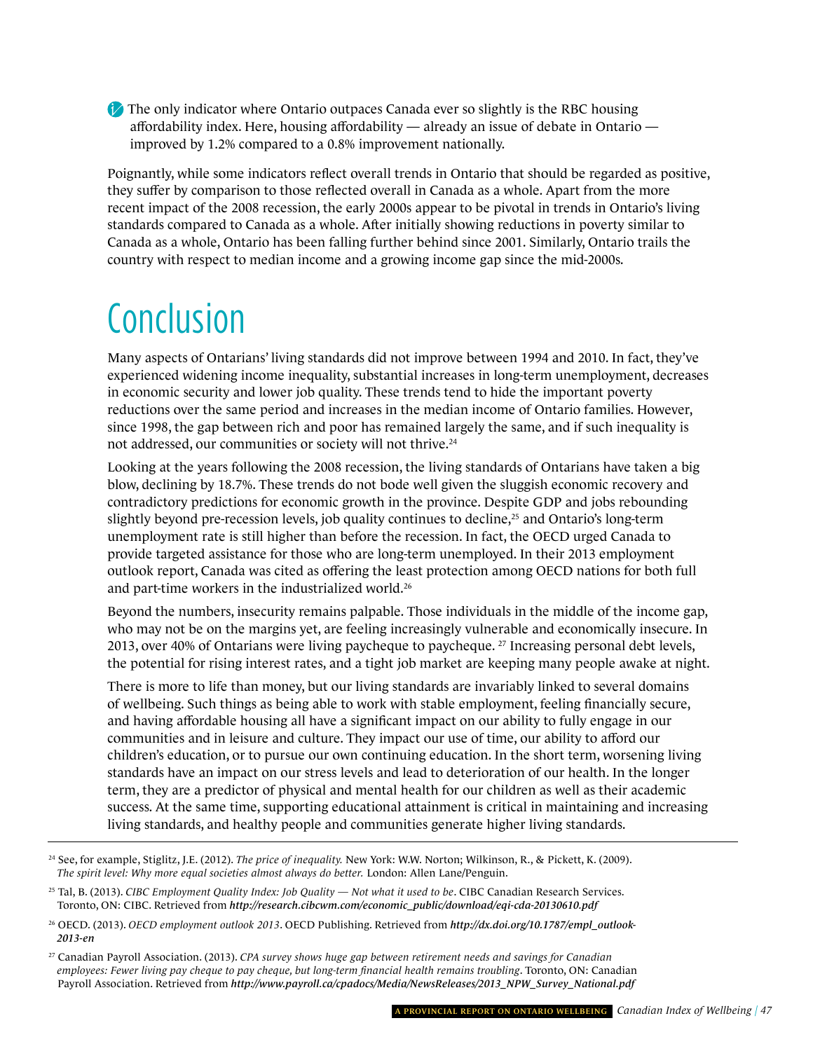The only indicator where Ontario outpaces Canada ever so slightly is the RBC housing affordability index. Here, housing affordability — already an issue of debate in Ontario improved by 1.2% compared to a 0.8% improvement nationally.

Poignantly, while some indicators reflect overall trends in Ontario that should be regarded as positive, they suffer by comparison to those reflected overall in Canada as a whole. Apart from the more recent impact of the 2008 recession, the early 2000s appear to be pivotal in trends in Ontario's living standards compared to Canada as a whole. After initially showing reductions in poverty similar to Canada as a whole, Ontario has been falling further behind since 2001. Similarly, Ontario trails the country with respect to median income and a growing income gap since the mid-2000s.

## **Conclusion**

Many aspects of Ontarians' living standards did not improve between 1994 and 2010. In fact, they've experienced widening income inequality, substantial increases in long-term unemployment, decreases in economic security and lower job quality. These trends tend to hide the important poverty reductions over the same period and increases in the median income of Ontario families. However, since 1998, the gap between rich and poor has remained largely the same, and if such inequality is not addressed, our communities or society will not thrive.24

Looking at the years following the 2008 recession, the living standards of Ontarians have taken a big blow, declining by 18.7%. These trends do not bode well given the sluggish economic recovery and contradictory predictions for economic growth in the province. Despite GDP and jobs rebounding slightly beyond pre-recession levels, job quality continues to decline, $^{25}$  and Ontario's long-term unemployment rate is still higher than before the recession. In fact, the OECD urged Canada to provide targeted assistance for those who are long-term unemployed. In their 2013 employment outlook report, Canada was cited as offering the least protection among OECD nations for both full and part-time workers in the industrialized world.26

Beyond the numbers, insecurity remains palpable. Those individuals in the middle of the income gap, who may not be on the margins yet, are feeling increasingly vulnerable and economically insecure. In 2013, over 40% of Ontarians were living paycheque to paycheque. 27 Increasing personal debt levels, the potential for rising interest rates, and a tight job market are keeping many people awake at night.

There is more to life than money, but our living standards are invariably linked to several domains of wellbeing. Such things as being able to work with stable employment, feeling financially secure, and having affordable housing all have a significant impact on our ability to fully engage in our communities and in leisure and culture. They impact our use of time, our ability to afford our children's education, or to pursue our own continuing education. In the short term, worsening living standards have an impact on our stress levels and lead to deterioration of our health. In the longer term, they are a predictor of physical and mental health for our children as well as their academic success. At the same time, supporting educational attainment is critical in maintaining and increasing living standards, and healthy people and communities generate higher living standards.

<sup>24</sup> See, for example, Stiglitz, J.E. (2012). *The price of inequality.* New York: W.W. Norton; Wilkinson, R., & Pickett, K. (2009). *The spirit level: Why more equal societies almost always do better.* London: Allen Lane/Penguin.

<sup>&</sup>lt;sup>25</sup> Tal, B. (2013). *CIBC Employment Quality Index: Job Quality — Not what it used to be*. CIBC Canadian Research Services. Toronto, ON: CIBC. Retrieved from *[http://research.cibcwm.com/economic\\_public/download/eqi-cda-20130610.pdf](http://research.cibcwm.com/economic_public/download/eqi-cda-20130610.pdf)* 

<sup>26</sup> OECD. (2013). *OECD employment outlook 2013*. OECD Publishing. Retrieved from *[http://dx.doi.org/10.1787/empl\\_outlook-](http://dx.doi.org/10.1787/empl_outlook-2013-en)2013-en* 

<sup>27</sup> Canadian Payroll Association. (2013). *CPA survey shows huge gap between retirement needs and savings for Canadian employees: Fewer living pay cheque to pay cheque, but long-term financial health remains troubling*. Toronto, ON: Canadian Payroll Association. Retrieved from *[http://www.payroll.ca/cpadocs/Media/NewsReleases/2013\\_NPW\\_Survey\\_National.pdf](http://www.payroll.ca/cpadocs/Media/NewsReleases/2013_NPW_Survey_National.pdf)*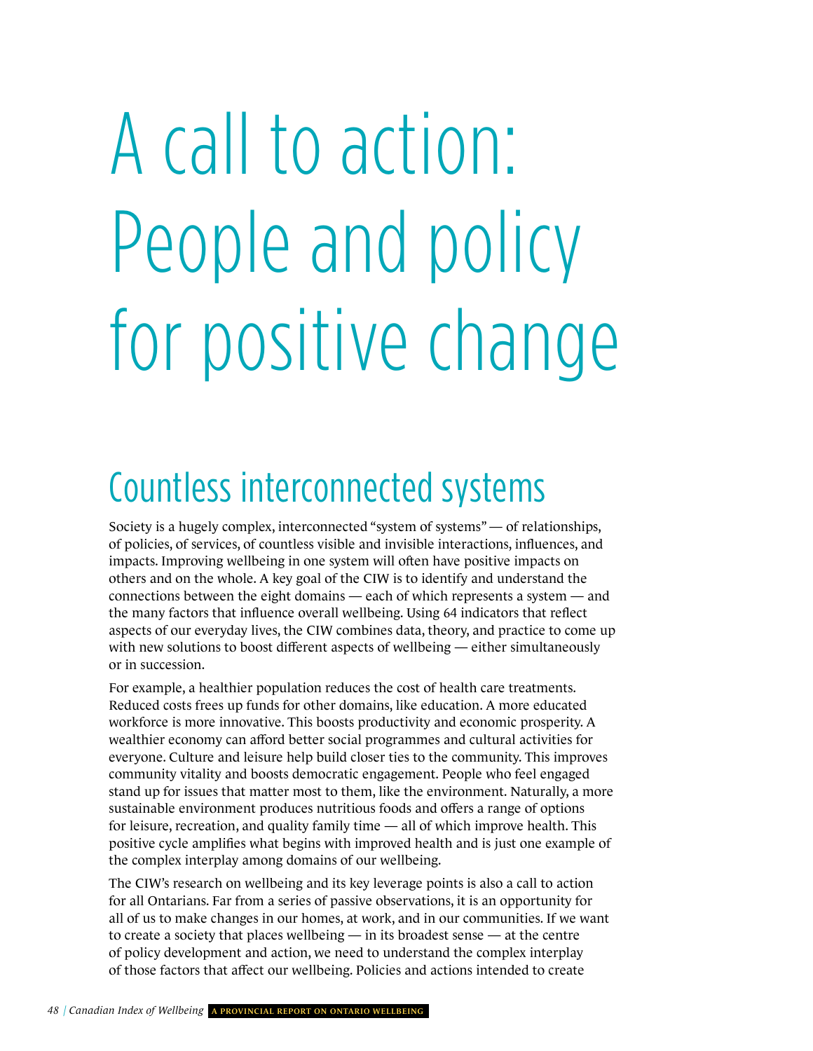# <span id="page-51-0"></span>A call to action: People and policy for positive change

### Countless interconnected systems

Society is a hugely complex, interconnected "system of systems" — of relationships, of policies, of services, of countless visible and invisible interactions, influences, and impacts. Improving wellbeing in one system will often have positive impacts on others and on the whole. A key goal of the CIW is to identify and understand the connections between the eight domains — each of which represents a system — and the many factors that influence overall wellbeing. Using 64 indicators that reflect aspects of our everyday lives, the CIW combines data, theory, and practice to come up with new solutions to boost different aspects of wellbeing — either simultaneously or in succession.

For example, a healthier population reduces the cost of health care treatments. Reduced costs frees up funds for other domains, like education. A more educated workforce is more innovative. This boosts productivity and economic prosperity. A wealthier economy can afford better social programmes and cultural activities for everyone. Culture and leisure help build closer ties to the community. This improves community vitality and boosts democratic engagement. People who feel engaged stand up for issues that matter most to them, like the environment. Naturally, a more sustainable environment produces nutritious foods and offers a range of options for leisure, recreation, and quality family time — all of which improve health. This positive cycle amplifies what begins with improved health and is just one example of the complex interplay among domains of our wellbeing.

The CIW's research on wellbeing and its key leverage points is also a call to action for all Ontarians. Far from a series of passive observations, it is an opportunity for all of us to make changes in our homes, at work, and in our communities. If we want to create a society that places wellbeing — in its broadest sense — at the centre of policy development and action, we need to understand the complex interplay of those factors that affect our wellbeing. Policies and actions intended to create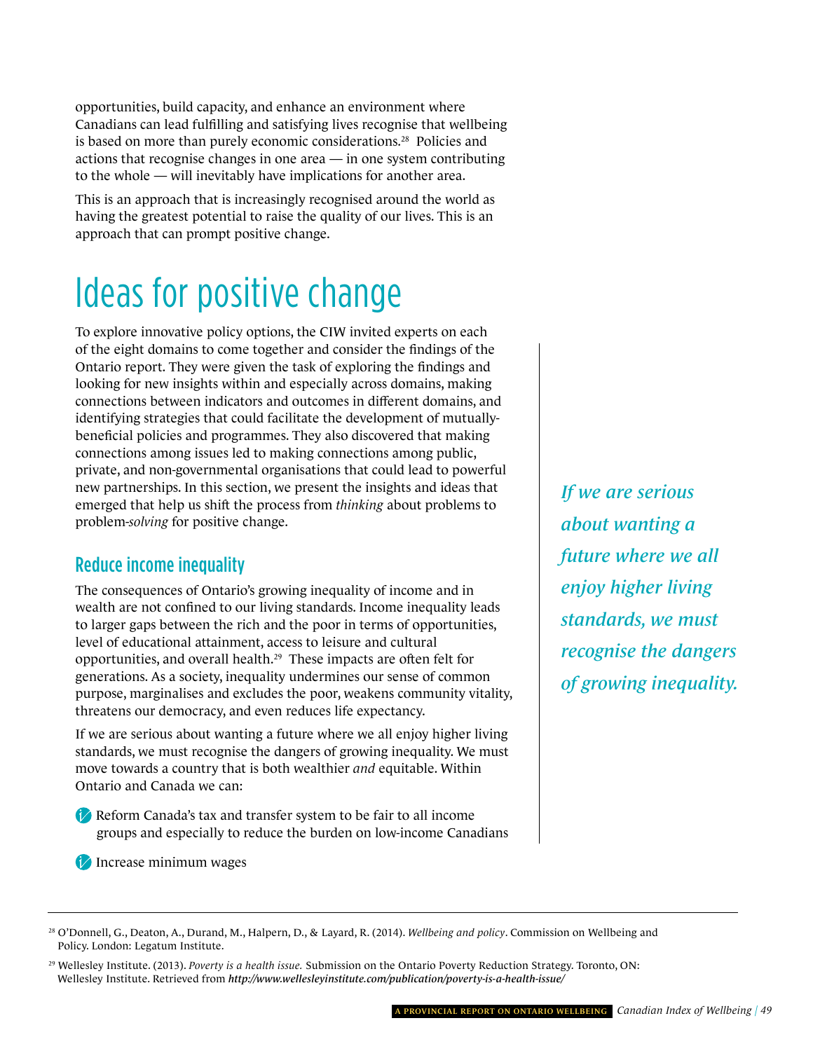opportunities, build capacity, and enhance an environment where Canadians can lead fulfilling and satisfying lives recognise that wellbeing is based on more than purely economic considerations.28 Policies and actions that recognise changes in one area — in one system contributing to the whole — will inevitably have implications for another area.

This is an approach that is increasingly recognised around the world as having the greatest potential to raise the quality of our lives. This is an approach that can prompt positive change.

## Ideas for positive change

To explore innovative policy options, the CIW invited experts on each of the eight domains to come together and consider the findings of the Ontario report. They were given the task of exploring the findings and looking for new insights within and especially across domains, making connections between indicators and outcomes in different domains, and identifying strategies that could facilitate the development of mutuallybeneficial policies and programmes. They also discovered that making connections among issues led to making connections among public, private, and non-governmental organisations that could lead to powerful new partnerships. In this section, we present the insights and ideas that emerged that help us shift the process from *thinking* about problems to problem-*solving* for positive change.

### Reduce income inequality

The consequences of Ontario's growing inequality of income and in wealth are not confined to our living standards. Income inequality leads to larger gaps between the rich and the poor in terms of opportunities, level of educational attainment, access to leisure and cultural opportunities, and overall health.29 These impacts are often felt for generations. As a society, inequality undermines our sense of common purpose, marginalises and excludes the poor, weakens community vitality, threatens our democracy, and even reduces life expectancy.

If we are serious about wanting a future where we all enjoy higher living standards, we must recognise the dangers of growing inequality. We must move towards a country that is both wealthier *and* equitable. Within Ontario and Canada we can:

Reform Canada's tax and transfer system to be fair to all income groups and especially to reduce the burden on low-income Canadians

Increase minimum wages

*If we are serious about wanting a future where we all enjoy higher living standards, we must recognise the dangers of growing inequality.*

<sup>28</sup> O'Donnell, G., Deaton, A., Durand, M., Halpern, D., & Layard, R. (2014). *Wellbeing and policy*. Commission on Wellbeing and Policy. London: Legatum Institute.

<sup>29</sup> Wellesley Institute. (2013). *Poverty is a health issue.* Submission on the Ontario Poverty Reduction Strategy. Toronto, ON: Wellesley Institute. Retrieved from *<http://www.wellesleyinstitute.com/publication/poverty-is-a-health-issue/>*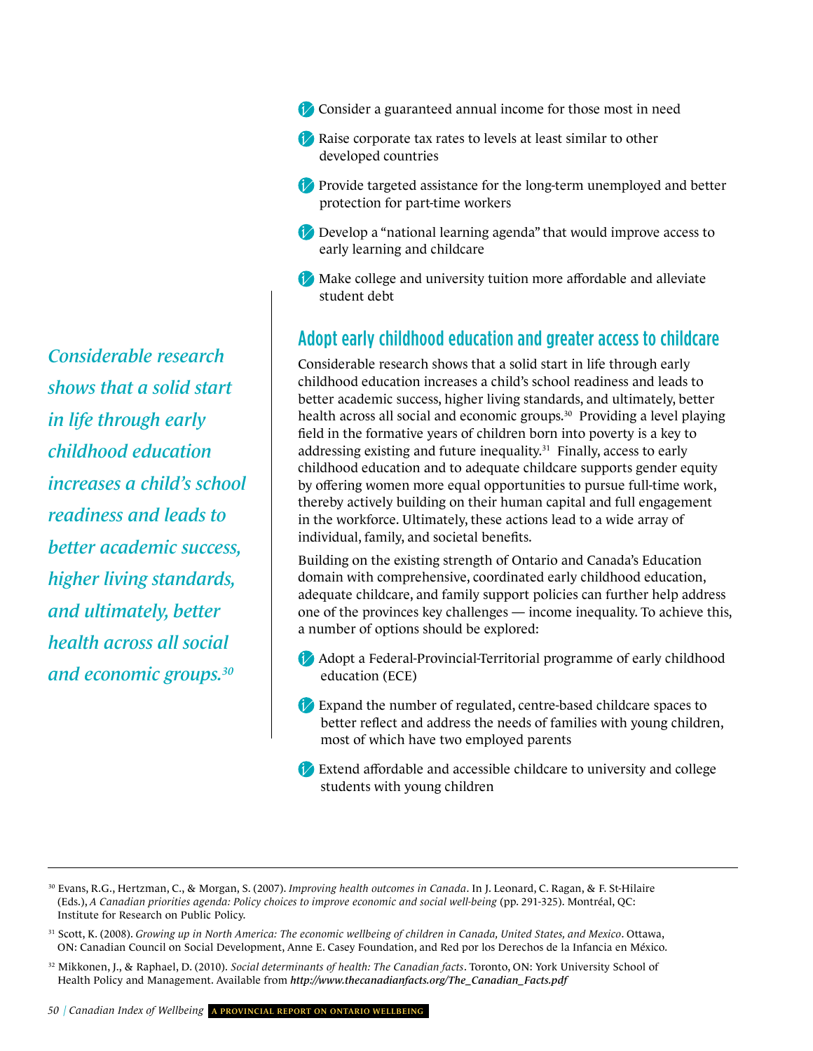*Considerable research shows that a solid start in life through early childhood education increases a child's school readiness and leads to better academic success, higher living standards, and ultimately, better health across all social and economic groups.30*

- Consider a guaranteed annual income for those most in need
- Raise corporate tax rates to levels at least similar to other developed countries
- **Provide targeted assistance for the long-term unemployed and better** protection for part-time workers
- Develop a "national learning agenda" that would improve access to early learning and childcare
- Make college and university tuition more affordable and alleviate student debt

### Adopt early childhood education and greater access to childcare

Considerable research shows that a solid start in life through early childhood education increases a child's school readiness and leads to better academic success, higher living standards, and ultimately, better health across all social and economic groups.<sup>30</sup> Providing a level playing field in the formative years of children born into poverty is a key to addressing existing and future inequality. $31$  Finally, access to early childhood education and to adequate childcare supports gender equity by offering women more equal opportunities to pursue full-time work, thereby actively building on their human capital and full engagement in the workforce. Ultimately, these actions lead to a wide array of individual, family, and societal benefits.

Building on the existing strength of Ontario and Canada's Education domain with comprehensive, coordinated early childhood education, adequate childcare, and family support policies can further help address one of the provinces key challenges — income inequality. To achieve this, a number of options should be explored:

- Adopt a Federal-Provincial-Territorial programme of early childhood education (ECE)
- Expand the number of regulated, centre-based childcare spaces to better reflect and address the needs of families with young children, most of which have two employed parents
- Extend affordable and accessible childcare to university and college students with young children

- 31 Scott, K. (2008). *Growing up in North America: The economic wellbeing of children in Canada, United States, and Mexico*. Ottawa, ON: Canadian Council on Social Development, Anne E. Casey Foundation, and Red por los Derechos de la Infancia en México.
- 32 Mikkonen, J., & Raphael, D. (2010). *Social determinants of health: The Canadian facts*. Toronto, ON: York University School of Health Policy and Management. Available from *[http://www.thecanadianfacts.org/The\\_Canadian\\_Facts.pdf](http://www.thecanadianfacts.org/The_Canadian_Facts.pdf)*

<sup>30</sup> Evans, R.G., Hertzman, C., & Morgan, S. (2007). *Improving health outcomes in Canada*. In J. Leonard, C. Ragan, & F. St-Hilaire (Eds.), *A Canadian priorities agenda: Policy choices to improve economic and social well-being* (pp. 291-325). Montréal, QC: Institute for Research on Public Policy.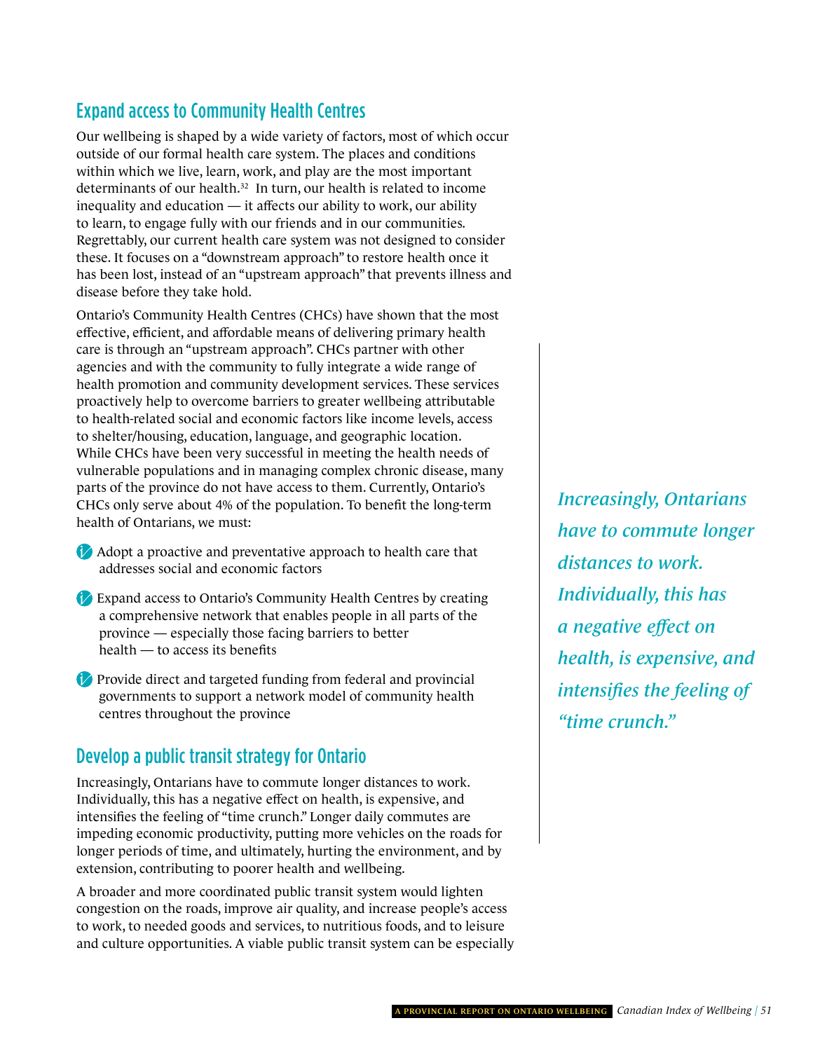### Expand access to Community Health Centres

Our wellbeing is shaped by a wide variety of factors, most of which occur outside of our formal health care system. The places and conditions within which we live, learn, work, and play are the most important determinants of our health.<sup>32</sup> In turn, our health is related to income inequality and education — it affects our ability to work, our ability to learn, to engage fully with our friends and in our communities. Regrettably, our current health care system was not designed to consider these. It focuses on a "downstream approach" to restore health once it has been lost, instead of an "upstream approach" that prevents illness and disease before they take hold.

Ontario's Community Health Centres (CHCs) have shown that the most effective, efficient, and affordable means of delivering primary health care is through an "upstream approach". CHCs partner with other agencies and with the community to fully integrate a wide range of health promotion and community development services. These services proactively help to overcome barriers to greater wellbeing attributable to health-related social and economic factors like income levels, access to shelter/housing, education, language, and geographic location. While CHCs have been very successful in meeting the health needs of vulnerable populations and in managing complex chronic disease, many parts of the province do not have access to them. Currently, Ontario's CHCs only serve about 4% of the population. To benefit the long-term health of Ontarians, we must:

- Adopt a proactive and preventative approach to health care that addresses social and economic factors
- Expand access to Ontario's Community Health Centres by creating a comprehensive network that enables people in all parts of the province — especially those facing barriers to better health — to access its benefits
- **Provide direct and targeted funding from federal and provincial** governments to support a network model of community health centres throughout the province

### Develop a public transit strategy for Ontario

Increasingly, Ontarians have to commute longer distances to work. Individually, this has a negative effect on health, is expensive, and intensifies the feeling of "time crunch." Longer daily commutes are impeding economic productivity, putting more vehicles on the roads for longer periods of time, and ultimately, hurting the environment, and by extension, contributing to poorer health and wellbeing.

A broader and more coordinated public transit system would lighten congestion on the roads, improve air quality, and increase people's access to work, to needed goods and services, to nutritious foods, and to leisure and culture opportunities. A viable public transit system can be especially *Increasingly, Ontarians have to commute longer distances to work. Individually, this has a negative effect on health, is expensive, and intensifies the feeling of "time crunch."*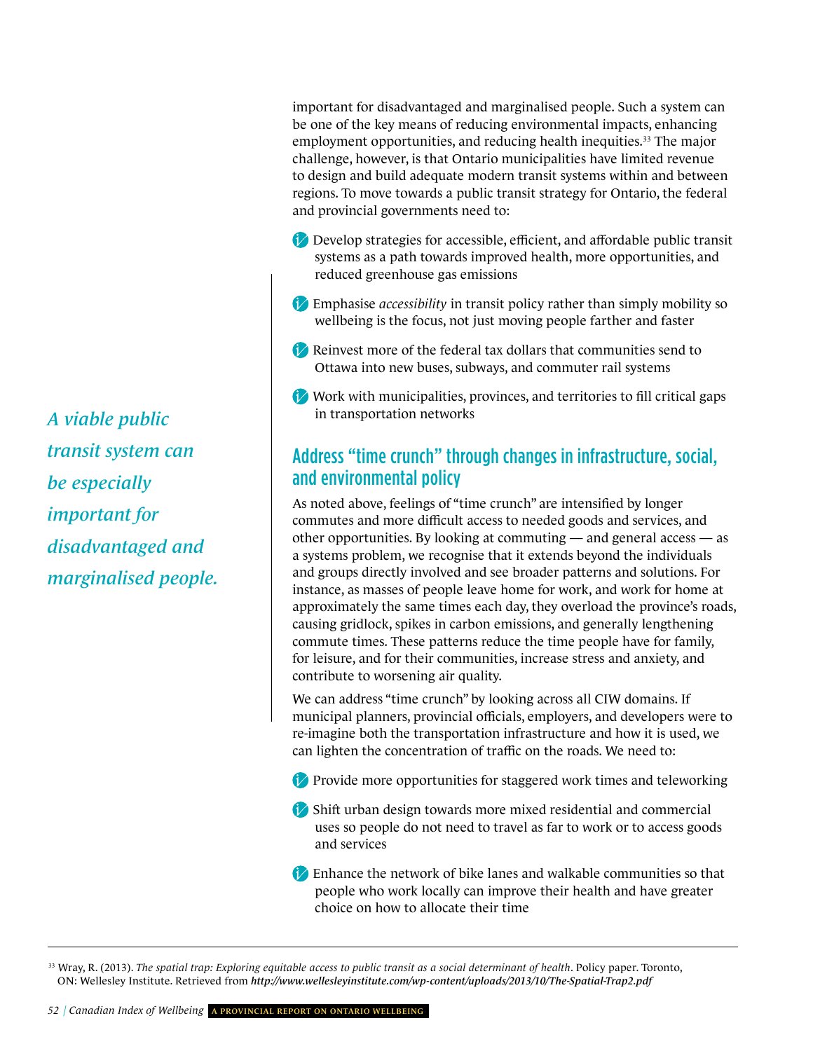important for disadvantaged and marginalised people. Such a system can be one of the key means of reducing environmental impacts, enhancing employment opportunities, and reducing health inequities.<sup>33</sup> The major challenge, however, is that Ontario municipalities have limited revenue to design and build adequate modern transit systems within and between regions. To move towards a public transit strategy for Ontario, the federal and provincial governments need to:

- Develop strategies for accessible, efficient, and affordable public transit systems as a path towards improved health, more opportunities, and reduced greenhouse gas emissions
- Emphasise *accessibility* in transit policy rather than simply mobility so wellbeing is the focus, not just moving people farther and faster
- Reinvest more of the federal tax dollars that communities send to Ottawa into new buses, subways, and commuter rail systems
- Work with municipalities, provinces, and territories to fill critical gaps in transportation networks

#### Address "time crunch" through changes in infrastructure, social, and environmental policy

As noted above, feelings of "time crunch" are intensified by longer commutes and more difficult access to needed goods and services, and other opportunities. By looking at commuting — and general access — as a systems problem, we recognise that it extends beyond the individuals and groups directly involved and see broader patterns and solutions. For instance, as masses of people leave home for work, and work for home at approximately the same times each day, they overload the province's roads, causing gridlock, spikes in carbon emissions, and generally lengthening commute times. These patterns reduce the time people have for family, for leisure, and for their communities, increase stress and anxiety, and contribute to worsening air quality.

We can address "time crunch" by looking across all CIW domains. If municipal planners, provincial officials, employers, and developers were to re-imagine both the transportation infrastructure and how it is used, we can lighten the concentration of traffic on the roads. We need to:

- **Provide more opportunities for staggered work times and teleworking**
- Shift urban design towards more mixed residential and commercial uses so people do not need to travel as far to work or to access goods and services
- Enhance the network of bike lanes and walkable communities so that people who work locally can improve their health and have greater choice on how to allocate their time

<sup>33</sup> Wray, R. (2013). *The spatial trap: Exploring equitable access to public transit as a social determinant of health. Policy paper. Toronto,* ON: Wellesley Institute. Retrieved from *<http://www.wellesleyinstitute.com/wp-content/uploads/2013/10/The-Spatial-Trap2.pdf>*

*A viable public transit system can be especially important for disadvantaged and marginalised people.*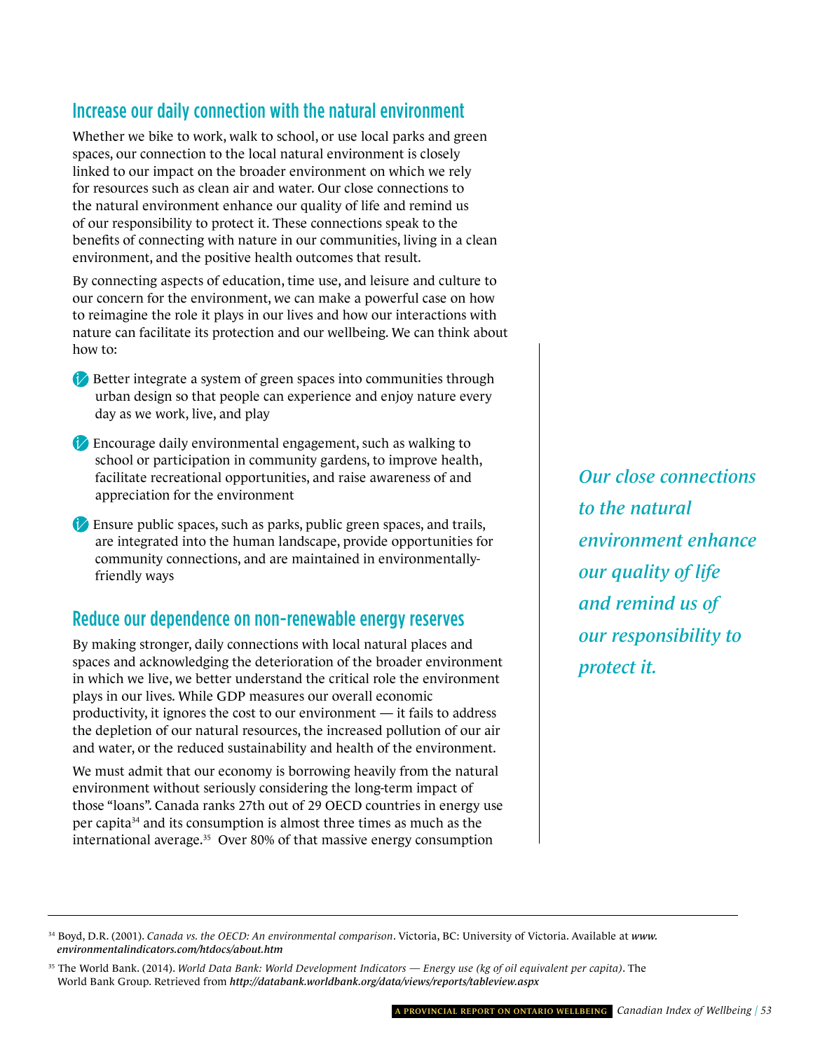### Increase our daily connection with the natural environment

Whether we bike to work, walk to school, or use local parks and green spaces, our connection to the local natural environment is closely linked to our impact on the broader environment on which we rely for resources such as clean air and water. Our close connections to the natural environment enhance our quality of life and remind us of our responsibility to protect it. These connections speak to the benefits of connecting with nature in our communities, living in a clean environment, and the positive health outcomes that result.

By connecting aspects of education, time use, and leisure and culture to our concern for the environment, we can make a powerful case on how to reimagine the role it plays in our lives and how our interactions with nature can facilitate its protection and our wellbeing. We can think about how to:

- Better integrate a system of green spaces into communities through urban design so that people can experience and enjoy nature every day as we work, live, and play
- Encourage daily environmental engagement, such as walking to school or participation in community gardens, to improve health, facilitate recreational opportunities, and raise awareness of and appreciation for the environment
- Ensure public spaces, such as parks, public green spaces, and trails, are integrated into the human landscape, provide opportunities for community connections, and are maintained in environmentallyfriendly ways

### Reduce our dependence on non-renewable energy reserves

By making stronger, daily connections with local natural places and spaces and acknowledging the deterioration of the broader environment in which we live, we better understand the critical role the environment plays in our lives. While GDP measures our overall economic productivity, it ignores the cost to our environment — it fails to address the depletion of our natural resources, the increased pollution of our air and water, or the reduced sustainability and health of the environment.

We must admit that our economy is borrowing heavily from the natural environment without seriously considering the long-term impact of those "loans". Canada ranks 27th out of 29 OECD countries in energy use per capita34 and its consumption is almost three times as much as the international average.35 Over 80% of that massive energy consumption

*Our close connections to the natural environment enhance our quality of life and remind us of our responsibility to protect it.* 

<sup>34</sup> Boyd, D.R. (2001). *[Canada vs. the OECD: An environmental comparison](http://www.environmentalindicators.com/htdocs/about.htm)*. Victoria, BC: University of Victoria. Available at *www. environmentalindicators.com/htdocs/about.htm* 

<sup>35</sup> The World Bank. (2014). *World Data Bank: World Development Indicators — Energy use (kg of oil equivalent per capita)*. The World Bank Group. Retrieved from *<http://databank.worldbank.org/data/views/reports/tableview.aspx>*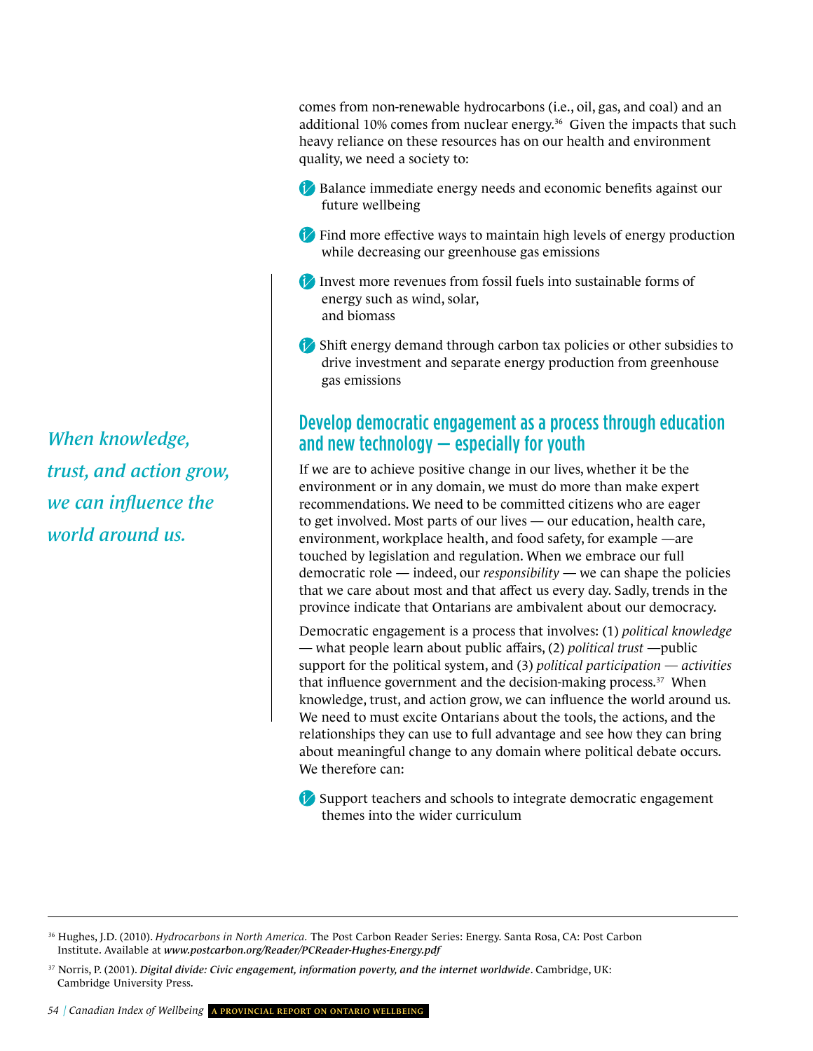comes from non-renewable hydrocarbons (i.e., oil, gas, and coal) and an additional 10% comes from nuclear energy.<sup>36</sup> Given the impacts that such heavy reliance on these resources has on our health and environment quality, we need a society to:

- Balance immediate energy needs and economic benefits against our future wellbeing
- Find more effective ways to maintain high levels of energy production while decreasing our greenhouse gas emissions
- Invest more revenues from fossil fuels into sustainable forms of energy such as wind, solar, and biomass
- Shift energy demand through carbon tax policies or other subsidies to drive investment and separate energy production from greenhouse gas emissions

### Develop democratic engagement as a process through education and new technology — especially for youth

If we are to achieve positive change in our lives, whether it be the environment or in any domain, we must do more than make expert recommendations. We need to be committed citizens who are eager to get involved. Most parts of our lives — our education, health care, environment, workplace health, and food safety, for example —are touched by legislation and regulation. When we embrace our full democratic role — indeed, our *responsibility* — we can shape the policies that we care about most and that affect us every day. Sadly, trends in the province indicate that Ontarians are ambivalent about our democracy.

Democratic engagement is a process that involves: (1) *political knowledge* — what people learn about public affairs, (2) *political trust* —public support for the political system, and (3) *political participation — activities*  that influence government and the decision-making process.<sup>37</sup> When knowledge, trust, and action grow, we can influence the world around us. We need to must excite Ontarians about the tools, the actions, and the relationships they can use to full advantage and see how they can bring about meaningful change to any domain where political debate occurs. We therefore can:

Support teachers and schools to integrate democratic engagement themes into the wider curriculum

*When knowledge, trust, and action grow, we can influence the world around us.*

<sup>36</sup> Hughes, J.D. (2010). *Hydrocarbons in North America.* The Post Carbon Reader Series: Energy. Santa Rosa, CA: Post Carbon Institute. Available at *[www.postcarbon.org/Reader/PCReader-Hughes-Energy.pdf](http://www.postcarbon.org/Reader/PCReader-Hughes-Energy.pdf)*

<sup>37</sup> Norris, P. (2001). *Digital divide: Civic engagement, information poverty, and the internet worldwide*. Cambridge, UK: Cambridge University Press.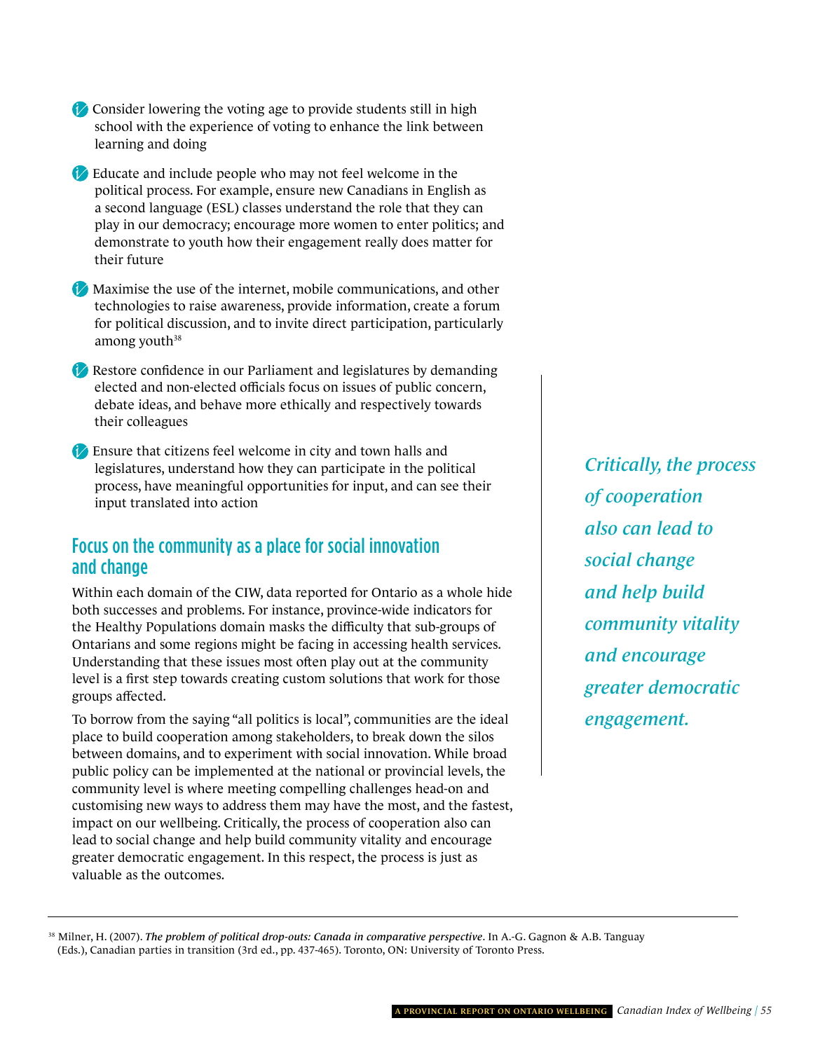- Consider lowering the voting age to provide students still in high school with the experience of voting to enhance the link between learning and doing
- Educate and include people who may not feel welcome in the political process. For example, ensure new Canadians in English as a second language (ESL) classes understand the role that they can play in our democracy; encourage more women to enter politics; and demonstrate to youth how their engagement really does matter for their future

Maximise the use of the internet, mobile communications, and other technologies to raise awareness, provide information, create a forum for political discussion, and to invite direct participation, particularly among youth $38$ 

Restore confidence in our Parliament and legislatures by demanding elected and non-elected officials focus on issues of public concern, debate ideas, and behave more ethically and respectively towards their colleagues

Ensure that citizens feel welcome in city and town halls and legislatures, understand how they can participate in the political process, have meaningful opportunities for input, and can see their input translated into action

#### Focus on the community as a place for social innovation and change

Within each domain of the CIW, data reported for Ontario as a whole hide both successes and problems. For instance, province-wide indicators for the Healthy Populations domain masks the difficulty that sub-groups of Ontarians and some regions might be facing in accessing health services. Understanding that these issues most often play out at the community level is a first step towards creating custom solutions that work for those groups affected.

To borrow from the saying "all politics is local", communities are the ideal place to build cooperation among stakeholders, to break down the silos between domains, and to experiment with social innovation. While broad public policy can be implemented at the national or provincial levels, the community level is where meeting compelling challenges head-on and customising new ways to address them may have the most, and the fastest, impact on our wellbeing. Critically, the process of cooperation also can lead to social change and help build community vitality and encourage greater democratic engagement. In this respect, the process is just as valuable as the outcomes.

*Critically, the process of cooperation also can lead to social change and help build community vitality and encourage greater democratic engagement.* 

38 Milner, H. (2007). *The problem of political drop-outs: Canada in comparative perspective*. In A.-G. Gagnon & A.B. Tanguay (Eds.), Canadian parties in transition (3rd ed., pp. 437-465). Toronto, ON: University of Toronto Press.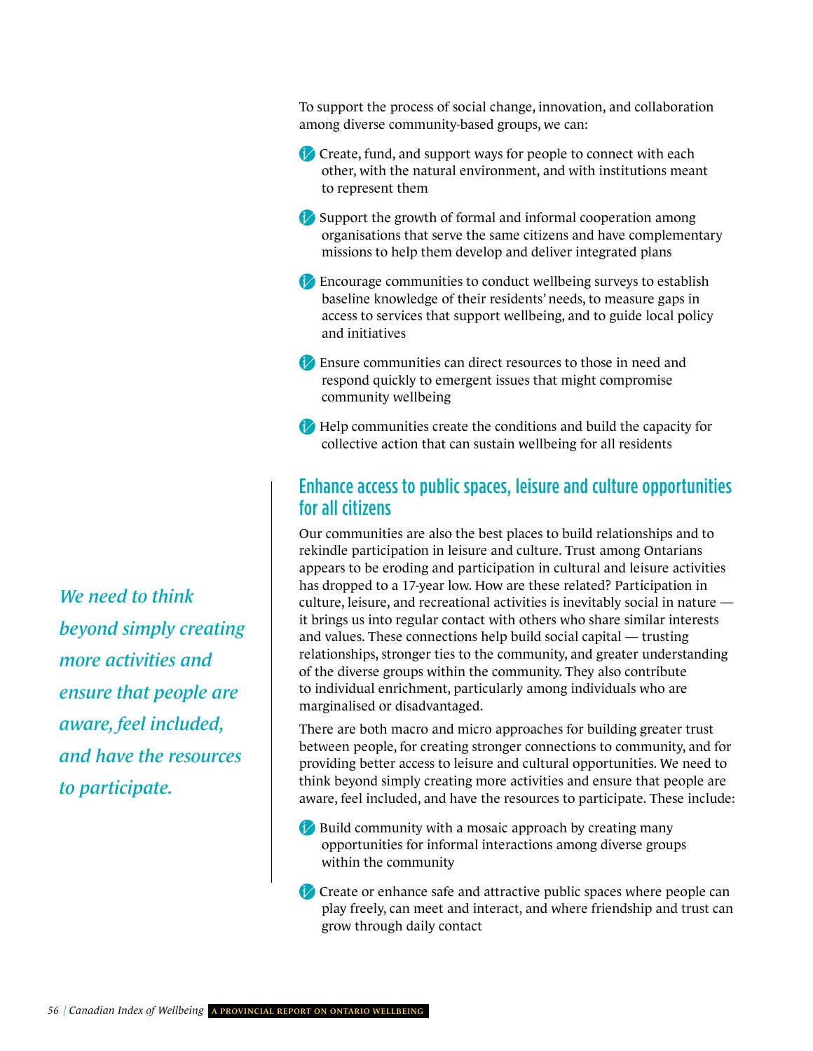To support the process of social change, innovation, and collaboration among diverse community-based groups, we can:

- Create, fund, and support ways for people to connect with each other, with the natural environment, and with institutions meant to represent them
- Support the growth of formal and informal cooperation among organisations that serve the same citizens and have complementary missions to help them develop and deliver integrated plans
- Encourage communities to conduct wellbeing surveys to establish baseline knowledge of their residents' needs, to measure gaps in access to services that support wellbeing, and to guide local policy and initiatives
- Ensure communities can direct resources to those in need and respond quickly to emergent issues that might compromise community wellbeing
- Help communities create the conditions and build the capacity for collective action that can sustain wellbeing for all residents

#### Enhance access to public spaces, leisure and culture opportunities for all citizens

Our communities are also the best places to build relationships and to rekindle participation in leisure and culture. Trust among Ontarians appears to be eroding and participation in cultural and leisure activities has dropped to a 17-year low. How are these related? Participation in culture, leisure, and recreational activities is inevitably social in nature it brings us into regular contact with others who share similar interests and values. These connections help build social capital — trusting relationships, stronger ties to the community, and greater understanding of the diverse groups within the community. They also contribute to individual enrichment, particularly among individuals who are marginalised or disadvantaged.

There are both macro and micro approaches for building greater trust between people, for creating stronger connections to community, and for providing better access to leisure and cultural opportunities. We need to think beyond simply creating more activities and ensure that people are aware, feel included, and have the resources to participate. These include:

- **Build community with a mosaic approach by creating many** opportunities for informal interactions among diverse groups within the community
- Create or enhance safe and attractive public spaces where people can play freely, can meet and interact, and where friendship and trust can grow through daily contact

*We need to think beyond simply creating more activities and ensure that people are aware, feel included, and have the resources to participate.*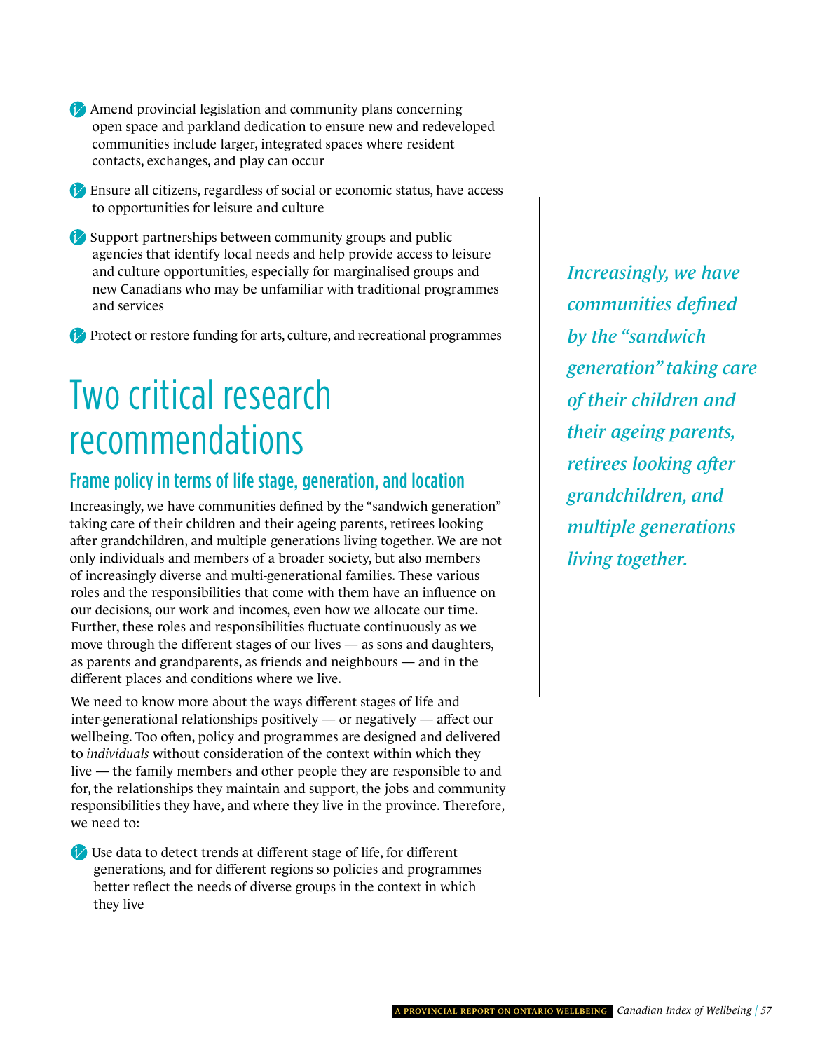- Amend provincial legislation and community plans concerning open space and parkland dedication to ensure new and redeveloped communities include larger, integrated spaces where resident contacts, exchanges, and play can occur
- Ensure all citizens, regardless of social or economic status, have access to opportunities for leisure and culture
- Support partnerships between community groups and public agencies that identify local needs and help provide access to leisure and culture opportunities, especially for marginalised groups and new Canadians who may be unfamiliar with traditional programmes and services

Protect or restore funding for arts, culture, and recreational programmes

### Two critical research recommendations

### Frame policy in terms of life stage, generation, and location

Increasingly, we have communities defined by the "sandwich generation" taking care of their children and their ageing parents, retirees looking after grandchildren, and multiple generations living together. We are not only individuals and members of a broader society, but also members of increasingly diverse and multi-generational families. These various roles and the responsibilities that come with them have an influence on our decisions, our work and incomes, even how we allocate our time. Further, these roles and responsibilities fluctuate continuously as we move through the different stages of our lives — as sons and daughters, as parents and grandparents, as friends and neighbours — and in the different places and conditions where we live.

We need to know more about the ways different stages of life and inter-generational relationships positively — or negatively — affect our wellbeing. Too often, policy and programmes are designed and delivered to *individuals* without consideration of the context within which they live — the family members and other people they are responsible to and for, the relationships they maintain and support, the jobs and community responsibilities they have, and where they live in the province. Therefore, we need to:

Use data to detect trends at different stage of life, for different generations, and for different regions so policies and programmes better reflect the needs of diverse groups in the context in which they live

*Increasingly, we have communities defined by the "sandwich generation" taking care of their children and their ageing parents, retirees looking after grandchildren, and multiple generations living together.*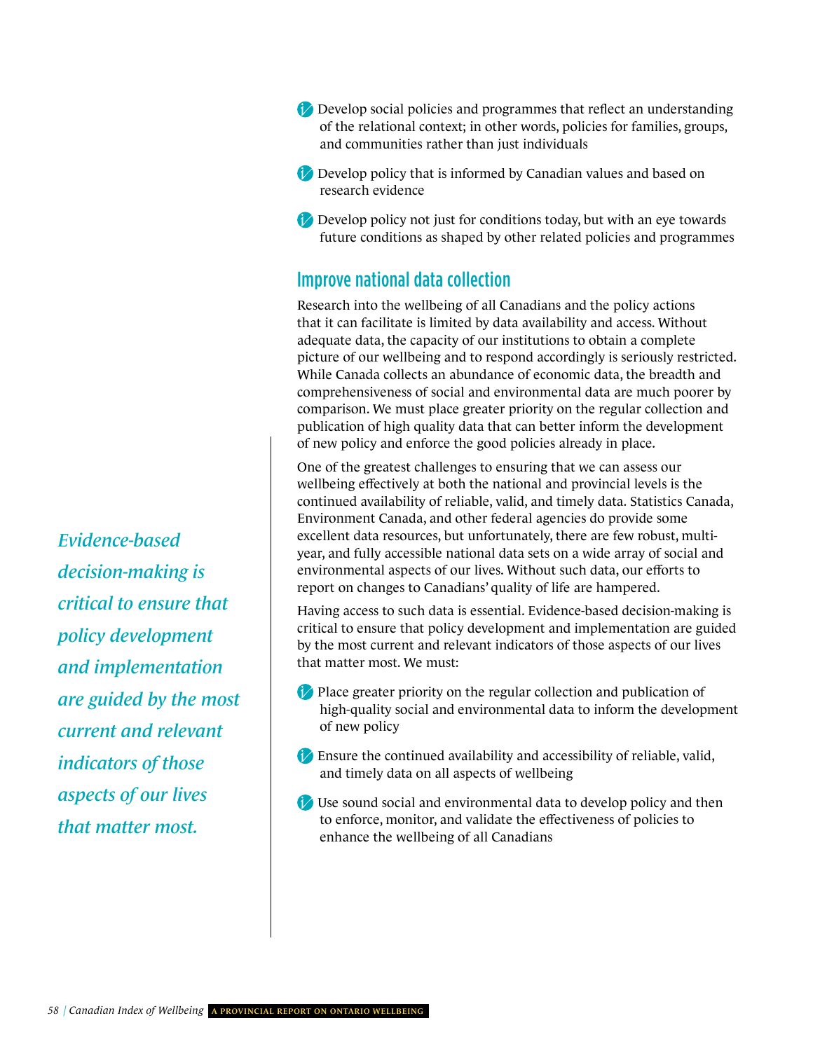- Develop social policies and programmes that reflect an understanding of the relational context; in other words, policies for families, groups, and communities rather than just individuals
- Develop policy that is informed by Canadian values and based on research evidence
- Develop policy not just for conditions today, but with an eye towards future conditions as shaped by other related policies and programmes

#### Improve national data collection

Research into the wellbeing of all Canadians and the policy actions that it can facilitate is limited by data availability and access. Without adequate data, the capacity of our institutions to obtain a complete picture of our wellbeing and to respond accordingly is seriously restricted. While Canada collects an abundance of economic data, the breadth and comprehensiveness of social and environmental data are much poorer by comparison. We must place greater priority on the regular collection and publication of high quality data that can better inform the development of new policy and enforce the good policies already in place.

One of the greatest challenges to ensuring that we can assess our wellbeing effectively at both the national and provincial levels is the continued availability of reliable, valid, and timely data. Statistics Canada, Environment Canada, and other federal agencies do provide some excellent data resources, but unfortunately, there are few robust, multiyear, and fully accessible national data sets on a wide array of social and environmental aspects of our lives. Without such data, our efforts to report on changes to Canadians' quality of life are hampered.

Having access to such data is essential. Evidence-based decision-making is critical to ensure that policy development and implementation are guided by the most current and relevant indicators of those aspects of our lives that matter most. We must:

- Place greater priority on the regular collection and publication of high-quality social and environmental data to inform the development of new policy
- Ensure the continued availability and accessibility of reliable, valid, and timely data on all aspects of wellbeing
- Use sound social and environmental data to develop policy and then to enforce, monitor, and validate the effectiveness of policies to enhance the wellbeing of all Canadians

*Evidence-based decision-making is critical to ensure that policy development and implementation are guided by the most current and relevant indicators of those aspects of our lives that matter most.*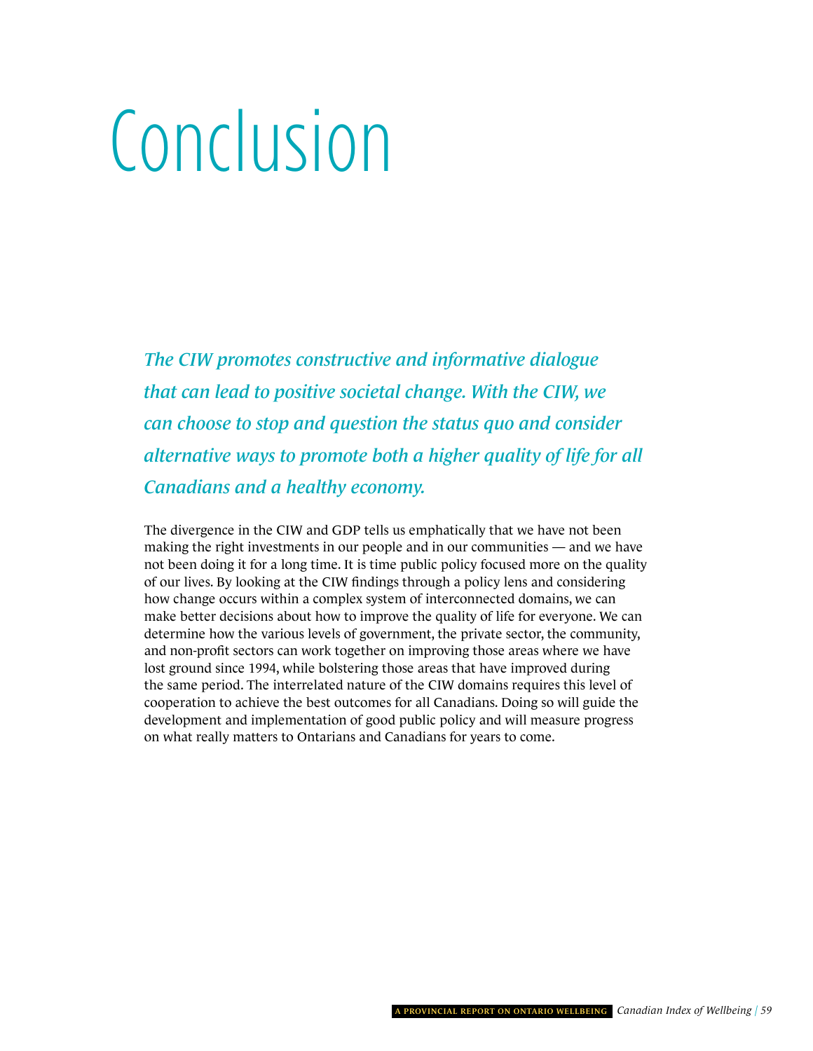# <span id="page-62-0"></span>Conclusion

*The CIW promotes constructive and informative dialogue that can lead to positive societal change. With the CIW, we can choose to stop and question the status quo and consider alternative ways to promote both a higher quality of life for all Canadians and a healthy economy.* 

The divergence in the CIW and GDP tells us emphatically that we have not been making the right investments in our people and in our communities — and we have not been doing it for a long time. It is time public policy focused more on the quality of our lives. By looking at the CIW findings through a policy lens and considering how change occurs within a complex system of interconnected domains, we can make better decisions about how to improve the quality of life for everyone. We can determine how the various levels of government, the private sector, the community, and non-profit sectors can work together on improving those areas where we have lost ground since 1994, while bolstering those areas that have improved during the same period. The interrelated nature of the CIW domains requires this level of cooperation to achieve the best outcomes for all Canadians. Doing so will guide the development and implementation of good public policy and will measure progress on what really matters to Ontarians and Canadians for years to come.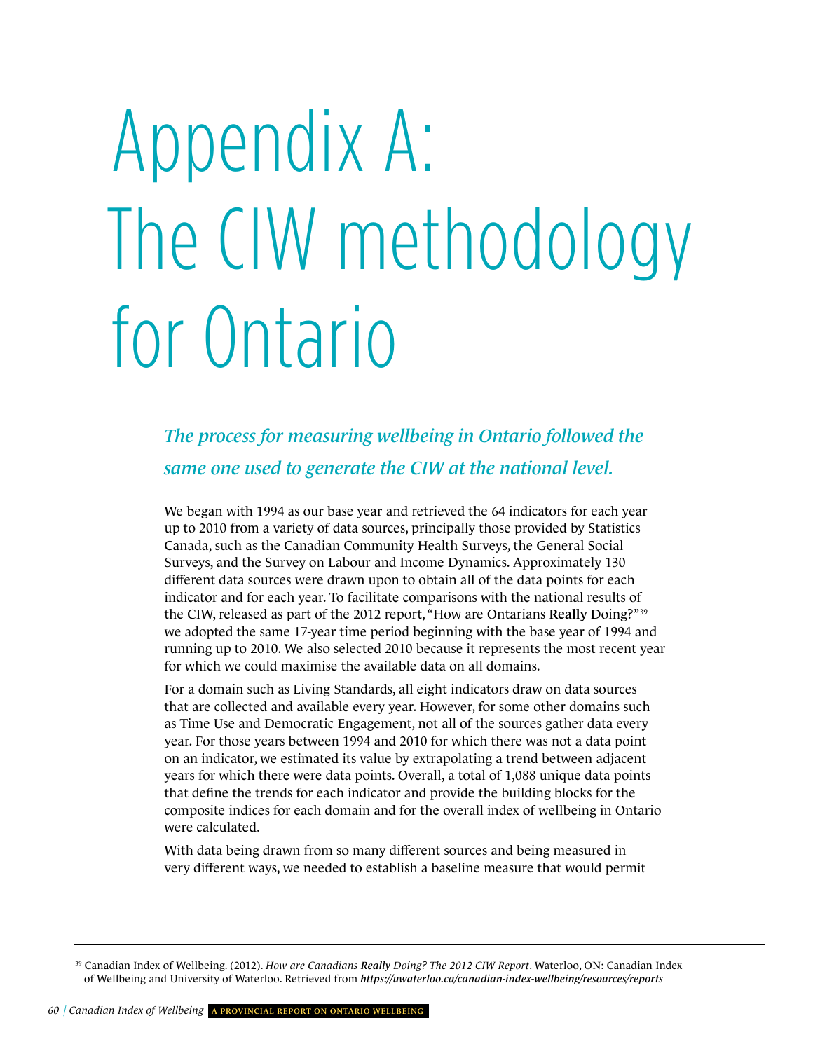# <span id="page-63-0"></span>Appendix A: The CIW methodology for Ontario

*The process for measuring wellbeing in Ontario followed the same one used to generate the CIW at the national level.*

We began with 1994 as our base year and retrieved the 64 indicators for each year up to 2010 from a variety of data sources, principally those provided by Statistics Canada, such as the Canadian Community Health Surveys, the General Social Surveys, and the Survey on Labour and Income Dynamics. Approximately 130 different data sources were drawn upon to obtain all of the data points for each indicator and for each year. To facilitate comparisons with the national results of the CIW, released as part of the 2012 report, "How are Ontarians Really Doing?"<sup>39</sup> we adopted the same 17-year time period beginning with the base year of 1994 and running up to 2010. We also selected 2010 because it represents the most recent year for which we could maximise the available data on all domains.

For a domain such as Living Standards, all eight indicators draw on data sources that are collected and available every year. However, for some other domains such as Time Use and Democratic Engagement, not all of the sources gather data every year. For those years between 1994 and 2010 for which there was not a data point on an indicator, we estimated its value by extrapolating a trend between adjacent years for which there were data points. Overall, a total of 1,088 unique data points that define the trends for each indicator and provide the building blocks for the composite indices for each domain and for the overall index of wellbeing in Ontario were calculated.

With data being drawn from so many different sources and being measured in very different ways, we needed to establish a baseline measure that would permit

<sup>39</sup> Canadian Index of Wellbeing. (2012). *How are Canadians Really Doing? The 2012 CIW Report*. Waterloo, ON: Canadian Index of Wellbeing and University of Waterloo. Retrieved from *<https://uwaterloo.ca/canadian-index-wellbeing/resources/reports>*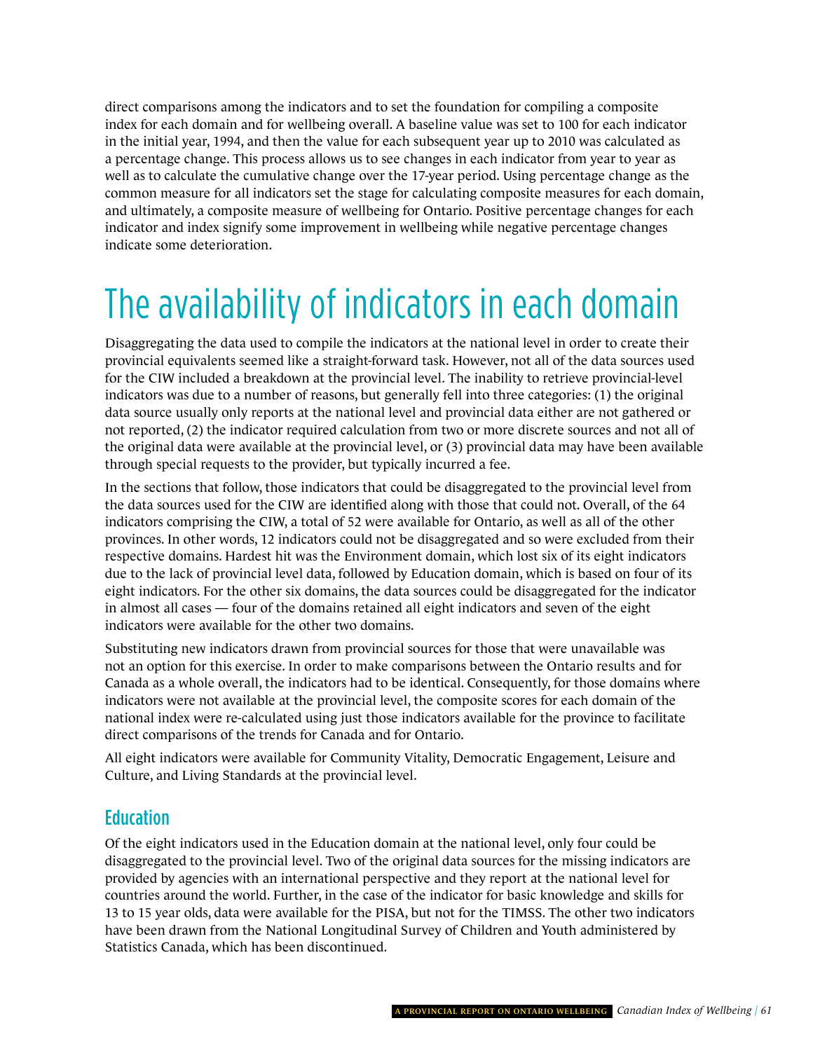direct comparisons among the indicators and to set the foundation for compiling a composite index for each domain and for wellbeing overall. A baseline value was set to 100 for each indicator in the initial year, 1994, and then the value for each subsequent year up to 2010 was calculated as a percentage change. This process allows us to see changes in each indicator from year to year as well as to calculate the cumulative change over the 17-year period. Using percentage change as the common measure for all indicators set the stage for calculating composite measures for each domain, and ultimately, a composite measure of wellbeing for Ontario. Positive percentage changes for each indicator and index signify some improvement in wellbeing while negative percentage changes indicate some deterioration.

### The availability of indicators in each domain

Disaggregating the data used to compile the indicators at the national level in order to create their provincial equivalents seemed like a straight-forward task. However, not all of the data sources used for the CIW included a breakdown at the provincial level. The inability to retrieve provincial-level indicators was due to a number of reasons, but generally fell into three categories: (1) the original data source usually only reports at the national level and provincial data either are not gathered or not reported, (2) the indicator required calculation from two or more discrete sources and not all of the original data were available at the provincial level, or (3) provincial data may have been available through special requests to the provider, but typically incurred a fee.

In the sections that follow, those indicators that could be disaggregated to the provincial level from the data sources used for the CIW are identified along with those that could not. Overall, of the 64 indicators comprising the CIW, a total of 52 were available for Ontario, as well as all of the other provinces. In other words, 12 indicators could not be disaggregated and so were excluded from their respective domains. Hardest hit was the Environment domain, which lost six of its eight indicators due to the lack of provincial level data, followed by Education domain, which is based on four of its eight indicators. For the other six domains, the data sources could be disaggregated for the indicator in almost all cases — four of the domains retained all eight indicators and seven of the eight indicators were available for the other two domains.

Substituting new indicators drawn from provincial sources for those that were unavailable was not an option for this exercise. In order to make comparisons between the Ontario results and for Canada as a whole overall, the indicators had to be identical. Consequently, for those domains where indicators were not available at the provincial level, the composite scores for each domain of the national index were re-calculated using just those indicators available for the province to facilitate direct comparisons of the trends for Canada and for Ontario.

All eight indicators were available for Community Vitality, Democratic Engagement, Leisure and Culture, and Living Standards at the provincial level.

#### **Education**

Of the eight indicators used in the Education domain at the national level, only four could be disaggregated to the provincial level. Two of the original data sources for the missing indicators are provided by agencies with an international perspective and they report at the national level for countries around the world. Further, in the case of the indicator for basic knowledge and skills for 13 to 15 year olds, data were available for the PISA, but not for the TIMSS. The other two indicators have been drawn from the National Longitudinal Survey of Children and Youth administered by Statistics Canada, which has been discontinued.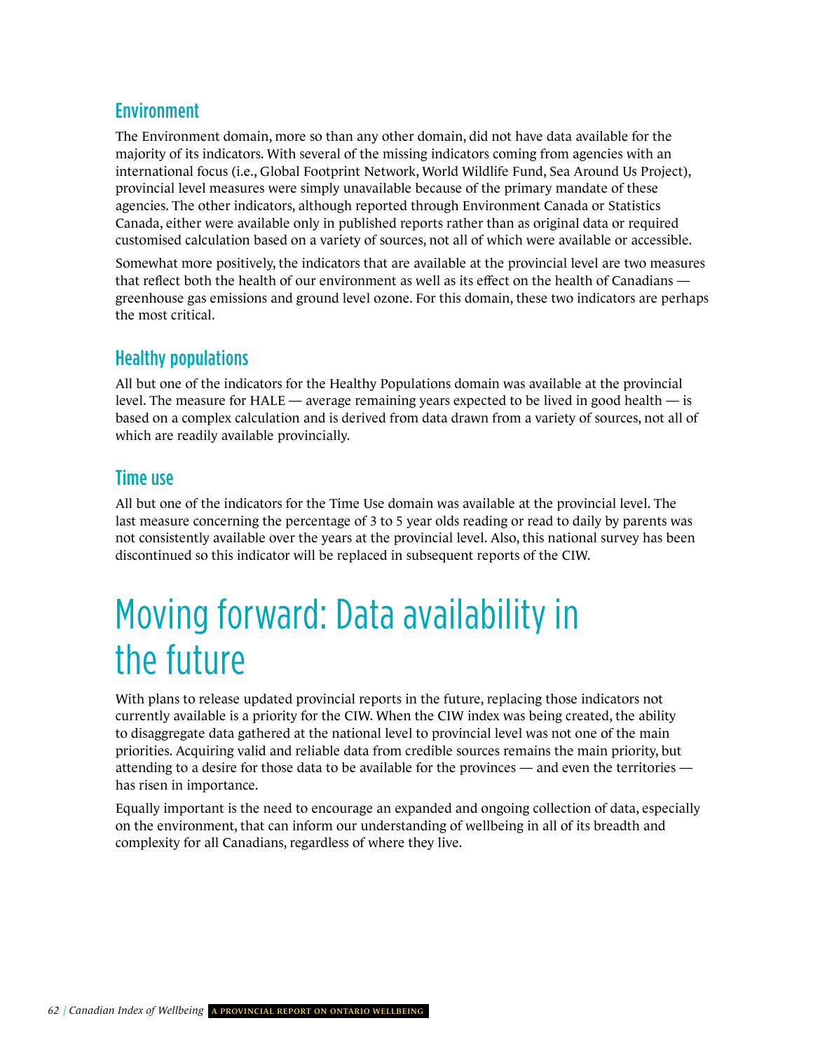### Environment

The Environment domain, more so than any other domain, did not have data available for the majority of its indicators. With several of the missing indicators coming from agencies with an international focus (i.e., Global Footprint Network, World Wildlife Fund, Sea Around Us Project), provincial level measures were simply unavailable because of the primary mandate of these agencies. The other indicators, although reported through Environment Canada or Statistics Canada, either were available only in published reports rather than as original data or required customised calculation based on a variety of sources, not all of which were available or accessible.

Somewhat more positively, the indicators that are available at the provincial level are two measures that reflect both the health of our environment as well as its effect on the health of Canadians greenhouse gas emissions and ground level ozone. For this domain, these two indicators are perhaps the most critical.

### Healthy populations

All but one of the indicators for the Healthy Populations domain was available at the provincial level. The measure for HALE — average remaining years expected to be lived in good health — is based on a complex calculation and is derived from data drawn from a variety of sources, not all of which are readily available provincially.

### Time use

All but one of the indicators for the Time Use domain was available at the provincial level. The last measure concerning the percentage of 3 to 5 year olds reading or read to daily by parents was not consistently available over the years at the provincial level. Also, this national survey has been discontinued so this indicator will be replaced in subsequent reports of the CIW.

### Moving forward: Data availability in the future

With plans to release updated provincial reports in the future, replacing those indicators not currently available is a priority for the CIW. When the CIW index was being created, the ability to disaggregate data gathered at the national level to provincial level was not one of the main priorities. Acquiring valid and reliable data from credible sources remains the main priority, but attending to a desire for those data to be available for the provinces — and even the territories has risen in importance.

Equally important is the need to encourage an expanded and ongoing collection of data, especially on the environment, that can inform our understanding of wellbeing in all of its breadth and complexity for all Canadians, regardless of where they live.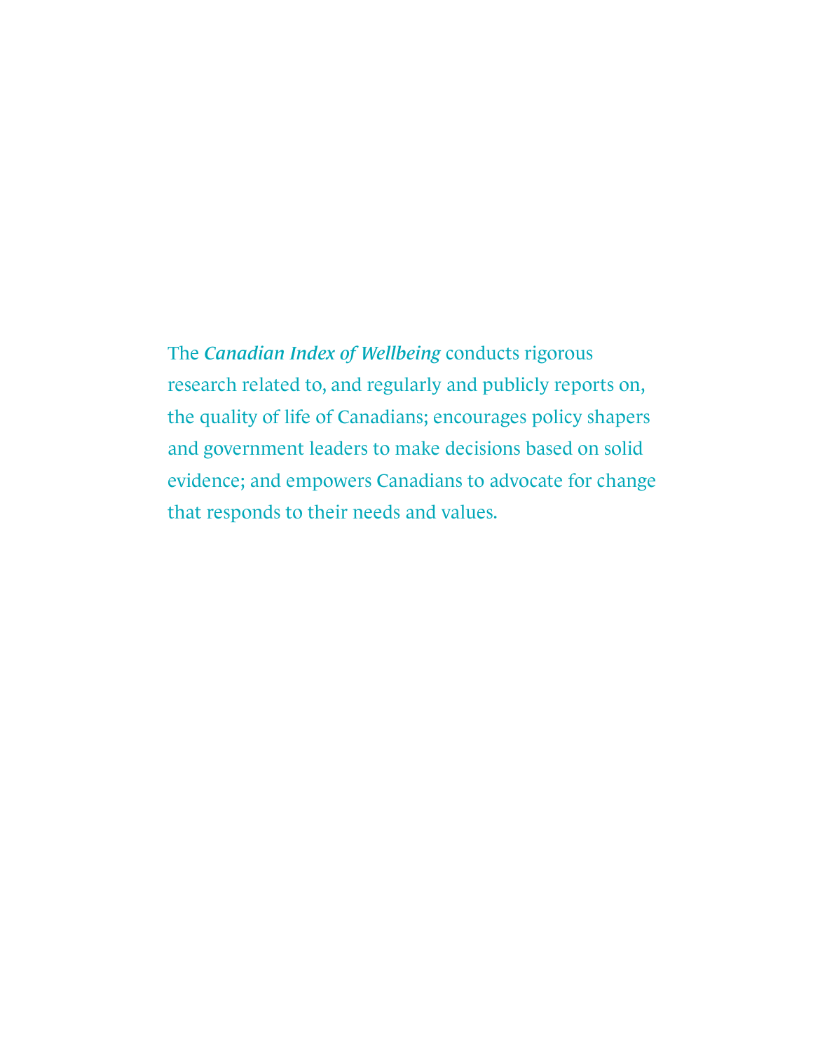The *Canadian Index of Wellbeing* conducts rigorous research related to, and regularly and publicly reports on, the quality of life of Canadians; encourages policy shapers and government leaders to make decisions based on solid evidence; and empowers Canadians to advocate for change that responds to their needs and values.